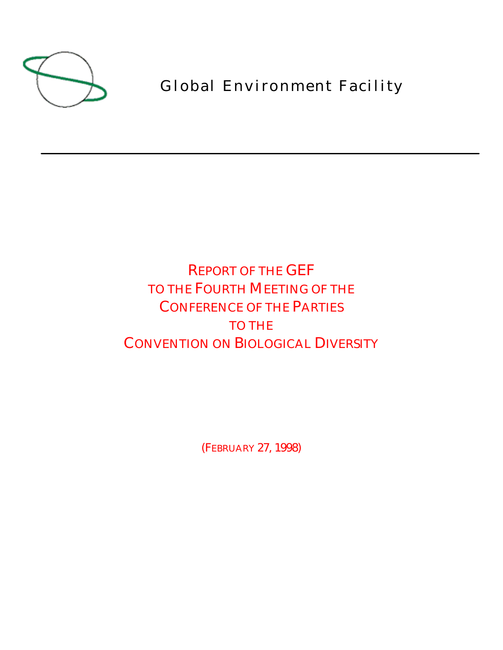

Global Environment Facility

REPORT OF THE GEF TO THE FOURTH MEETING OF THE CONFERENCE OF THE PARTIES TO THE CONVENTION ON BIOLOGICAL DIVERSITY

(FEBRUARY 27, 1998)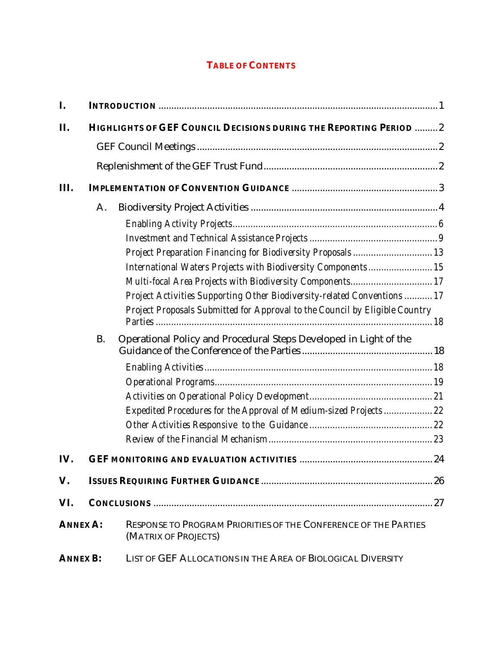# **TABLE OF CONTENTS**

| I.              |           |                                                                                         |  |
|-----------------|-----------|-----------------------------------------------------------------------------------------|--|
| II.             |           | HIGHLIGHTS OF GEF COUNCIL DECISIONS DURING THE REPORTING PERIOD  2                      |  |
|                 |           |                                                                                         |  |
|                 |           |                                                                                         |  |
| Ш.              |           |                                                                                         |  |
|                 | A.        |                                                                                         |  |
|                 |           |                                                                                         |  |
|                 |           |                                                                                         |  |
|                 |           | Project Preparation Financing for Biodiversity Proposals 13                             |  |
|                 |           | International Waters Projects with Biodiversity Components 15                           |  |
|                 |           | Multi-focal Area Projects with Biodiversity Components 17                               |  |
|                 |           | Project Activities Supporting Other Biodiversity-related Conventions  17                |  |
|                 |           | Project Proposals Submitted for Approval to the Council by Eligible Country             |  |
|                 | <b>B.</b> | Operational Policy and Procedural Steps Developed in Light of the                       |  |
|                 |           |                                                                                         |  |
|                 |           |                                                                                         |  |
|                 |           |                                                                                         |  |
|                 |           | Expedited Procedures for the Approval of Medium-sized Projects  22                      |  |
|                 |           |                                                                                         |  |
|                 |           |                                                                                         |  |
| IV.             |           |                                                                                         |  |
| V.              |           |                                                                                         |  |
| VI.             |           |                                                                                         |  |
| <b>ANNEX A:</b> |           | RESPONSE TO PROGRAM PRIORITIES OF THE CONFERENCE OF THE PARTIES<br>(MATRIX OF PROJECTS) |  |
| <b>ANNEX B:</b> |           | LIST OF GEF ALLOCATIONS IN THE AREA OF BIOLOGICAL DIVERSITY                             |  |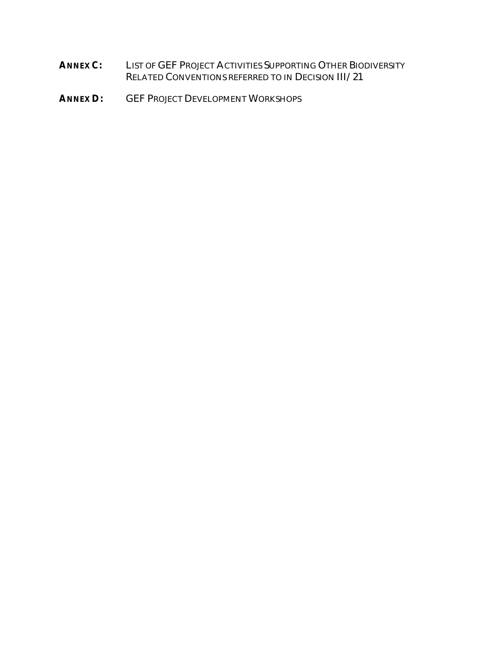- **ANNEX C:** LIST OF GEF PROJECT ACTIVITIES SUPPORTING OTHER BIODIVERSITY RELATED CONVENTIONS REFERRED TO IN DECISION III/21
- **ANNEX D:** GEF PROJECT DEVELOPMENT WORKSHOPS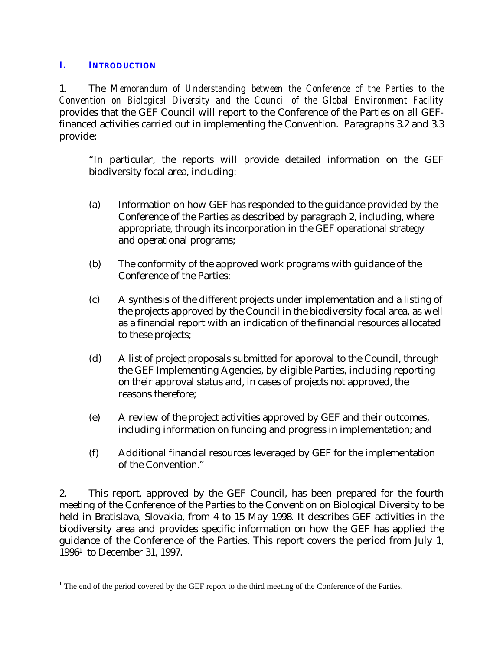#### **I. INTRODUCTION**

<u>.</u>

1. The *Memorandum of Understanding between the Conference of the Parties to the Convention on Biological Diversity and the Council of the Global Environment Facility* provides that the GEF Council will report to the Conference of the Parties on all GEFfinanced activities carried out in implementing the Convention. Paragraphs 3.2 and 3.3 provide:

"In particular, the reports will provide detailed information on the GEF biodiversity focal area, including:

- (a) Information on how GEF has responded to the guidance provided by the Conference of the Parties as described by paragraph 2, including, where appropriate, through its incorporation in the GEF operational strategy and operational programs;
- (b) The conformity of the approved work programs with guidance of the Conference of the Parties;
- (c) A synthesis of the different projects under implementation and a listing of the projects approved by the Council in the biodiversity focal area, as well as a financial report with an indication of the financial resources allocated to these projects;
- (d) A list of project proposals submitted for approval to the Council, through the GEF Implementing Agencies, by eligible Parties, including reporting on their approval status and, in cases of projects not approved, the reasons therefore;
- (e) A review of the project activities approved by GEF and their outcomes, including information on funding and progress in implementation; and
- (f) Additional financial resources leveraged by GEF for the implementation of the Convention."

2. This report, approved by the GEF Council, has been prepared for the fourth meeting of the Conference of the Parties to the Convention on Biological Diversity to be held in Bratislava, Slovakia, from 4 to 15 May 1998. It describes GEF activities in the biodiversity area and provides specific information on how the GEF has applied the guidance of the Conference of the Parties. This report covers the period from July 1, 1996<sup>1</sup> to December 31, 1997.

 $1$  The end of the period covered by the GEF report to the third meeting of the Conference of the Parties.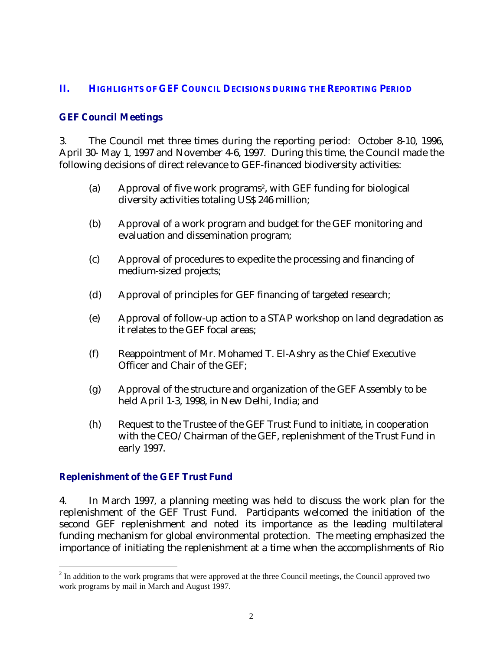#### **II. HIGHLIGHTS OF GEF COUNCIL DECISIONS DURING THE REPORTING PERIOD**

#### **GEF Council Meetings**

3. The Council met three times during the reporting period: October 8-10, 1996, April 30- May 1, 1997 and November 4-6, 1997. During this time, the Council made the following decisions of direct relevance to GEF-financed biodiversity activities:

- (a) Approval of five work programs<sup>2</sup>, with GEF funding for biological diversity activities totaling US\$ 246 million;
- (b) Approval of a work program and budget for the GEF monitoring and evaluation and dissemination program;
- (c) Approval of procedures to expedite the processing and financing of medium-sized projects;
- (d) Approval of principles for GEF financing of targeted research;
- (e) Approval of follow-up action to a STAP workshop on land degradation as it relates to the GEF focal areas;
- (f) Reappointment of Mr. Mohamed T. El-Ashry as the Chief Executive Officer and Chair of the GEF;
- (g) Approval of the structure and organization of the GEF Assembly to be held April 1-3, 1998, in New Delhi, India; and
- (h) Request to the Trustee of the GEF Trust Fund to initiate, in cooperation with the CEO/Chairman of the GEF, replenishment of the Trust Fund in early 1997.

## **Replenishment of the GEF Trust Fund**

<u>.</u>

4. In March 1997, a planning meeting was held to discuss the work plan for the replenishment of the GEF Trust Fund. Participants welcomed the initiation of the second GEF replenishment and noted its importance as the leading multilateral funding mechanism for global environmental protection. The meeting emphasized the importance of initiating the replenishment at a time when the accomplishments of Rio

 $2<sup>2</sup>$  In addition to the work programs that were approved at the three Council meetings, the Council approved two work programs by mail in March and August 1997.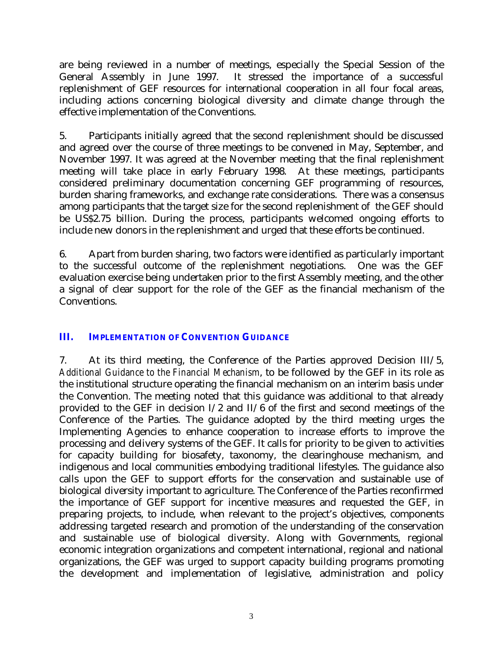are being reviewed in a number of meetings, especially the Special Session of the General Assembly in June 1997. It stressed the importance of a successful replenishment of GEF resources for international cooperation in all four focal areas, including actions concerning biological diversity and climate change through the effective implementation of the Conventions.

5. Participants initially agreed that the second replenishment should be discussed and agreed over the course of three meetings to be convened in May, September, and November 1997. It was agreed at the November meeting that the final replenishment meeting will take place in early February 1998. At these meetings, participants considered preliminary documentation concerning GEF programming of resources, burden sharing frameworks, and exchange rate considerations. There was a consensus among participants that the target size for the second replenishment of the GEF should be US\$2.75 billion. During the process, participants welcomed ongoing efforts to include new donors in the replenishment and urged that these efforts be continued.

6. Apart from burden sharing, two factors were identified as particularly important to the successful outcome of the replenishment negotiations. One was the GEF evaluation exercise being undertaken prior to the first Assembly meeting, and the other a signal of clear support for the role of the GEF as the financial mechanism of the Conventions.

## **III. IMPLEMENTATION OF CONVENTION GUIDANCE**

7. At its third meeting, the Conference of the Parties approved Decision III/5, *Additional Guidance to the Financial Mechanism*, to be followed by the GEF in its role as the institutional structure operating the financial mechanism on an interim basis under the Convention. The meeting noted that this guidance was additional to that already provided to the GEF in decision I/2 and II/6 of the first and second meetings of the Conference of the Parties. The guidance adopted by the third meeting urges the Implementing Agencies to enhance cooperation to increase efforts to improve the processing and delivery systems of the GEF. It calls for priority to be given to activities for capacity building for biosafety, taxonomy, the clearinghouse mechanism, and indigenous and local communities embodying traditional lifestyles. The guidance also calls upon the GEF to support efforts for the conservation and sustainable use of biological diversity important to agriculture. The Conference of the Parties reconfirmed the importance of GEF support for incentive measures and requested the GEF, in preparing projects, to include, when relevant to the project's objectives, components addressing targeted research and promotion of the understanding of the conservation and sustainable use of biological diversity. Along with Governments, regional economic integration organizations and competent international, regional and national organizations, the GEF was urged to support capacity building programs promoting the development and implementation of legislative, administration and policy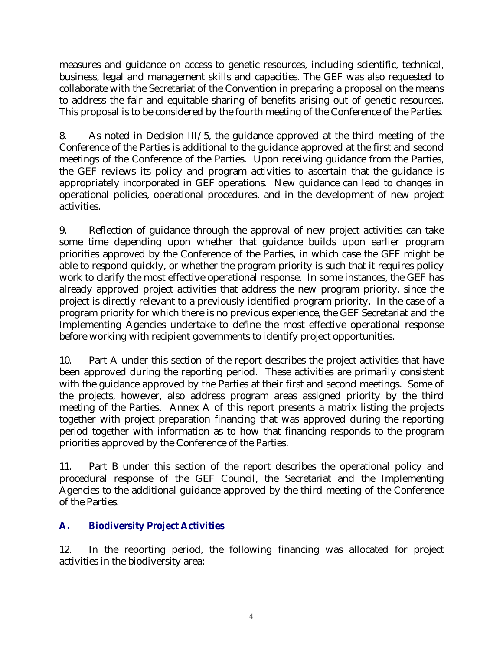measures and guidance on access to genetic resources, including scientific, technical, business, legal and management skills and capacities. The GEF was also requested to collaborate with the Secretariat of the Convention in preparing a proposal on the means to address the fair and equitable sharing of benefits arising out of genetic resources. This proposal is to be considered by the fourth meeting of the Conference of the Parties.

8. As noted in Decision III/5, the guidance approved at the third meeting of the Conference of the Parties is additional to the guidance approved at the first and second meetings of the Conference of the Parties. Upon receiving guidance from the Parties, the GEF reviews its policy and program activities to ascertain that the guidance is appropriately incorporated in GEF operations. New guidance can lead to changes in operational policies, operational procedures, and in the development of new project activities.

9. Reflection of guidance through the approval of new project activities can take some time depending upon whether that guidance builds upon earlier program priorities approved by the Conference of the Parties, in which case the GEF might be able to respond quickly, or whether the program priority is such that it requires policy work to clarify the most effective operational response. In some instances, the GEF has already approved project activities that address the new program priority, since the project is directly relevant to a previously identified program priority. In the case of a program priority for which there is no previous experience, the GEF Secretariat and the Implementing Agencies undertake to define the most effective operational response before working with recipient governments to identify project opportunities.

10. Part A under this section of the report describes the project activities that have been approved during the reporting period. These activities are primarily consistent with the guidance approved by the Parties at their first and second meetings. Some of the projects, however, also address program areas assigned priority by the third meeting of the Parties. Annex A of this report presents a matrix listing the projects together with project preparation financing that was approved during the reporting period together with information as to how that financing responds to the program priorities approved by the Conference of the Parties.

11. Part B under this section of the report describes the operational policy and procedural response of the GEF Council, the Secretariat and the Implementing Agencies to the additional guidance approved by the third meeting of the Conference of the Parties.

# **A. Biodiversity Project Activities**

12. In the reporting period, the following financing was allocated for project activities in the biodiversity area: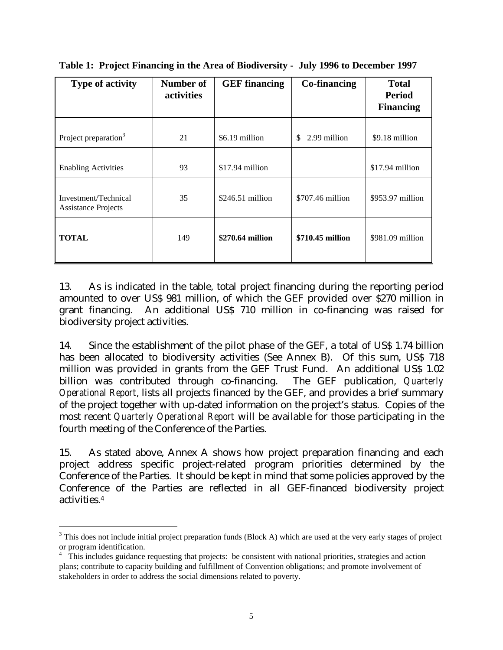| <b>Type of activity</b>                            | Number of<br>activities | <b>GEF</b> financing | <b>Co-financing</b> | <b>Total</b><br><b>Period</b><br><b>Financing</b> |
|----------------------------------------------------|-------------------------|----------------------|---------------------|---------------------------------------------------|
| Project preparation <sup>3</sup>                   | 21                      | \$6.19 million       | 2.99 million<br>\$  | \$9.18 million                                    |
| <b>Enabling Activities</b>                         | 93                      | \$17.94 million      |                     | \$17.94 million                                   |
| Investment/Technical<br><b>Assistance Projects</b> | 35                      | $$246.51$ million    | \$707.46 million    | $$953.97$ million                                 |
| <b>TOTAL</b>                                       | 149                     | \$270.64 million     | \$710.45 million    | $$981.09$ million                                 |

**Table 1: Project Financing in the Area of Biodiversity - July 1996 to December 1997**

13. As is indicated in the table, total project financing during the reporting period amounted to over US\$ 981 million, of which the GEF provided over \$270 million in grant financing. An additional US\$ 710 million in co-financing was raised for biodiversity project activities.

14. Since the establishment of the pilot phase of the GEF, a total of US\$ 1.74 billion has been allocated to biodiversity activities (See Annex B). Of this sum, US\$ 718 million was provided in grants from the GEF Trust Fund. An additional US\$ 1.02<br>billion was contributed through co-financing. The GEF publication, Quarterly billion was contributed through co-financing. *Operational Report*, lists all projects financed by the GEF, and provides a brief summary of the project together with up-dated information on the project's status. Copies of the most recent *Quarterly Operational Report* will be available for those participating in the fourth meeting of the Conference of the Parties.

15. As stated above, Annex A shows how project preparation financing and each project address specific project-related program priorities determined by the Conference of the Parties. It should be kept in mind that some policies approved by the Conference of the Parties are reflected in all GEF-financed biodiversity project activities.<sup>4</sup>

<u>.</u>

 $3$  This does not include initial project preparation funds (Block A) which are used at the very early stages of project or program identification.

<sup>&</sup>lt;sup>4</sup> This includes guidance requesting that projects: be consistent with national priorities, strategies and action plans; contribute to capacity building and fulfillment of Convention obligations; and promote involvement of stakeholders in order to address the social dimensions related to poverty.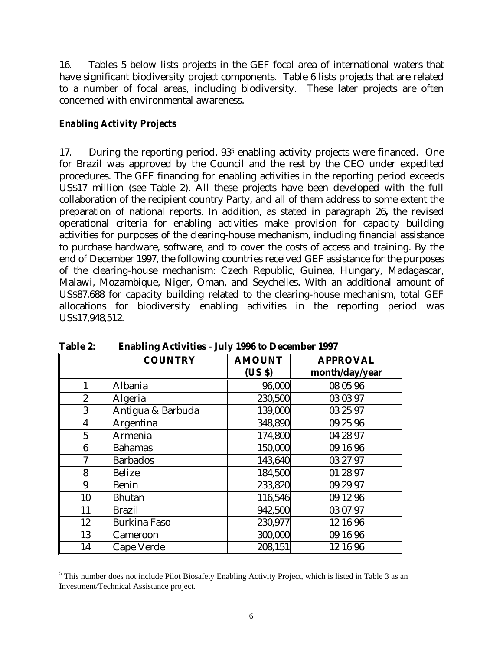16. Tables 5 below lists projects in the GEF focal area of international waters that have significant biodiversity project components. Table 6 lists projects that are related to a number of focal areas, including biodiversity. These later projects are often concerned with environmental awareness.

#### *Enabling Activity Projects*

 $\overline{a}$ 

17. During the reporting period, 93<sup>5</sup> enabling activity projects were financed. One for Brazil was approved by the Council and the rest by the CEO under expedited procedures. The GEF financing for enabling activities in the reporting period exceeds US\$17 million (see Table 2). All these projects have been developed with the full collaboration of the recipient country Party, and all of them address to some extent the preparation of national reports. In addition, as stated in paragraph 26**,** the revised operational criteria for enabling activities make provision for capacity building activities for purposes of the clearing-house mechanism, including financial assistance to purchase hardware, software, and to cover the costs of access and training. By the end of December 1997, the following countries received GEF assistance for the purposes of the clearing-house mechanism: Czech Republic, Guinea, Hungary, Madagascar, Malawi, Mozambique, Niger, Oman, and Seychelles. With an additional amount of US\$87,688 for capacity building related to the clearing-house mechanism, total GEF allocations for biodiversity enabling activities in the reporting period was US\$17,948,512.

|                         | <b>COUNTRY</b>      | <b>AMOUNT</b> | <b>APPROVAL</b> |
|-------------------------|---------------------|---------------|-----------------|
|                         |                     | (USS)         | month/day/year  |
|                         | Albania             | 96,000        | 08 05 96        |
| $\overline{2}$          | Algeria             | 230,500       | 03 03 97        |
| 3                       | Antigua & Barbuda   | 139,000       | 03 25 97        |
| $\overline{\mathbf{4}}$ | Argentina           | 348,890       | 09 25 96        |
| $\overline{5}$          | Armenia             | 174,800       | 04 28 97        |
| 6                       | <b>Bahamas</b>      | 150,000       | 09 16 96        |
|                         | <b>Barbados</b>     | 143,640       | 03 27 97        |
| 8                       | <b>Belize</b>       | 184,500       | 01 28 97        |
| 9                       | <b>Benin</b>        | 233,820       | 09 29 97        |
| 10                      | <b>Bhutan</b>       | 116,546       | 09 12 96        |
| 11                      | <b>Brazil</b>       | 942,500       | 03 07 97        |
| 12                      | <b>Burkina Faso</b> | 230,977       | 12 16 96        |
| 13                      | Cameroon            | 300,000       | 09 16 96        |
| 14                      | Cape Verde          | 208,151       | 12 16 96        |

**Table 2: Enabling Activities** - **July 1996 to December 1997**

<sup>&</sup>lt;sup>5</sup> This number does not include Pilot Biosafety Enabling Activity Project, which is listed in Table 3 as an Investment/Technical Assistance project.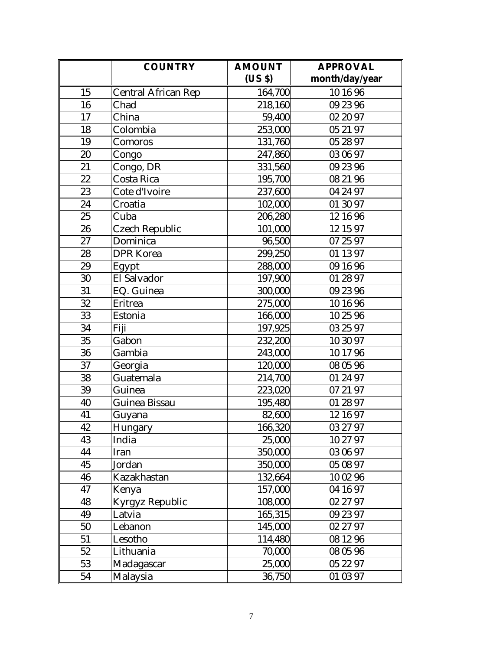|    | <b>COUNTRY</b>             | <b>AMOUNT</b> | <b>APPROVAL</b> |
|----|----------------------------|---------------|-----------------|
|    |                            | (US \$)       | month/day/year  |
| 15 | <b>Central African Rep</b> | 164,700       | 10 16 96        |
| 16 | Chad                       | 218,160       | 09 23 96        |
| 17 | China                      | 59,400        | 02 20 97        |
| 18 | Colombia                   | 253,000       | 05 21 97        |
| 19 | Comoros                    | 131,760       | 05 28 97        |
| 20 | Congo                      | 247,860       | 03 06 97        |
| 21 | Congo, DR                  | 331,560       | 09 23 96        |
| 22 | Costa Rica                 | 195,700       | 08 21 96        |
| 23 | Cote d'Ivoire              | 237,600       | 04 24 97        |
| 24 | Croatia                    | 102,000       | 01 30 97        |
| 25 | Cuba                       | 206,280       | 12 16 96        |
| 26 | <b>Czech Republic</b>      | 101,000       | 12 15 97        |
| 27 | Dominica                   | 96,500        | 07 25 97        |
| 28 | <b>DPR</b> Korea           | 299,250       | 01 13 97        |
| 29 | Egypt                      | 288,000       | 09 16 96        |
| 30 | El Salvador                | 197,900       | 01 28 97        |
| 31 | EQ. Guinea                 | 300,000       | 09 23 96        |
| 32 | Eritrea                    | 275,000       | 10 16 96        |
| 33 | Estonia                    | 166,000       | 10 25 96        |
| 34 | Fiji                       | 197,925       | 03 25 97        |
| 35 | Gabon                      | 232,200       | 10 30 97        |
| 36 | Gambia                     | 243,000       | 10 17 96        |
| 37 | Georgia                    | 120,000       | 08 05 96        |
| 38 | Guatemala                  | 214,700       | 01 24 97        |
| 39 | Guinea                     | 223,020       | 07 21 97        |
| 40 | Guinea Bissau              | 195,480       | 01 28 97        |
| 41 | Guyana                     | 82,600        | 12 16 97        |
| 42 | Hungary                    | 166,320       | 03 27 97        |
| 43 | India                      | 25,000        | 10 27 97        |
| 44 | Iran                       | 350,000       | 03 06 97        |
| 45 | Jordan                     | 350,000       | 05 08 97        |
| 46 | Kazakhastan                | 132,664       | 10 02 96        |
| 47 | Kenya                      | 157,000       | 04 16 97        |
| 48 | <b>Kyrgyz Republic</b>     | 108,000       | 02 27 97        |
| 49 | Latvia                     | 165,315       | 09 23 97        |
| 50 | Lebanon                    | 145,000       | 02 27 97        |
| 51 | Lesotho                    | 114,480       | 08 12 96        |
| 52 | Lithuania                  | 70,000        | 08 05 96        |
| 53 | Madagascar                 | 25,000        | 05 22 97        |
| 54 | Malaysia                   | 36,750        | 01 03 97        |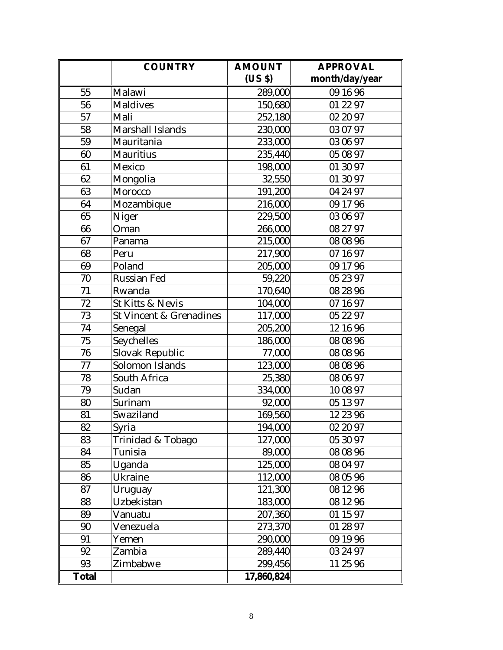|              | <b>COUNTRY</b>                     | <b>AMOUNT</b> | <b>APPROVAL</b> |
|--------------|------------------------------------|---------------|-----------------|
|              |                                    | (US \$)       | month/day/year  |
| 55           | Malawi                             | 289,000       | 09 16 96        |
| 56           | <b>Maldives</b>                    | 150,680       | 01 22 97        |
| 57           | Mali                               | 252,180       | 02 20 97        |
| 58           | <b>Marshall Islands</b>            | 230,000       | 03 07 97        |
| 59           | Mauritania                         | 233,000       | 03 06 97        |
| 60           | <b>Mauritius</b>                   | 235,440       | 05 08 97        |
| 61           | Mexico                             | 198,000       | 01 30 97        |
| 62           | Mongolia                           | 32,550        | 01 30 97        |
| 63           | Morocco                            | 191,200       | 04 24 97        |
| 64           | Mozambique                         | 216,000       | 09 17 96        |
| 65           | Niger                              | 229,500       | 03 06 97        |
| 66           | Oman                               | 266,000       | 08 27 97        |
| 67           | Panama                             | 215,000       | 08 08 96        |
| 68           | Peru                               | 217,900       | 07 16 97        |
| 69           | Poland                             | 205,000       | 09 17 96        |
| 70           | <b>Russian Fed</b>                 | 59,220        | 05 23 97        |
| 71           | Rwanda                             | 170,640       | 08 28 96        |
| 72           | St Kitts & Nevis                   | 104,000       | 07 16 97        |
| 73           | <b>St Vincent &amp; Grenadines</b> | 117,000       | 05 22 97        |
| 74           | Senegal                            | 205,200       | 12 16 96        |
| 75           | Seychelles                         | 186,000       | 08 08 96        |
| 76           | Slovak Republic                    | 77,000        | 08 08 96        |
| 77           | Solomon Islands                    | 123,000       | 08 08 96        |
| 78           | South Africa                       | 25,380        | 08 06 97        |
| 79           | Sudan                              | 334,000       | 10 08 97        |
| 80           | Surinam                            | 92,000        | 05 13 97        |
| 81           | Swaziland                          | 169,560       | 12 23 96        |
| 82           | Syria                              | 194,000       | 02 20 97        |
| 83           | Trinidad & Tobago                  | 127,000       | 05 30 97        |
| 84           | Tunisia                            | 89,000        | 08 08 96        |
| 85           | Uganda                             | 125,000       | 08 04 97        |
| 86           | Ukraine                            | 112,000       | 08 05 96        |
| 87           | Uruguay                            | 121,300       | 08 12 96        |
| 88           | Uzbekistan                         | 183,000       | 08 12 96        |
| 89           | Vanuatu                            | 207,360       | 01 15 97        |
| 90           | Venezuela                          | 273,370       | 01 28 97        |
| 91           | Yemen                              | 290,000       | 09 19 96        |
| 92           | Zambia                             | 289,440       | 03 24 97        |
| 93           | Zimbabwe                           | 299,456       | 11 25 96        |
| <b>Total</b> |                                    | 17,860,824    |                 |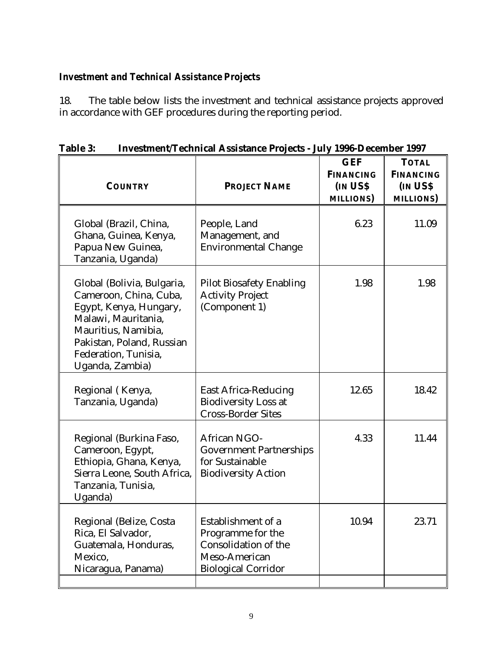# *Investment and Technical Assistance Projects*

18. The table below lists the investment and technical assistance projects approved in accordance with GEF procedures during the reporting period.

| нгусэннено геспитсан Азэнхансе гторесь - эагу тооо-December 1997                                                                                                                                     |                                                                                                                |                                                                |                                                                 |
|------------------------------------------------------------------------------------------------------------------------------------------------------------------------------------------------------|----------------------------------------------------------------------------------------------------------------|----------------------------------------------------------------|-----------------------------------------------------------------|
| <b>COUNTRY</b>                                                                                                                                                                                       | <b>PROJECT NAME</b>                                                                                            | <b>GEF</b><br><b>FINANCING</b><br>IN US\$<br><b>MILLIONS</b> ) | <b>TOTAL</b><br><b>FINANCING</b><br>IN USS<br><b>MILLIONS</b> ) |
| Global (Brazil, China,<br>Ghana, Guinea, Kenya,<br>Papua New Guinea,<br>Tanzania, Uganda)                                                                                                            | People, Land<br>Management, and<br><b>Environmental Change</b>                                                 | 6.23                                                           | 11.09                                                           |
| Global (Bolivia, Bulgaria,<br>Cameroon, China, Cuba,<br>Egypt, Kenya, Hungary,<br>Malawi, Mauritania,<br>Mauritius, Namibia,<br>Pakistan, Poland, Russian<br>Federation, Tunisia,<br>Uganda, Zambia) | <b>Pilot Biosafety Enabling</b><br><b>Activity Project</b><br>(Component 1)                                    | 1.98                                                           | 1.98                                                            |
| Regional (Kenya,<br>Tanzania, Uganda)                                                                                                                                                                | <b>East Africa-Reducing</b><br><b>Biodiversity Loss at</b><br><b>Cross-Border Sites</b>                        | 12.65                                                          | 18.42                                                           |
| Regional (Burkina Faso,<br>Cameroon, Egypt,<br>Ethiopia, Ghana, Kenya,<br>Sierra Leone, South Africa,<br>Tanzania, Tunisia,<br>Uganda)                                                               | <b>African NGO-</b><br><b>Government Partnerships</b><br>for Sustainable<br><b>Biodiversity Action</b>         | 4.33                                                           | 11.44                                                           |
| Regional (Belize, Costa<br>Rica, El Salvador,<br>Guatemala, Honduras,<br>Mexico,<br>Nicaragua, Panama)                                                                                               | Establishment of a<br>Programme for the<br>Consolidation of the<br>Meso-American<br><b>Biological Corridor</b> | 10.94                                                          | 23.71                                                           |

**Table 3: Investment/Technical Assistance Projects - July 1996-December 1997**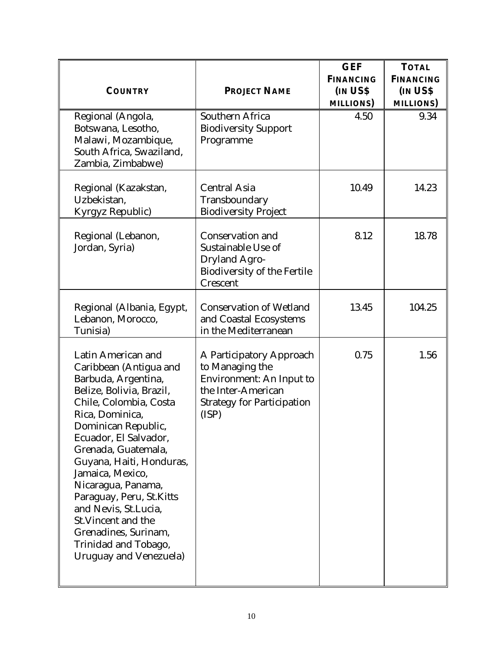| <b>COUNTRY</b>                                                                                                                                                                                                                                                                                                                                                                                                                                        | <b>PROJECT NAME</b>                                                                                                                                | <b>GEF</b><br><b>FINANCING</b><br><b>IN USS</b><br><b>MILLIONS</b> ) | <b>TOTAL</b><br><b>FINANCING</b><br>IN US\$<br><b>MILLIONS</b> ) |
|-------------------------------------------------------------------------------------------------------------------------------------------------------------------------------------------------------------------------------------------------------------------------------------------------------------------------------------------------------------------------------------------------------------------------------------------------------|----------------------------------------------------------------------------------------------------------------------------------------------------|----------------------------------------------------------------------|------------------------------------------------------------------|
| Regional (Angola,<br>Botswana, Lesotho,<br>Malawi, Mozambique,<br>South Africa, Swaziland,<br>Zambia, Zimbabwe)                                                                                                                                                                                                                                                                                                                                       | Southern Africa<br><b>Biodiversity Support</b><br>Programme                                                                                        | 4.50                                                                 | 9.34                                                             |
| Regional (Kazakstan,<br>Uzbekistan,<br>Kyrgyz Republic)                                                                                                                                                                                                                                                                                                                                                                                               | <b>Central Asia</b><br>Transboundary<br><b>Biodiversity Project</b>                                                                                | 10.49                                                                | 14.23                                                            |
| Regional (Lebanon,<br>Jordan, Syria)                                                                                                                                                                                                                                                                                                                                                                                                                  | Conservation and<br>Sustainable Use of<br><b>Dryland Agro-</b><br><b>Biodiversity of the Fertile</b><br>Crescent                                   | 8.12                                                                 | 18.78                                                            |
| Regional (Albania, Egypt,<br>Lebanon, Morocco,<br>Tunisia)                                                                                                                                                                                                                                                                                                                                                                                            | <b>Conservation of Wetland</b><br>and Coastal Ecosystems<br>in the Mediterranean                                                                   | 13.45                                                                | 104.25                                                           |
| Latin American and<br>Caribbean (Antigua and<br>Barbuda, Argentina,<br>Belize, Bolivia, Brazil,<br>Chile, Colombia, Costa<br>Rica, Dominica,<br>Dominican Republic,<br>Ecuador, El Salvador,<br>Grenada, Guatemala,<br>Guyana, Haiti, Honduras,<br>Jamaica, Mexico,<br>Nicaragua, Panama,<br>Paraguay, Peru, St.Kitts<br>and Nevis, St.Lucia,<br>St. Vincent and the<br>Grenadines, Surinam,<br>Trinidad and Tobago,<br><b>Uruguay and Venezuela)</b> | A Participatory Approach<br>to Managing the<br><b>Environment: An Input to</b><br>the Inter-American<br><b>Strategy for Participation</b><br>(ISP) | 0.75                                                                 | 1.56                                                             |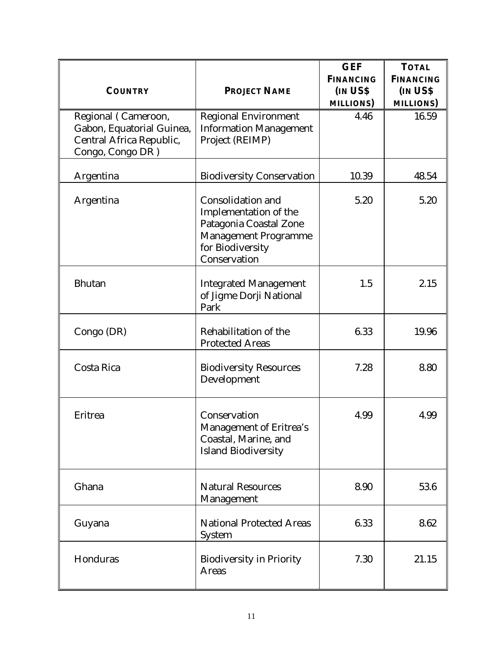| <b>COUNTRY</b>                                                                                   | <b>PROJECT NAME</b>                                                                                                                     | <b>GEF</b><br><b>FINANCING</b><br><b>IN USS</b><br><b>MILLIONS</b> ) | <b>TOTAL</b><br><b>FINANCING</b><br>IN US\$<br><b>MILLIONS</b> ) |
|--------------------------------------------------------------------------------------------------|-----------------------------------------------------------------------------------------------------------------------------------------|----------------------------------------------------------------------|------------------------------------------------------------------|
| Regional (Cameroon,<br>Gabon, Equatorial Guinea,<br>Central Africa Republic,<br>Congo, Congo DR) | <b>Regional Environment</b><br><b>Information Management</b><br>Project (REIMP)                                                         | 4.46                                                                 | 16.59                                                            |
| Argentina                                                                                        | <b>Biodiversity Conservation</b>                                                                                                        | 10.39                                                                | 48.54                                                            |
| Argentina                                                                                        | Consolidation and<br>Implementation of the<br>Patagonia Coastal Zone<br><b>Management Programme</b><br>for Biodiversity<br>Conservation | 5.20                                                                 | 5.20                                                             |
| <b>Bhutan</b>                                                                                    | <b>Integrated Management</b><br>of Jigme Dorji National<br>Park                                                                         | 1.5                                                                  | 2.15                                                             |
| Congo (DR)                                                                                       | Rehabilitation of the<br><b>Protected Areas</b>                                                                                         | 6.33                                                                 | 19.96                                                            |
| Costa Rica                                                                                       | <b>Biodiversity Resources</b><br>Development                                                                                            | 7.28                                                                 | 8.80                                                             |
| Eritrea                                                                                          | Conservation<br>Management of Eritrea's<br>Coastal, Marine, and<br><b>Island Biodiversity</b>                                           | 4.99                                                                 | 4.99                                                             |
| Ghana                                                                                            | <b>Natural Resources</b><br>Management                                                                                                  | 8.90                                                                 | 53.6                                                             |
| Guyana                                                                                           | <b>National Protected Areas</b><br><b>System</b>                                                                                        | 6.33                                                                 | 8.62                                                             |
| Honduras                                                                                         | <b>Biodiversity in Priority</b><br><b>Areas</b>                                                                                         | 7.30                                                                 | 21.15                                                            |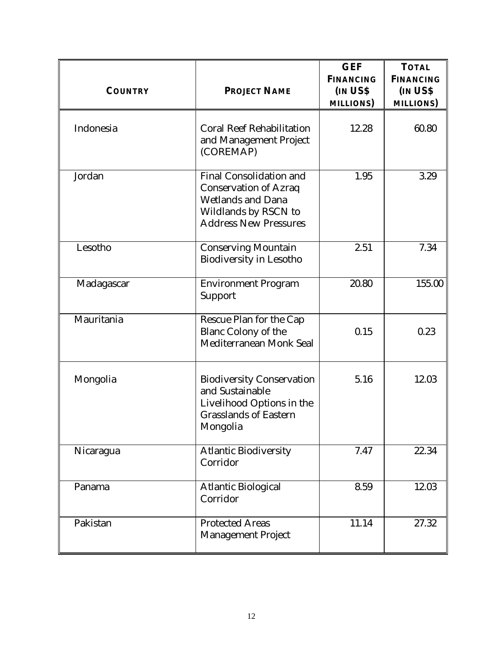| <b>COUNTRY</b> | <b>PROJECT NAME</b>                                                                                                                                | <b>GEF</b><br><b>FINANCING</b><br><b>IN USS</b><br><b>MILLIONS</b> ) | <b>TOTAL</b><br><b>FINANCING</b><br>IN US\$<br><b>MILLIONS</b> ) |
|----------------|----------------------------------------------------------------------------------------------------------------------------------------------------|----------------------------------------------------------------------|------------------------------------------------------------------|
| Indonesia      | <b>Coral Reef Rehabilitation</b><br>and Management Project<br>(COREMAP)                                                                            | 12.28                                                                | 60.80                                                            |
| Jordan         | <b>Final Consolidation and</b><br><b>Conservation of Azraq</b><br><b>Wetlands and Dana</b><br>Wildlands by RSCN to<br><b>Address New Pressures</b> | 1.95                                                                 | 3.29                                                             |
| Lesotho        | <b>Conserving Mountain</b><br><b>Biodiversity in Lesotho</b>                                                                                       | 2.51                                                                 | 7.34                                                             |
| Madagascar     | <b>Environment Program</b><br>Support                                                                                                              | 20.80                                                                | 155.00                                                           |
| Mauritania     | Rescue Plan for the Cap<br><b>Blanc Colony of the</b><br>Mediterranean Monk Seal                                                                   | 0.15                                                                 | 0.23                                                             |
| Mongolia       | <b>Biodiversity Conservation</b><br>and Sustainable<br>Livelihood Options in the<br><b>Grasslands of Eastern</b><br>Mongolia                       | 5.16                                                                 | 12.03                                                            |
| Nicaragua      | <b>Atlantic Biodiversity</b><br>Corridor                                                                                                           | 7.47                                                                 | 22.34                                                            |
| Panama         | <b>Atlantic Biological</b><br>Corridor                                                                                                             | 8.59                                                                 | 12.03                                                            |
| Pakistan       | <b>Protected Areas</b><br><b>Management Project</b>                                                                                                | 11.14                                                                | 27.32                                                            |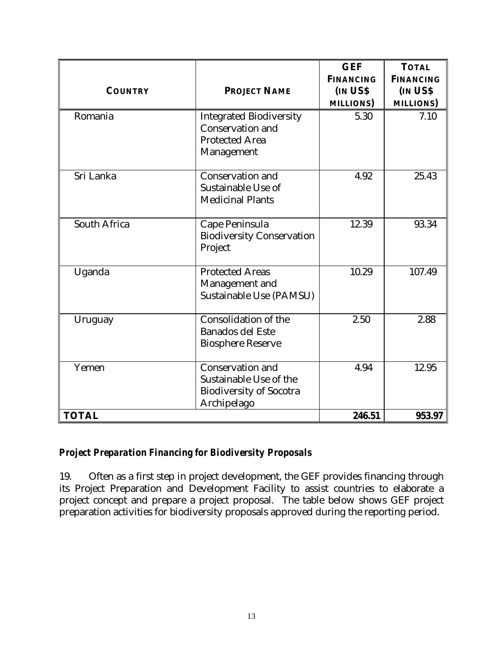| <b>COUNTRY</b>      | <b>PROJECT NAME</b>                                                                                | <b>GEF</b><br><b>FINANCING</b><br><b>IN USS</b><br><b>MILLIONS</b> ) | <b>TOTAL</b><br><b>FINANCING</b><br><b>IN USS</b><br><b>MILLIONS</b> ) |
|---------------------|----------------------------------------------------------------------------------------------------|----------------------------------------------------------------------|------------------------------------------------------------------------|
| Romania             | <b>Integrated Biodiversity</b><br><b>Conservation and</b><br><b>Protected Area</b><br>Management   | 5.30                                                                 | 7.10                                                                   |
| Sri Lanka           | <b>Conservation and</b><br>Sustainable Use of<br><b>Medicinal Plants</b>                           | 4.92                                                                 | 25.43                                                                  |
| <b>South Africa</b> | Cape Peninsula<br><b>Biodiversity Conservation</b><br>Project                                      | 12.39                                                                | 93.34                                                                  |
| Uganda              | <b>Protected Areas</b><br>Management and<br>Sustainable Use (PAMSU)                                | 10.29                                                                | 107.49                                                                 |
| Uruguay             | Consolidation of the<br><b>Banados del Este</b><br><b>Biosphere Reserve</b>                        | 2.50                                                                 | 2.88                                                                   |
| Yemen               | <b>Conservation and</b><br>Sustainable Use of the<br><b>Biodiversity of Socotra</b><br>Archipelago | 4.94                                                                 | 12.95                                                                  |
| <b>TOTAL</b>        |                                                                                                    | 246.51                                                               | 953.97                                                                 |

## *Project Preparation Financing for Biodiversity Proposals*

19. Often as a first step in project development, the GEF provides financing through its Project Preparation and Development Facility to assist countries to elaborate a project concept and prepare a project proposal. The table below shows GEF project preparation activities for biodiversity proposals approved during the reporting period.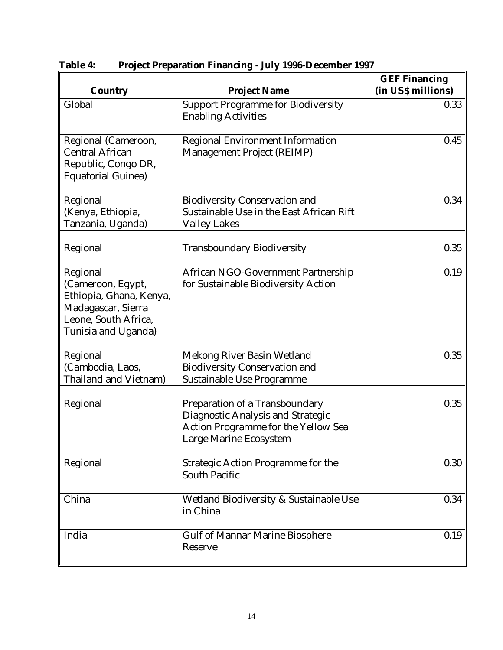| <b>Country</b>                                                                                                                | <b>Project Name</b>                                                                                                                  | <b>GEF Financing</b><br>(in US\$ millions) |
|-------------------------------------------------------------------------------------------------------------------------------|--------------------------------------------------------------------------------------------------------------------------------------|--------------------------------------------|
| Global                                                                                                                        | <b>Support Programme for Biodiversity</b><br><b>Enabling Activities</b>                                                              | 0.33                                       |
| Regional (Cameroon,<br><b>Central African</b><br>Republic, Congo DR,<br><b>Equatorial Guinea)</b>                             | <b>Regional Environment Information</b><br><b>Management Project (REIMP)</b>                                                         | 0.45                                       |
| Regional<br>(Kenya, Ethiopia,<br>Tanzania, Uganda)                                                                            | <b>Biodiversity Conservation and</b><br>Sustainable Use in the East African Rift<br><b>Valley Lakes</b>                              | 0.34                                       |
| Regional                                                                                                                      | <b>Transboundary Biodiversity</b>                                                                                                    | 0.35                                       |
| Regional<br>(Cameroon, Egypt,<br>Ethiopia, Ghana, Kenya,<br>Madagascar, Sierra<br>Leone, South Africa,<br>Tunisia and Uganda) | African NGO-Government Partnership<br>for Sustainable Biodiversity Action                                                            | 0.19                                       |
| Regional<br>(Cambodia, Laos,<br><b>Thailand and Vietnam)</b>                                                                  | Mekong River Basin Wetland<br><b>Biodiversity Conservation and</b><br><b>Sustainable Use Programme</b>                               | 0.35                                       |
| Regional                                                                                                                      | Preparation of a Transboundary<br>Diagnostic Analysis and Strategic<br>Action Programme for the Yellow Sea<br>Large Marine Ecosystem | 0.35                                       |
| Regional                                                                                                                      | <b>Strategic Action Programme for the</b><br><b>South Pacific</b>                                                                    | 0.30                                       |
| China                                                                                                                         | Wetland Biodiversity & Sustainable Use<br>in China                                                                                   | 0.34                                       |
| India                                                                                                                         | <b>Gulf of Mannar Marine Biosphere</b><br>Reserve                                                                                    | 0.19                                       |

**Table 4: Project Preparation Financing - July 1996-December 1997**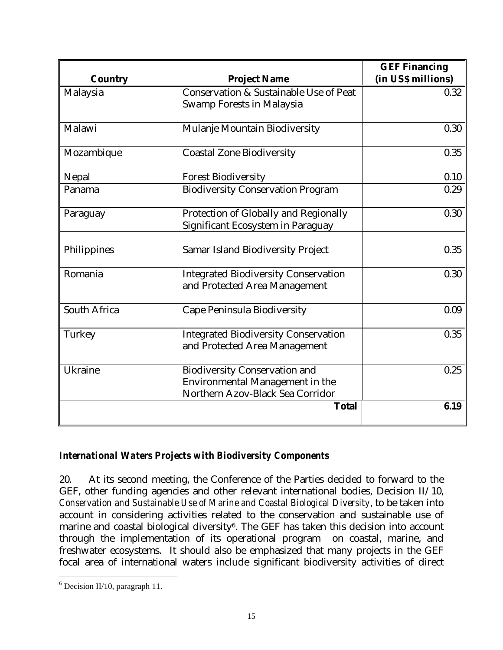|                |                                                   | <b>GEF Financing</b><br>(in US\$ millions) |
|----------------|---------------------------------------------------|--------------------------------------------|
| <b>Country</b> | <b>Project Name</b>                               |                                            |
| Malaysia       | <b>Conservation &amp; Sustainable Use of Peat</b> | 0.32                                       |
|                | <b>Swamp Forests in Malaysia</b>                  |                                            |
| Malawi         | Mulanje Mountain Biodiversity                     | 0.30                                       |
| Mozambique     | <b>Coastal Zone Biodiversity</b>                  | 0.35                                       |
| Nepal          | <b>Forest Biodiversity</b>                        | 0.10                                       |
| Panama         | <b>Biodiversity Conservation Program</b>          | 0.29                                       |
| Paraguay       | Protection of Globally and Regionally             | 0.30                                       |
|                | Significant Ecosystem in Paraguay                 |                                            |
| Philippines    | <b>Samar Island Biodiversity Project</b>          | 0.35                                       |
| Romania        | <b>Integrated Biodiversity Conservation</b>       | 0.30                                       |
|                | and Protected Area Management                     |                                            |
| South Africa   | Cape Peninsula Biodiversity                       | 0.09                                       |
| Turkey         | <b>Integrated Biodiversity Conservation</b>       | 0.35                                       |
|                | and Protected Area Management                     |                                            |
| <b>Ukraine</b> | <b>Biodiversity Conservation and</b>              | 0.25                                       |
|                | Environmental Management in the                   |                                            |
|                | Northern Azov-Black Sea Corridor                  |                                            |
|                | <b>Total</b>                                      | 6.19                                       |
|                |                                                   |                                            |

## *International Waters Projects with Biodiversity Components*

20. At its second meeting, the Conference of the Parties decided to forward to the GEF, other funding agencies and other relevant international bodies, Decision II/10, *Conservation and Sustainable Use of Marine and Coastal Biological Diversity*, to be taken into account in considering activities related to the conservation and sustainable use of marine and coastal biological diversity<sup>6</sup>. The GEF has taken this decision into account through the implementation of its operational program on coastal, marine, and freshwater ecosystems. It should also be emphasized that many projects in the GEF focal area of international waters include significant biodiversity activities of direct

<u>.</u>

 $6$  Decision II/10, paragraph 11.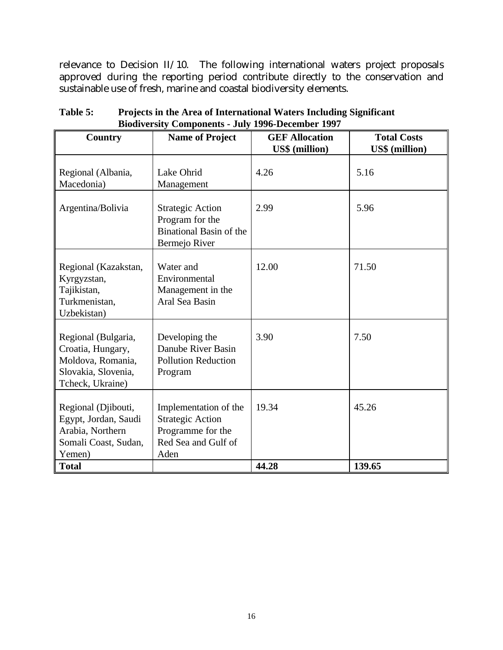relevance to Decision II/10. The following international waters project proposals approved during the reporting period contribute directly to the conservation and sustainable use of fresh, marine and coastal biodiversity elements.

| Country                                                                                                           | <b>Name of Project</b>                                                                               | <b>GEF Allocation</b> | <b>Total Costs</b>    |
|-------------------------------------------------------------------------------------------------------------------|------------------------------------------------------------------------------------------------------|-----------------------|-----------------------|
|                                                                                                                   |                                                                                                      | <b>US\$</b> (million) | <b>US\$</b> (million) |
| Regional (Albania,<br>Macedonia)                                                                                  | Lake Ohrid<br>Management                                                                             | 4.26                  | 5.16                  |
| Argentina/Bolivia                                                                                                 | <b>Strategic Action</b><br>Program for the<br><b>Binational Basin of the</b><br>Bermejo River        | 2.99                  | 5.96                  |
| Regional (Kazakstan,<br>Kyrgyzstan,<br>Tajikistan,<br>Turkmenistan,<br>Uzbekistan)                                | Water and<br>Environmental<br>Management in the<br>Aral Sea Basin                                    | 12.00                 | 71.50                 |
| Regional (Bulgaria,<br>Croatia, Hungary,<br>Moldova, Romania,<br>Slovakia, Slovenia,<br>Tcheck, Ukraine)          | Developing the<br>Danube River Basin<br><b>Pollution Reduction</b><br>Program                        | 3.90                  | 7.50                  |
| Regional (Djibouti,<br>Egypt, Jordan, Saudi<br>Arabia, Northern<br>Somali Coast, Sudan,<br>Yemen)<br><b>Total</b> | Implementation of the<br><b>Strategic Action</b><br>Programme for the<br>Red Sea and Gulf of<br>Aden | 19.34<br>44.28        | 45.26<br>139.65       |

**Table 5: Projects in the Area of International Waters Including Significant Biodiversity Components - July 1996-December 1997**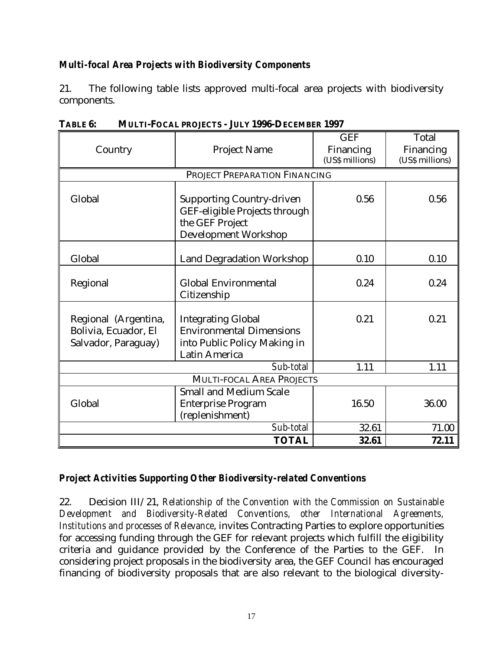# *Multi-focal Area Projects with Biodiversity Components*

21. The following table lists approved multi-focal area projects with biodiversity components.

| Country                                                             | <b>Project Name</b>                                                                                                  | <b>GEF</b><br>Financing<br>(US\$ millions) | Total<br>Financing<br>(US\$ millions) |
|---------------------------------------------------------------------|----------------------------------------------------------------------------------------------------------------------|--------------------------------------------|---------------------------------------|
|                                                                     | PROJECT PREPARATION FINANCING                                                                                        |                                            |                                       |
| Global                                                              | <b>Supporting Country-driven</b><br>GEF-eligible Projects through<br>the GEF Project<br><b>Development Workshop</b>  | 0.56                                       | 0.56                                  |
| Global                                                              | <b>Land Degradation Workshop</b>                                                                                     | 0.10                                       | 0.10                                  |
| Regional                                                            | <b>Global Environmental</b><br>Citizenship                                                                           | 0.24                                       | 0.24                                  |
| Regional (Argentina,<br>Bolivia, Ecuador, El<br>Salvador, Paraguay) | <b>Integrating Global</b><br><b>Environmental Dimensions</b><br>into Public Policy Making in<br><b>Latin America</b> | 0.21                                       | 0.21                                  |
|                                                                     | Sub-total                                                                                                            | 1.11                                       | 1.11                                  |
|                                                                     | <b>MULTI-FOCAL AREA PROJECTS</b>                                                                                     |                                            |                                       |
| Global                                                              | <b>Small and Medium Scale</b><br><b>Enterprise Program</b><br>(replenishment)                                        | 16.50                                      | 36.00                                 |
|                                                                     | Sub-total                                                                                                            | 32.61                                      | 71.00                                 |
|                                                                     | <b>TOTAL</b>                                                                                                         | 32.61                                      | 72.11                                 |

**TABLE 6: MULTI-FOCAL PROJECTS - JULY 1996-DECEMBER 1997**

## *Project Activities Supporting Other Biodiversity-related Conventions*

22. Decision III/21, *Relationship of the Convention with the Commission on Sustainable Development and Biodiversity-Related Conventions, other International Agreements, Institutions and processes of Relevance*, invites Contracting Parties to explore opportunities for accessing funding through the GEF for relevant projects which fulfill the eligibility criteria and guidance provided by the Conference of the Parties to the GEF. In considering project proposals in the biodiversity area, the GEF Council has encouraged financing of biodiversity proposals that are also relevant to the biological diversity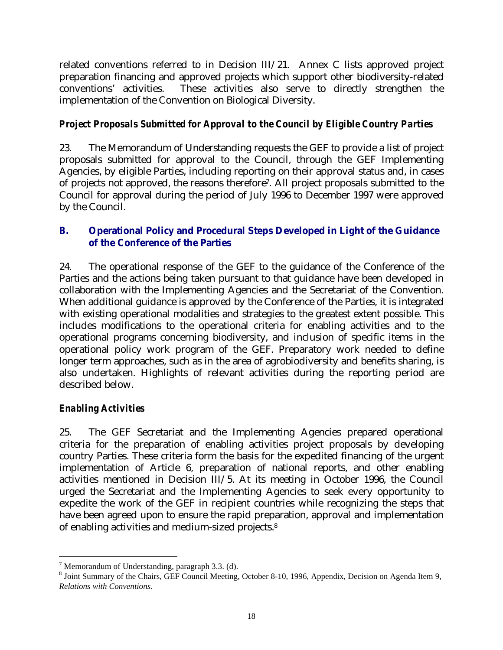related conventions referred to in Decision III/21. Annex C lists approved project preparation financing and approved projects which support other biodiversity-related conventions' activities. These activities also serve to directly strengthen the implementation of the Convention on Biological Diversity.

# *Project Proposals Submitted for Approval to the Council by Eligible Country Parties*

23. The Memorandum of Understanding requests the GEF to provide a list of project proposals submitted for approval to the Council, through the GEF Implementing Agencies, by eligible Parties, including reporting on their approval status and, in cases of projects not approved, the reasons therefore<sup>7</sup> . All project proposals submitted to the Council for approval during the period of July 1996 to December 1997 were approved by the Council.

# **B. Operational Policy and Procedural Steps Developed in Light of the Guidance of the Conference of the Parties**

24. The operational response of the GEF to the guidance of the Conference of the Parties and the actions being taken pursuant to that guidance have been developed in collaboration with the Implementing Agencies and the Secretariat of the Convention. When additional guidance is approved by the Conference of the Parties, it is integrated with existing operational modalities and strategies to the greatest extent possible. This includes modifications to the operational criteria for enabling activities and to the operational programs concerning biodiversity, and inclusion of specific items in the operational policy work program of the GEF. Preparatory work needed to define longer term approaches, such as in the area of agrobiodiversity and benefits sharing, is also undertaken. Highlights of relevant activities during the reporting period are described below.

# *Enabling Activities*

 $\overline{a}$ 

25. The GEF Secretariat and the Implementing Agencies prepared operational criteria for the preparation of enabling activities project proposals by developing country Parties. These criteria form the basis for the expedited financing of the urgent implementation of Article 6, preparation of national reports, and other enabling activities mentioned in Decision III/5. At its meeting in October 1996, the Council urged the Secretariat and the Implementing Agencies to seek every opportunity to expedite the work of the GEF in recipient countries while recognizing the steps that have been agreed upon to ensure the rapid preparation, approval and implementation of enabling activities and medium-sized projects.<sup>8</sup>

 $^7$  Memorandum of Understanding, paragraph 3.3. (d).

<sup>&</sup>lt;sup>8</sup> Joint Summary of the Chairs, GEF Council Meeting, October 8-10, 1996, Appendix, Decision on Agenda Item 9, *Relations with Conventions*.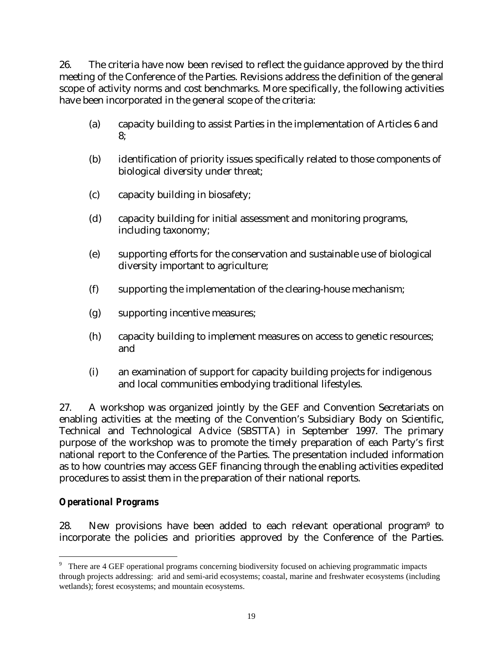26. The criteria have now been revised to reflect the guidance approved by the third meeting of the Conference of the Parties. Revisions address the definition of the general scope of activity norms and cost benchmarks. More specifically, the following activities have been incorporated in the general scope of the criteria:

- (a) capacity building to assist Parties in the implementation of Articles 6 and 8;
- (b) identification of priority issues specifically related to those components of biological diversity under threat;
- (c) capacity building in biosafety;
- (d) capacity building for initial assessment and monitoring programs, including taxonomy;
- (e) supporting efforts for the conservation and sustainable use of biological diversity important to agriculture;
- (f) supporting the implementation of the clearing-house mechanism;
- (g) supporting incentive measures;
- (h) capacity building to implement measures on access to genetic resources; and
- (i) an examination of support for capacity building projects for indigenous and local communities embodying traditional lifestyles.

27. A workshop was organized jointly by the GEF and Convention Secretariats on enabling activities at the meeting of the Convention's Subsidiary Body on Scientific, Technical and Technological Advice (SBSTTA) in September 1997. The primary purpose of the workshop was to promote the timely preparation of each Party's first national report to the Conference of the Parties. The presentation included information as to how countries may access GEF financing through the enabling activities expedited procedures to assist them in the preparation of their national reports.

## *Operational Programs*

 $\overline{a}$ 

28. New provisions have been added to each relevant operational program<sup>9</sup> to incorporate the policies and priorities approved by the Conference of the Parties.

<sup>&</sup>lt;sup>9</sup> There are 4 GEF operational programs concerning biodiversity focused on achieving programmatic impacts through projects addressing: arid and semi-arid ecosystems; coastal, marine and freshwater ecosystems (including wetlands); forest ecosystems; and mountain ecosystems.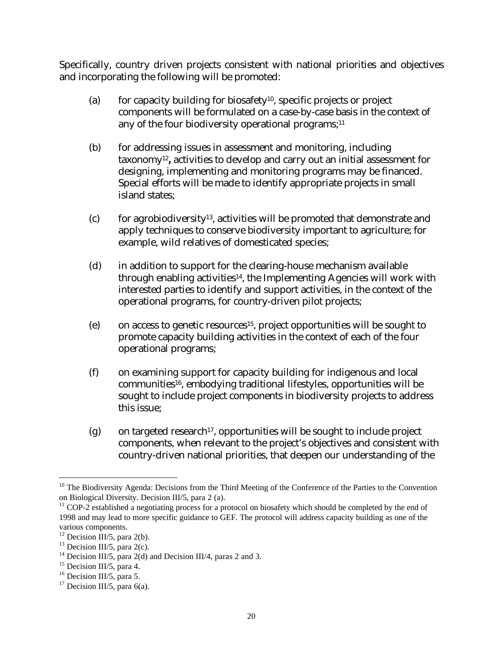Specifically, country driven projects consistent with national priorities and objectives and incorporating the following will be promoted:

- (a) for capacity building for biosafety<sup>10</sup>, specific projects or project components will be formulated on a case-by-case basis in the context of any of the four biodiversity operational programs;<sup>11</sup>
- (b) for addressing issues in assessment and monitoring, including taxonomy<sup>12</sup> **,** activities to develop and carry out an initial assessment for designing, implementing and monitoring programs may be financed. Special efforts will be made to identify appropriate projects in small island states;
- $(c)$  for agrobiodiversity<sup>13</sup>, activities will be promoted that demonstrate and apply techniques to conserve biodiversity important to agriculture; for example, wild relatives of domesticated species;
- (d) in addition to support for the clearing-house mechanism available through enabling activities14, the Implementing Agencies will work with interested parties to identify and support activities, in the context of the operational programs, for country-driven pilot projects;
- (e) on access to genetic resources15, project opportunities will be sought to promote capacity building activities in the context of each of the four operational programs;
- (f) on examining support for capacity building for indigenous and local communities16, embodying traditional lifestyles, opportunities will be sought to include project components in biodiversity projects to address this issue;
- (g) on targeted research<sup>17</sup>, opportunities will be sought to include project components, when relevant to the project's objectives and consistent with country-driven national priorities, that deepen our understanding of the

<u>.</u>

<sup>&</sup>lt;sup>10</sup> The Biodiversity Agenda: Decisions from the Third Meeting of the Conference of the Parties to the Convention on Biological Diversity. Decision III/5, para 2 (a).

<sup>&</sup>lt;sup>11</sup> COP-2 established a negotiating process for a protocol on biosafety which should be completed by the end of 1998 and may lead to more specific guidance to GEF. The protocol will address capacity building as one of the various components.

 $12$  Decision III/5, para 2(b).

<sup>&</sup>lt;sup>13</sup> Decision III/5, para  $2(c)$ .

<sup>&</sup>lt;sup>14</sup> Decision III/5, para 2(d) and Decision III/4, paras 2 and 3.

 $15$  Decision III/5, para 4.

 $16$  Decision III/5, para 5.

<sup>&</sup>lt;sup>17</sup> Decision III/5, para  $6(a)$ .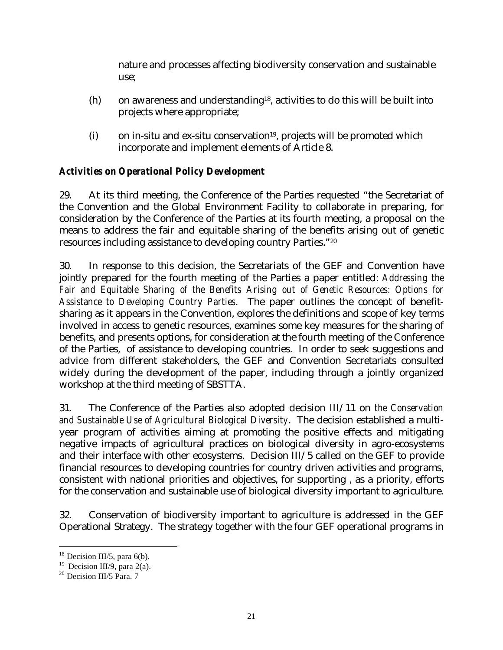nature and processes affecting biodiversity conservation and sustainable use;

- (h) on awareness and understanding18, activities to do this will be built into projects where appropriate;
- (i) on in-situ and ex-situ conservation<sup>19</sup>, projects will be promoted which incorporate and implement elements of Article 8.

# *Activities on Operational Policy Development*

29. At its third meeting, the Conference of the Parties requested "the Secretariat of the Convention and the Global Environment Facility to collaborate in preparing, for consideration by the Conference of the Parties at its fourth meeting, a proposal on the means to address the fair and equitable sharing of the benefits arising out of genetic resources including assistance to developing country Parties."<sup>20</sup>

30. In response to this decision, the Secretariats of the GEF and Convention have jointly prepared for the fourth meeting of the Parties a paper entitled: *Addressing the Fair and Equitable Sharing of the Benefits Arising out of Genetic Resources: Options for Assistance to Developing Country Parties*. The paper outlines the concept of benefitsharing as it appears in the Convention, explores the definitions and scope of key terms involved in access to genetic resources, examines some key measures for the sharing of benefits, and presents options, for consideration at the fourth meeting of the Conference of the Parties, of assistance to developing countries. In order to seek suggestions and advice from different stakeholders, the GEF and Convention Secretariats consulted widely during the development of the paper, including through a jointly organized workshop at the third meeting of SBSTTA.

31. The Conference of the Parties also adopted decision III/11 on *the Conservation and Sustainable Use of Agricultural Biological Diversity*. The decision established a multiyear program of activities aiming at promoting the positive effects and mitigating negative impacts of agricultural practices on biological diversity in agro-ecosystems and their interface with other ecosystems. Decision III/5 called on the GEF to provide financial resources to developing countries for country driven activities and programs, consistent with national priorities and objectives, for supporting , as a priority, efforts for the conservation and sustainable use of biological diversity important to agriculture.

32. Conservation of biodiversity important to agriculture is addressed in the GEF Operational Strategy. The strategy together with the four GEF operational programs in

<u>.</u>

 $18$  Decision III/5, para 6(b).

<sup>&</sup>lt;sup>19</sup> Decision III/9, para 2(a).

 $^{20}$  Decision III/5 Para. 7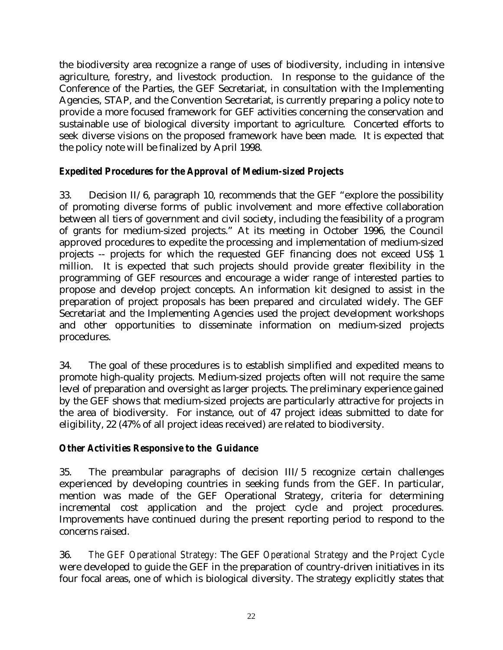the biodiversity area recognize a range of uses of biodiversity, including in intensive agriculture, forestry, and livestock production. In response to the guidance of the Conference of the Parties, the GEF Secretariat, in consultation with the Implementing Agencies, STAP, and the Convention Secretariat, is currently preparing a policy note to provide a more focused framework for GEF activities concerning the conservation and sustainable use of biological diversity important to agriculture. Concerted efforts to seek diverse visions on the proposed framework have been made. It is expected that the policy note will be finalized by April 1998.

## *Expedited Procedures for the Approval of Medium-sized Projects*

33. Decision II/6, paragraph 10, recommends that the GEF "explore the possibility of promoting diverse forms of public involvement and more effective collaboration between all tiers of government and civil society, including the feasibility of a program of grants for medium-sized projects." At its meeting in October 1996, the Council approved procedures to expedite the processing and implementation of medium-sized projects -- projects for which the requested GEF financing does not exceed US\$ 1 million. It is expected that such projects should provide greater flexibility in the programming of GEF resources and encourage a wider range of interested parties to propose and develop project concepts. An information kit designed to assist in the preparation of project proposals has been prepared and circulated widely. The GEF Secretariat and the Implementing Agencies used the project development workshops and other opportunities to disseminate information on medium-sized projects procedures.

34. The goal of these procedures is to establish simplified and expedited means to promote high-quality projects. Medium-sized projects often will not require the same level of preparation and oversight as larger projects. The preliminary experience gained by the GEF shows that medium-sized projects are particularly attractive for projects in the area of biodiversity. For instance, out of 47 project ideas submitted to date for eligibility, 22 (47% of all project ideas received) are related to biodiversity.

## *Other Activities Responsive to the Guidance*

35. The preambular paragraphs of decision III/5 recognize certain challenges experienced by developing countries in seeking funds from the GEF. In particular, mention was made of the GEF Operational Strategy, criteria for determining incremental cost application and the project cycle and project procedures. Improvements have continued during the present reporting period to respond to the concerns raised.

36. *The GEF Operational Strategy:* The GEF *Operational Strategy* and the *Project Cycle* were developed to guide the GEF in the preparation of country-driven initiatives in its four focal areas, one of which is biological diversity. The strategy explicitly states that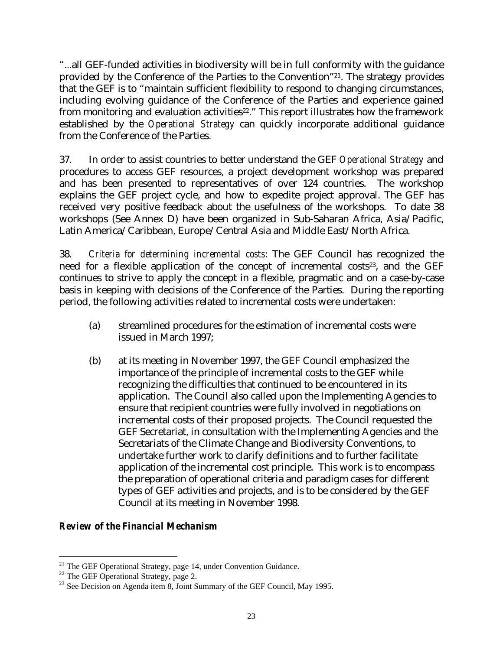"...all GEF-funded activities in biodiversity will be in full conformity with the guidance provided by the Conference of the Parties to the Convention"21. The strategy provides that the GEF is to "maintain sufficient flexibility to respond to changing circumstances, including evolving guidance of the Conference of the Parties and experience gained from monitoring and evaluation activities<sup>22</sup>." This report illustrates how the framework established by the *Operational Strategy* can quickly incorporate additional guidance from the Conference of the Parties.

37. In order to assist countries to better understand the GEF *Operational Strategy* and procedures to access GEF resources, a project development workshop was prepared and has been presented to representatives of over 124 countries. The workshop explains the GEF project cycle, and how to expedite project approval. The GEF has received very positive feedback about the usefulness of the workshops. To date 38 workshops (See Annex D) have been organized in Sub-Saharan Africa, Asia/Pacific, Latin America/Caribbean, Europe/Central Asia and Middle East/North Africa.

38. *Criteria for determining incremental costs*: The GEF Council has recognized the need for a flexible application of the concept of incremental costs<sup>23</sup>, and the GEF continues to strive to apply the concept in a flexible, pragmatic and on a case-by-case basis in keeping with decisions of the Conference of the Parties. During the reporting period, the following activities related to incremental costs were undertaken:

- (a) streamlined procedures for the estimation of incremental costs were issued in March 1997;
- (b) at its meeting in November 1997, the GEF Council emphasized the importance of the principle of incremental costs to the GEF while recognizing the difficulties that continued to be encountered in its application. The Council also called upon the Implementing Agencies to ensure that recipient countries were fully involved in negotiations on incremental costs of their proposed projects. The Council requested the GEF Secretariat, in consultation with the Implementing Agencies and the Secretariats of the Climate Change and Biodiversity Conventions, to undertake further work to clarify definitions and to further facilitate application of the incremental cost principle. This work is to encompass the preparation of operational criteria and paradigm cases for different types of GEF activities and projects, and is to be considered by the GEF Council at its meeting in November 1998.

#### *Review of the Financial Mechanism*

<u>.</u>

 $21$  The GEF Operational Strategy, page 14, under Convention Guidance.

 $22$  The GEF Operational Strategy, page 2.

 $23$  See Decision on Agenda item 8, Joint Summary of the GEF Council, May 1995.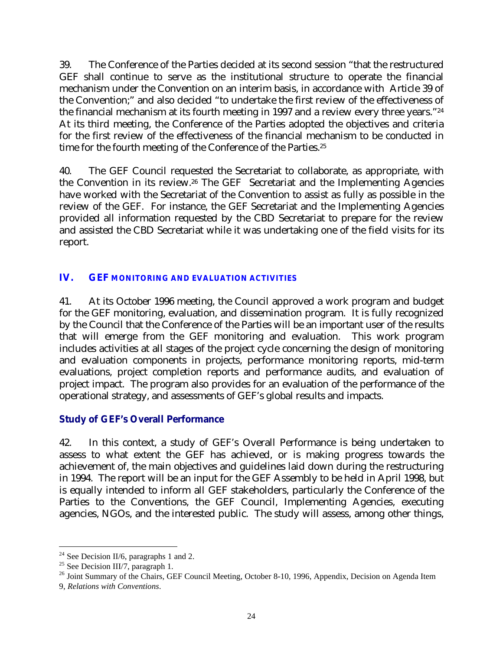39. The Conference of the Parties decided at its second session "that the restructured GEF shall continue to serve as the institutional structure to operate the financial mechanism under the Convention on an interim basis, in accordance with Article 39 of the Convention;" and also decided "to undertake the first review of the effectiveness of the financial mechanism at its fourth meeting in 1997 and a review every three years."<sup>24</sup> At its third meeting, the Conference of the Parties adopted the objectives and criteria for the first review of the effectiveness of the financial mechanism to be conducted in time for the fourth meeting of the Conference of the Parties.<sup>25</sup>

40. The GEF Council requested the Secretariat to collaborate, as appropriate, with the Convention in its review.26 The GEF Secretariat and the Implementing Agencies have worked with the Secretariat of the Convention to assist as fully as possible in the review of the GEF. For instance, the GEF Secretariat and the Implementing Agencies provided all information requested by the CBD Secretariat to prepare for the review and assisted the CBD Secretariat while it was undertaking one of the field visits for its report.

## **IV. GEF MONITORING AND EVALUATION ACTIVITIES**

41. At its October 1996 meeting, the Council approved a work program and budget for the GEF monitoring, evaluation, and dissemination program. It is fully recognized by the Council that the Conference of the Parties will be an important user of the results that will emerge from the GEF monitoring and evaluation. This work program includes activities at all stages of the project cycle concerning the design of monitoring and evaluation components in projects, performance monitoring reports, mid-term evaluations, project completion reports and performance audits, and evaluation of project impact. The program also provides for an evaluation of the performance of the operational strategy, and assessments of GEF's global results and impacts.

## **Study of GEF's Overall Performance**

42. In this context, a study of GEF's Overall Performance is being undertaken to assess to what extent the GEF has achieved, or is making progress towards the achievement of, the main objectives and guidelines laid down during the restructuring in 1994. The report will be an input for the GEF Assembly to be held in April 1998, but is equally intended to inform all GEF stakeholders, particularly the Conference of the Parties to the Conventions, the GEF Council, Implementing Agencies, executing agencies, NGOs, and the interested public. The study will assess, among other things,

<u>.</u>

<sup>&</sup>lt;sup>24</sup> See Decision II/6, paragraphs 1 and 2.

 $^{25}$  See Decision III/7, paragraph 1.

<sup>&</sup>lt;sup>26</sup> Joint Summary of the Chairs, GEF Council Meeting, October 8-10, 1996, Appendix, Decision on Agenda Item 9, *Relations with Conventions*.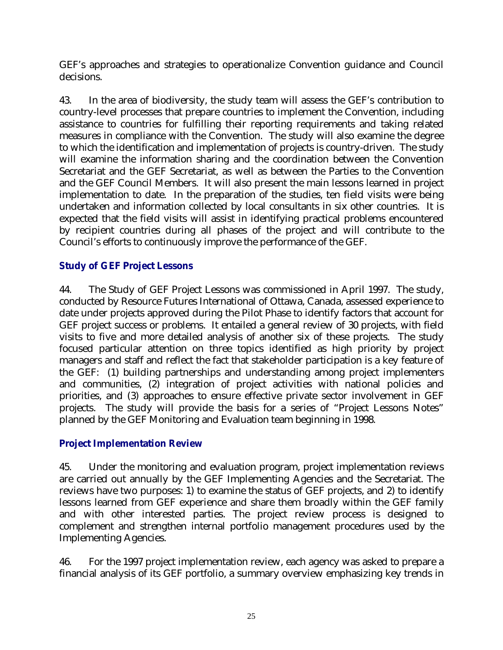GEF's approaches and strategies to operationalize Convention guidance and Council decisions.

43. In the area of biodiversity, the study team will assess the GEF's contribution to country-level processes that prepare countries to implement the Convention, including assistance to countries for fulfilling their reporting requirements and taking related measures in compliance with the Convention. The study will also examine the degree to which the identification and implementation of projects is country-driven. The study will examine the information sharing and the coordination between the Convention Secretariat and the GEF Secretariat, as well as between the Parties to the Convention and the GEF Council Members. It will also present the main lessons learned in project implementation to date. In the preparation of the studies, ten field visits were being undertaken and information collected by local consultants in six other countries. It is expected that the field visits will assist in identifying practical problems encountered by recipient countries during all phases of the project and will contribute to the Council's efforts to continuously improve the performance of the GEF.

## **Study of GEF Project Lessons**

44. The Study of GEF Project Lessons was commissioned in April 1997. The study, conducted by Resource Futures International of Ottawa, Canada, assessed experience to date under projects approved during the Pilot Phase to identify factors that account for GEF project success or problems. It entailed a general review of 30 projects, with field visits to five and more detailed analysis of another six of these projects. The study focused particular attention on three topics identified as high priority by project managers and staff and reflect the fact that stakeholder participation is a key feature of the GEF: (1) building partnerships and understanding among project implementers and communities, (2) integration of project activities with national policies and priorities, and (3) approaches to ensure effective private sector involvement in GEF projects. The study will provide the basis for a series of "Project Lessons Notes" planned by the GEF Monitoring and Evaluation team beginning in 1998.

## **Project Implementation Review**

45. Under the monitoring and evaluation program, project implementation reviews are carried out annually by the GEF Implementing Agencies and the Secretariat. The reviews have two purposes: 1) to examine the status of GEF projects, and 2) to identify lessons learned from GEF experience and share them broadly within the GEF family and with other interested parties. The project review process is designed to complement and strengthen internal portfolio management procedures used by the Implementing Agencies.

46. For the 1997 project implementation review, each agency was asked to prepare a financial analysis of its GEF portfolio, a summary overview emphasizing key trends in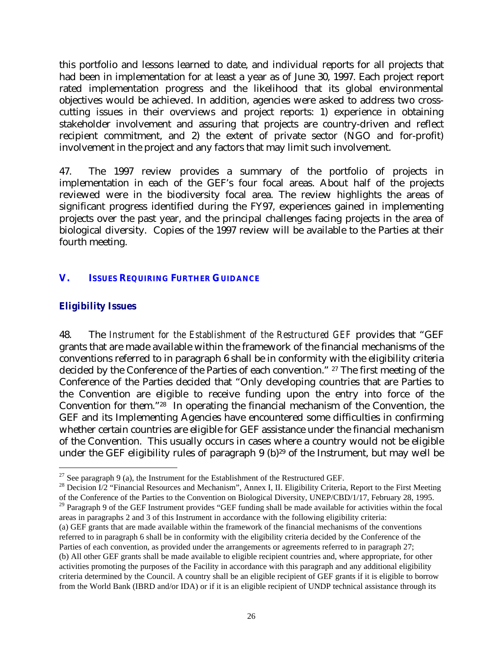this portfolio and lessons learned to date, and individual reports for all projects that had been in implementation for at least a year as of June 30, 1997. Each project report rated implementation progress and the likelihood that its global environmental objectives would be achieved. In addition, agencies were asked to address two crosscutting issues in their overviews and project reports: 1) experience in obtaining stakeholder involvement and assuring that projects are country-driven and reflect recipient commitment, and 2) the extent of private sector (NGO and for-profit) involvement in the project and any factors that may limit such involvement.

47. The 1997 review provides a summary of the portfolio of projects in implementation in each of the GEF's four focal areas. About half of the projects reviewed were in the biodiversity focal area. The review highlights the areas of significant progress identified during the FY97, experiences gained in implementing projects over the past year, and the principal challenges facing projects in the area of biological diversity. Copies of the 1997 review will be available to the Parties at their fourth meeting.

# **V. ISSUES REQUIRING FURTHER GUIDANCE**

# **Eligibility Issues**

48. The *Instrument for the Establishment of the Restructured GEF* provides that "GEF grants that are made available within the framework of the financial mechanisms of the conventions referred to in paragraph 6 shall be in conformity with the eligibility criteria decided by the Conference of the Parties of each convention." 27 The first meeting of the Conference of the Parties decided that "Only developing countries that are Parties to the Convention are eligible to receive funding upon the entry into force of the Convention for them."28 In operating the financial mechanism of the Convention, the GEF and its Implementing Agencies have encountered some difficulties in confirming whether certain countries are eligible for GEF assistance under the financial mechanism of the Convention. This usually occurs in cases where a country would not be eligible under the GEF eligibility rules of paragraph 9 (b)<sup>29</sup> of the Instrument, but may well be

<sup>&</sup>lt;u>.</u>  $27$  See paragraph 9 (a), the Instrument for the Establishment of the Restructured GEF.

<sup>&</sup>lt;sup>28</sup> Decision I/2 "Financial Resources and Mechanism", Annex I, II. Eligibility Criteria, Report to the First Meeting of the Conference of the Parties to the Convention on Biological Diversity, UNEP/CBD/1/17, February 28, 1995.

<sup>&</sup>lt;sup>29</sup> Paragraph 9 of the GEF Instrument provides "GEF funding shall be made available for activities within the focal areas in paragraphs 2 and 3 of this Instrument in accordance with the following eligibility criteria:

<sup>(</sup>a) GEF grants that are made available within the framework of the financial mechanisms of the conventions referred to in paragraph 6 shall be in conformity with the eligibility criteria decided by the Conference of the Parties of each convention, as provided under the arrangements or agreements referred to in paragraph 27; (b) All other GEF grants shall be made available to eligible recipient countries and, where appropriate, for other activities promoting the purposes of the Facility in accordance with this paragraph and any additional eligibility criteria determined by the Council. A country shall be an eligible recipient of GEF grants if it is eligible to borrow from the World Bank (IBRD and/or IDA) or if it is an eligible recipient of UNDP technical assistance through its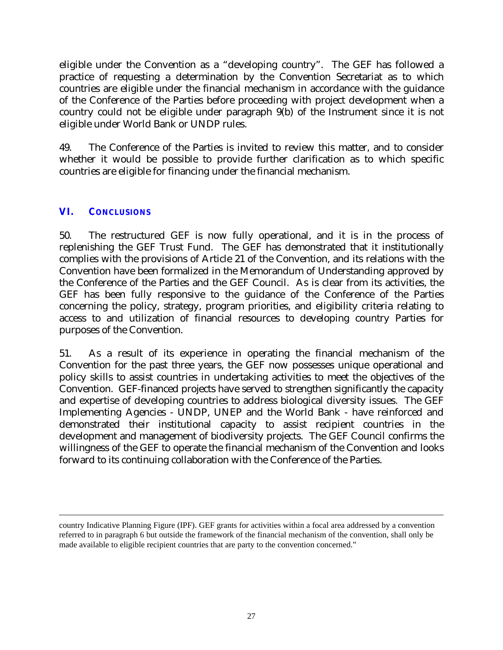eligible under the Convention as a "developing country". The GEF has followed a practice of requesting a determination by the Convention Secretariat as to which countries are eligible under the financial mechanism in accordance with the guidance of the Conference of the Parties before proceeding with project development when a country could not be eligible under paragraph 9(b) of the Instrument since it is not eligible under World Bank or UNDP rules.

49. The Conference of the Parties is invited to review this matter, and to consider whether it would be possible to provide further clarification as to which specific countries are eligible for financing under the financial mechanism.

## **VI. CONCLUSIONS**

 $\overline{a}$ 

50. The restructured GEF is now fully operational, and it is in the process of replenishing the GEF Trust Fund. The GEF has demonstrated that it institutionally complies with the provisions of Article 21 of the Convention, and its relations with the Convention have been formalized in the Memorandum of Understanding approved by the Conference of the Parties and the GEF Council. As is clear from its activities, the GEF has been fully responsive to the guidance of the Conference of the Parties concerning the policy, strategy, program priorities, and eligibility criteria relating to access to and utilization of financial resources to developing country Parties for purposes of the Convention.

51. As a result of its experience in operating the financial mechanism of the Convention for the past three years, the GEF now possesses unique operational and policy skills to assist countries in undertaking activities to meet the objectives of the Convention. GEF-financed projects have served to strengthen significantly the capacity and expertise of developing countries to address biological diversity issues. The GEF Implementing Agencies - UNDP, UNEP and the World Bank - have reinforced and demonstrated their institutional capacity to assist recipient countries in the development and management of biodiversity projects. The GEF Council confirms the willingness of the GEF to operate the financial mechanism of the Convention and looks forward to its continuing collaboration with the Conference of the Parties.

country Indicative Planning Figure (IPF). GEF grants for activities within a focal area addressed by a convention referred to in paragraph 6 but outside the framework of the financial mechanism of the convention, shall only be made available to eligible recipient countries that are party to the convention concerned."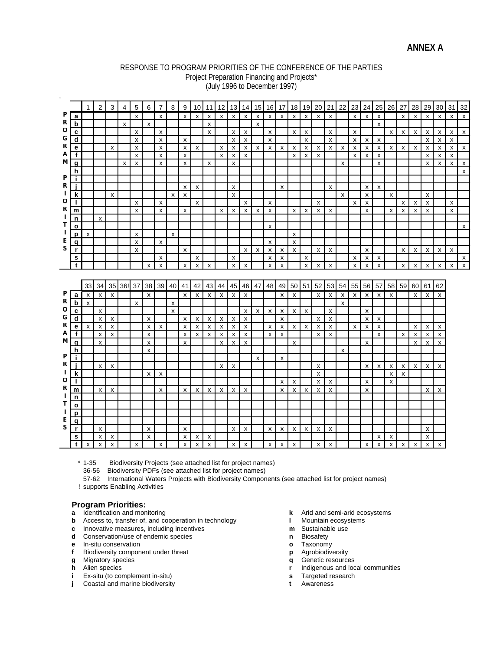#### RESPONSE TO PROGRAM PRIORITIES OF THE CONFERENCE OF THE PARTIES Project Preparation Financing and Projects\* (July 1996 to December 1997)

|        |                  | 1            | $\overline{2}$                            | 3                         | $\overline{4}$ | $\sqrt{5}$ | 6                  | $\overline{7}$            | 8                  | 9                         | 10           | 11                 | 12                        | 13 <sup>1</sup> | 14                        |                           | 15 16                     | 17                        | 18           | 19                 | 20           | 21                        | 22                        |   | $23 \mid 24$       | 25                        | 26                 | 27                        | 28                        | 29           | 30                 | 31             | 32                        |
|--------|------------------|--------------|-------------------------------------------|---------------------------|----------------|------------|--------------------|---------------------------|--------------------|---------------------------|--------------|--------------------|---------------------------|-----------------|---------------------------|---------------------------|---------------------------|---------------------------|--------------|--------------------|--------------|---------------------------|---------------------------|---|--------------------|---------------------------|--------------------|---------------------------|---------------------------|--------------|--------------------|----------------|---------------------------|
| P      | a                |              |                                           |                           |                | x          |                    | X                         |                    | X                         | X            | x                  | $\boldsymbol{\mathsf{x}}$ | X               | X                         | X                         | $\mathsf{x}$              | $\pmb{\chi}$              | $\mathsf{x}$ | X                  | X            | X                         |                           | X | $\mathsf{x}$       | X                         |                    | X                         | X                         | $\mathsf{x}$ | x                  | x              | $\pmb{\chi}$              |
| R      | b                |              |                                           |                           | X              |            | $\pmb{\mathsf{x}}$ |                           |                    |                           |              | $\pmb{\chi}$       |                           |                 |                           | X                         |                           |                           |              |                    |              |                           |                           |   |                    | x                         |                    |                           |                           |              |                    |                |                           |
| o      | $\mathbf c$      |              |                                           |                           |                | X          |                    | X                         |                    |                           |              | $\pmb{\mathsf{x}}$ |                           | X               | $\mathsf{x}$              |                           | X                         |                           | x            | X                  |              | X                         |                           | X |                    |                           | $\mathsf{x}$       | X                         | X                         | x            | x                  | $\mathsf{x}$   | $\pmb{\chi}$              |
| G      | $\mathbf d$      |              |                                           |                           |                | x          |                    | X                         |                    | X                         |              |                    |                           | x               | x                         |                           | x                         |                           |              | X                  |              | X                         |                           | X | х                  | X                         |                    |                           |                           | x            | X                  | x              |                           |
| R      | е                |              |                                           | $\boldsymbol{\mathsf{x}}$ |                | X          |                    | $\boldsymbol{\mathsf{x}}$ |                    | $\mathsf{x}$              | x            |                    | $\boldsymbol{\mathsf{x}}$ | X               | x                         | x                         | $\mathsf{x}$              | $\boldsymbol{\mathsf{x}}$ | x            | x                  | x            | X                         | $\mathsf{x}$              | X | X                  | х                         | X                  | $\boldsymbol{\mathsf{x}}$ | x                         | X            | х                  | X              | $\boldsymbol{\mathsf{x}}$ |
| A      | f                |              |                                           |                           |                | X          |                    | X                         |                    | X                         |              |                    | X                         | x               | x                         |                           |                           |                           | X            | x                  | X            |                           |                           | X | x                  | х                         |                    |                           |                           | x            | x                  | X              |                           |
| M      | g                |              |                                           |                           | X              | X          |                    | $\boldsymbol{\mathsf{x}}$ |                    | X                         |              | X                  |                           | X               |                           |                           |                           |                           |              |                    |              |                           | X                         |   |                    | X                         |                    |                           |                           | X            | X                  | X              | $\pmb{\mathsf{x}}$        |
|        | h                |              |                                           |                           |                |            |                    |                           |                    |                           |              |                    |                           |                 |                           |                           |                           |                           |              |                    |              |                           |                           |   |                    |                           |                    |                           |                           |              |                    |                | $\boldsymbol{\mathsf{x}}$ |
| P      | i.               |              |                                           |                           |                |            |                    |                           |                    |                           |              |                    |                           |                 |                           |                           |                           |                           |              |                    |              |                           |                           |   |                    |                           |                    |                           |                           |              |                    |                |                           |
| R      | j.               |              |                                           |                           |                |            |                    |                           |                    | x                         | X            |                    |                           | х               |                           |                           |                           | X                         |              |                    |              | X                         |                           |   | х                  | X                         |                    |                           |                           |              |                    |                |                           |
|        | k                |              |                                           | x                         |                |            |                    |                           | $\mathsf{x}$       | X                         |              |                    |                           | X               |                           |                           |                           |                           |              |                    |              |                           | $\boldsymbol{\mathsf{x}}$ |   | X                  |                           | X                  |                           |                           | x            |                    |                |                           |
| o      | $\mathbf{I}$     |              |                                           |                           |                | X          |                    | X                         |                    |                           | X            |                    |                           |                 | X                         |                           | $\pmb{\chi}$              |                           |              |                    | X            |                           |                           | X | X                  |                           |                    | X                         | $\boldsymbol{\mathsf{x}}$ | X            |                    | $\pmb{\times}$ |                           |
| R      | m                |              |                                           |                           |                | X          |                    | $\boldsymbol{\mathsf{x}}$ |                    | X                         |              |                    | $\boldsymbol{\mathsf{x}}$ | x               | x                         | $\boldsymbol{\mathsf{x}}$ | $\pmb{\chi}$              |                           | X            | X                  | X            | X                         |                           |   | X                  |                           | $\mathsf{x}$       | $\pmb{\chi}$              | X                         | X            |                    | $\mathsf{x}$   |                           |
| J.     | n                |              | X                                         |                           |                |            |                    |                           |                    |                           |              |                    |                           |                 |                           |                           |                           |                           |              |                    |              |                           |                           |   |                    |                           |                    |                           |                           |              |                    |                |                           |
| т      | $\circ$          |              |                                           |                           |                |            |                    |                           |                    |                           |              |                    |                           |                 |                           |                           | X                         |                           |              |                    |              |                           |                           |   |                    |                           |                    |                           |                           |              |                    |                | X                         |
| L      | p                | X            |                                           |                           |                | X          |                    |                           | X                  |                           |              |                    |                           |                 |                           |                           |                           |                           | X            |                    |              |                           |                           |   |                    |                           |                    |                           |                           |              |                    |                |                           |
| Е      | $\mathbf{q}$     |              |                                           |                           |                | x          |                    | $\boldsymbol{\mathsf{x}}$ |                    |                           |              |                    |                           |                 |                           |                           | X                         |                           | $\mathsf{x}$ |                    |              |                           |                           |   |                    |                           |                    |                           |                           |              |                    |                |                           |
| S      | r                |              |                                           |                           |                | X          |                    |                           |                    | $\boldsymbol{\mathsf{x}}$ |              |                    |                           |                 | x                         | X                         | x                         | X                         | x            |                    | X            | $\boldsymbol{\mathsf{x}}$ |                           |   | X                  |                           |                    | X                         | х                         | x            | X                  | X              |                           |
|        | s                |              |                                           |                           |                |            |                    | X                         |                    |                           | X            |                    |                           | X               |                           |                           | X                         | X                         |              | X                  |              |                           |                           | х | X                  | x                         |                    |                           |                           |              |                    |                | X                         |
|        | $\mathbf t$      |              |                                           |                           |                |            | $\mathsf{x}$       | $\pmb{\times}$            |                    | $\pmb{\mathsf{x}}$        | X            | $\pmb{\mathsf{x}}$ |                           | X               | X                         |                           | $\boldsymbol{\mathsf{x}}$ | x                         |              | $\pmb{\mathsf{x}}$ | X            | $\pmb{\times}$            |                           | X | $\mathsf{x}$       | $\pmb{\times}$            |                    | $\boldsymbol{\mathsf{x}}$ | X                         | X            | X                  | X              | $\mathsf{x}$              |
|        |                  |              |                                           |                           |                |            |                    |                           |                    |                           |              |                    |                           |                 |                           |                           |                           |                           |              |                    |              |                           |                           |   |                    |                           |                    |                           |                           |              |                    |                |                           |
|        |                  |              |                                           |                           |                |            |                    |                           |                    |                           |              |                    |                           |                 |                           |                           |                           |                           |              |                    |              |                           |                           |   |                    |                           |                    |                           |                           |              |                    |                |                           |
|        |                  |              |                                           |                           |                |            |                    |                           |                    |                           |              |                    |                           |                 |                           |                           |                           |                           |              |                    |              |                           |                           |   |                    |                           |                    |                           |                           |              |                    |                |                           |
|        |                  | 33           |                                           |                           | 34 35 36! 37   |            |                    | 38 39 40 41               |                    |                           | 42           | 43                 | 44                        |                 | 45 46                     | 47                        | 48 49                     |                           | 50 51        |                    | 52           | 53                        | 54                        |   | 55 56 57           |                           |                    |                           | 58 59 60 61               |              | 62                 |                |                           |
| P      | a                | x            | $\mathsf{x}$                              | $\boldsymbol{\mathsf{x}}$ |                |            | $\mathsf{x}$       |                           |                    | $\mathsf{x}$              | $\mathsf{x}$ | $\mathsf{x}$       | $\mathsf{x}$              | $\mathsf{x}$    | $\boldsymbol{\mathsf{x}}$ |                           |                           | $\mathsf{x}$              | X            |                    | $\mathsf{x}$ | $\pmb{\chi}$              | $\boldsymbol{\mathsf{x}}$ | X | $\mathsf{x}$       | $\boldsymbol{\mathsf{x}}$ | X                  |                           | $\times$                  | $\mathsf{x}$ | X                  |                |                           |
| R      | $\mathbf b$      | x            |                                           |                           |                | X          |                    |                           | X                  |                           |              |                    |                           |                 |                           |                           |                           |                           |              |                    |              |                           | X                         |   |                    |                           |                    |                           |                           |              |                    |                |                           |
| O      | c                |              | $\pmb{\chi}$                              |                           |                |            |                    |                           | $\pmb{\mathsf{x}}$ |                           |              |                    |                           |                 | X                         | x                         | $\boldsymbol{\mathsf{x}}$ | $\boldsymbol{\mathsf{x}}$ | $\mathsf{x}$ | X                  |              | $\pmb{\times}$            |                           |   | X                  |                           |                    |                           |                           |              |                    |                |                           |
| G      | $\mathbf d$      |              | $\boldsymbol{\mathsf{x}}$                 | X                         |                |            | $\mathsf{x}$       |                           |                    | $\mathsf{x}$              | X            | $\mathsf{x}$       | $\boldsymbol{\mathsf{x}}$ | X               | X                         |                           |                           | $\boldsymbol{\mathsf{x}}$ |              |                    | X            | $\pmb{\chi}$              |                           |   | $\mathsf{x}$       | $\mathsf{x}$              |                    |                           |                           |              |                    |                |                           |
| R      | е                | $\mathsf{x}$ | X                                         | X                         |                |            | X                  | X                         |                    | $\mathsf{x}$              | X            | Х                  | X                         | X               | $\pmb{\mathsf{x}}$        |                           | $\boldsymbol{\mathsf{x}}$ | X                         | $\mathsf{x}$ | X                  | X            | X                         |                           | X | X                  | X                         |                    |                           | х                         | X            | X                  |                |                           |
| Α<br>М | $\mathbf f$      |              | $\boldsymbol{\mathsf{x}}$                 | x                         |                |            | $\mathsf{x}$       |                           |                    | $\pmb{\mathsf{x}}$        | X            | $\mathbf{x}$       | $\boldsymbol{\mathsf{x}}$ | X               | $\mathsf{x}$              |                           | X                         | $\mathsf{x}$              |              |                    | $\mathsf{x}$ | x                         |                           |   |                    | X                         |                    | $\boldsymbol{\mathsf{x}}$ | $\mathsf{x}$              | x            | $\pmb{\mathsf{x}}$ |                |                           |
|        | g                |              | X                                         |                           |                |            | x                  |                           |                    | x                         |              |                    | X                         | X               | X                         |                           |                           |                           | X            |                    |              |                           |                           |   | x                  |                           |                    |                           | $\mathsf{x}$              | x            | x                  |                |                           |
| Ρ      | h                |              |                                           |                           |                |            | X                  |                           |                    |                           |              |                    |                           |                 |                           |                           |                           |                           |              |                    |              |                           | $\boldsymbol{\mathsf{x}}$ |   |                    |                           |                    |                           |                           |              |                    |                |                           |
| R      | j.               |              |                                           |                           |                |            |                    |                           |                    |                           |              |                    |                           |                 |                           | $\mathsf{x}$              |                           | $\mathsf{x}$              |              |                    |              |                           |                           |   |                    |                           |                    |                           |                           |              |                    |                |                           |
|        |                  |              | X                                         | x                         |                |            |                    |                           |                    |                           |              |                    | X                         | x               |                           |                           |                           |                           |              |                    | x            |                           |                           |   | X                  | X                         | X                  | X                         | x                         | X            | X                  |                |                           |
| O      | k                |              |                                           |                           |                |            | $\mathsf{x}$       | $\boldsymbol{\mathsf{x}}$ |                    |                           |              |                    |                           |                 |                           |                           |                           |                           |              |                    | X            |                           |                           |   |                    |                           | X                  | X                         |                           |              |                    |                |                           |
| R      | $\mathbf{I}$     |              |                                           |                           |                |            |                    |                           |                    |                           |              |                    |                           |                 |                           |                           |                           | $\boldsymbol{\mathsf{x}}$ | X            |                    | X            | $\pmb{\times}$            |                           |   | x                  |                           | $\pmb{\mathsf{x}}$ |                           |                           |              |                    |                |                           |
| J.     | m                |              | X                                         | $\mathsf{x}$              |                |            |                    | X                         |                    | x                         | X            | $\mathsf{x}$       | $\boldsymbol{\mathsf{x}}$ | $\mathsf{X}^-$  | X                         |                           |                           | $\pmb{\chi}$              | x            | X                  | X            | $\pmb{\times}$            |                           |   | $\pmb{\mathsf{x}}$ |                           |                    |                           |                           | X            | x                  |                |                           |
| т      | n                |              |                                           |                           |                |            |                    |                           |                    |                           |              |                    |                           |                 |                           |                           |                           |                           |              |                    |              |                           |                           |   |                    |                           |                    |                           |                           |              |                    |                |                           |
|        | $\mathbf{o}$     |              |                                           |                           |                |            |                    |                           |                    |                           |              |                    |                           |                 |                           |                           |                           |                           |              |                    |              |                           |                           |   |                    |                           |                    |                           |                           |              |                    |                |                           |
| Е      | p                |              |                                           |                           |                |            |                    |                           |                    |                           |              |                    |                           |                 |                           |                           |                           |                           |              |                    |              |                           |                           |   |                    |                           |                    |                           |                           |              |                    |                |                           |
| S      | q                |              |                                           |                           |                |            |                    |                           |                    |                           |              |                    |                           |                 |                           |                           |                           |                           |              |                    |              |                           |                           |   |                    |                           |                    |                           |                           |              |                    |                |                           |
|        | r                |              | X                                         |                           |                |            | X                  |                           |                    | х                         |              |                    |                           | x               | X                         |                           | X                         | $\boldsymbol{\mathsf{x}}$ | X            | x                  | X            | X                         |                           |   |                    |                           |                    |                           |                           | x            |                    |                |                           |
|        | s<br>$\mathbf t$ | X            | $\pmb{\chi}$<br>$\boldsymbol{\mathsf{x}}$ | x<br>X                    |                | X          | $\mathsf{x}$       | X                         |                    | x<br>x                    | x<br>X       | X<br>X             |                           | X               | X                         |                           | X                         | $\boldsymbol{\mathsf{x}}$ | X            |                    | X            | X                         |                           |   | X                  | x<br>X                    | X<br>$\mathsf{x}$  | X                         | X                         | x<br>X       | x                  |                |                           |

\* 1-35 Biodiversity Projects (see attached list for project names)

36-56 Biodiversity PDFs (see attached list for project names)

57-62 International Waters Projects with Biodiversity Components (see attached list for project names)

! supports Enabling Activities

- **Program Priorities:**<br>**a** Identification and monitoring
- **b** Access to, transfer of, and cooperation in technology
- **c** Innovative measures, including incentives **m**<br> **c** Conservation/use of endemic species **m** Biosafety<br> **n** Biosafety
- **d** Conservation/use of endemic species **n** Biosafety<br> **e** In-situ conservation **o** Taxonomy
- **e** In-situ conservation
- **f** Biodiversity component under threat **p p** Agrobiodiversity **g** Migratory species **p** Agrobiodiversity **g** Agrobiodiversity
- 
- 
- **i** Ex-situ (to complement in-situ) **s** Targeted research **i** Coastal and marine biodiversity **in the search i** Awareness
- **j** Coastal and marine biodiversity
- **k** Arid and semi-arid ecosystems<br>**I** Mountain ecosystems
- 
- 
- 
- 
- 
- 
- **g** Migratory species **contract of the contract of Genetic resources q** Genetic resources **h** Alien species **contract of the contract of the contract of the Alien species <b>contract of the contract of the contract of the r** Indigenous and local communities
	-
	-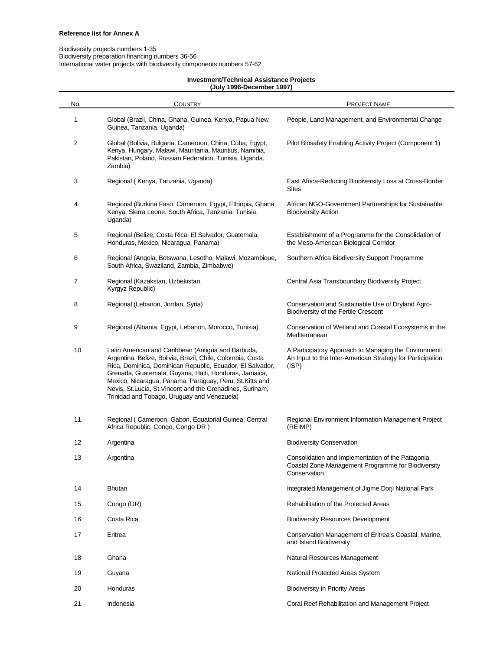#### Biodiversity projects numbers 1-35 Biodiversity preparation financing numbers 36-56 International water projects with biodiversity components numbers 57-62

#### **Investment/Technical Assistance Projects (July 1996-December 1997)**

| No. | <b>COUNTRY</b>                                                                                                                                                                                                                                                                                                                                                                                                | <b>PROJECT NAME</b>                                                                                                         |
|-----|---------------------------------------------------------------------------------------------------------------------------------------------------------------------------------------------------------------------------------------------------------------------------------------------------------------------------------------------------------------------------------------------------------------|-----------------------------------------------------------------------------------------------------------------------------|
| 1   | Global (Brazil, China, Ghana, Guinea, Kenya, Papua New<br>Guinea, Tanzania, Uganda)                                                                                                                                                                                                                                                                                                                           | People, Land Management, and Environmental Change                                                                           |
| 2   | Global (Bolivia, Bulgaria, Cameroon, China, Cuba, Egypt,<br>Kenya, Hungary, Malawi, Mauritania, Mauritius, Namibia,<br>Pakistan, Poland, Russian Federation, Tunisia, Uganda,<br>Zambia)                                                                                                                                                                                                                      | Pilot Biosafety Enabling Activity Project (Component 1)                                                                     |
| 3   | Regional (Kenya, Tanzania, Uganda)                                                                                                                                                                                                                                                                                                                                                                            | East Africa-Reducing Biodiversity Loss at Cross-Border<br>Sites                                                             |
| 4   | Regional (Burkina Faso, Cameroon, Egypt, Ethiopia, Ghana,<br>Kenya, Sierra Leone, South Africa, Tanzania, Tunisia,<br>Uganda)                                                                                                                                                                                                                                                                                 | African NGO-Government Partnerships for Sustainable<br><b>Biodiversity Action</b>                                           |
| 5   | Regional (Belize, Costa Rica, El Salvador, Guatemala,<br>Honduras, Mexico, Nicaragua, Panama)                                                                                                                                                                                                                                                                                                                 | Establishment of a Programme for the Consolidation of<br>the Meso-American Biological Corridor                              |
| 6   | Regional (Angola, Botswana, Lesotho, Malawi, Mozambique,<br>South Africa, Swaziland, Zambia, Zimbabwe)                                                                                                                                                                                                                                                                                                        | Southern Africa Biodiversity Support Programme                                                                              |
| 7   | Regional (Kazakstan, Uzbekistan,<br>Kyrgyz Republic)                                                                                                                                                                                                                                                                                                                                                          | Central Asia Transboundary Biodiversity Project                                                                             |
| 8   | Regional (Lebanon, Jordan, Syria)                                                                                                                                                                                                                                                                                                                                                                             | Conservation and Sustainable Use of Dryland Agro-<br>Biodiversity of the Fertile Crescent                                   |
| 9   | Regional (Albania, Egypt, Lebanon, Morocco, Tunisia)                                                                                                                                                                                                                                                                                                                                                          | Conservation of Wetland and Coastal Ecosystems in the<br>Mediterranean                                                      |
| 10  | Latin American and Caribbean (Antigua and Barbuda,<br>Argentina, Belize, Bolivia, Brazil, Chile, Colombia, Costa<br>Rica, Dominica, Dominican Republic, Ecuador, El Salvador,<br>Grenada, Guatemala, Guyana, Haiti, Honduras, Jamaica,<br>Mexico, Nicaragua, Panama, Paraguay, Peru, St. Kitts and<br>Nevis, St.Lucia, St.Vincent and the Grenadines, Surinam,<br>Trinidad and Tobago, Uruguay and Venezuela) | A Participatory Approach to Managing the Environment:<br>An Input to the Inter-American Strategy for Participation<br>(ISP) |
| 11  | Regional (Cameroon, Gabon, Equatorial Guinea, Central<br>Africa Republic, Congo, Congo DR)                                                                                                                                                                                                                                                                                                                    | Regional Environment Information Management Project<br>(REIMP)                                                              |
| 12  | Argentina                                                                                                                                                                                                                                                                                                                                                                                                     | <b>Biodiversity Conservation</b>                                                                                            |
| 13  | Argentina                                                                                                                                                                                                                                                                                                                                                                                                     | Consolidation and Implementation of the Patagonia<br>Coastal Zone Management Programme for Biodiversity<br>Conservation     |
| 14  | Bhutan                                                                                                                                                                                                                                                                                                                                                                                                        | Integrated Management of Jigme Dorji National Park                                                                          |
| 15  | Congo (DR)                                                                                                                                                                                                                                                                                                                                                                                                    | Rehabilitation of the Protected Areas                                                                                       |
| 16  | Costa Rica                                                                                                                                                                                                                                                                                                                                                                                                    | <b>Biodiversity Resources Development</b>                                                                                   |
| 17  | Eritrea                                                                                                                                                                                                                                                                                                                                                                                                       | Conservation Management of Eritrea's Coastal, Marine,<br>and Island Biodiversity                                            |
| 18  | Ghana                                                                                                                                                                                                                                                                                                                                                                                                         | Natural Resources Management                                                                                                |
| 19  | Guyana                                                                                                                                                                                                                                                                                                                                                                                                        | National Protected Areas System                                                                                             |
| 20  | Honduras                                                                                                                                                                                                                                                                                                                                                                                                      | <b>Biodiversity in Priority Areas</b>                                                                                       |
| 21  | Indonesia                                                                                                                                                                                                                                                                                                                                                                                                     | Coral Reef Rehabilitation and Management Project                                                                            |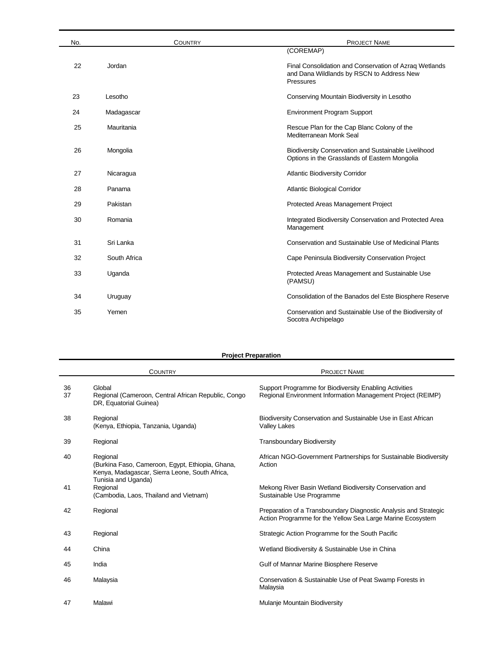| No. | <b>COUNTRY</b> | <b>PROJECT NAME</b>                                                                                              |
|-----|----------------|------------------------------------------------------------------------------------------------------------------|
|     |                | (COREMAP)                                                                                                        |
| 22  | Jordan         | Final Consolidation and Conservation of Azraq Wetlands<br>and Dana Wildlands by RSCN to Address New<br>Pressures |
| 23  | Lesotho        | Conserving Mountain Biodiversity in Lesotho                                                                      |
| 24  | Madagascar     | <b>Environment Program Support</b>                                                                               |
| 25  | Mauritania     | Rescue Plan for the Cap Blanc Colony of the<br>Mediterranean Monk Seal                                           |
| 26  | Mongolia       | Biodiversity Conservation and Sustainable Livelihood<br>Options in the Grasslands of Eastern Mongolia            |
| 27  | Nicaragua      | <b>Atlantic Biodiversity Corridor</b>                                                                            |
| 28  | Panama         | <b>Atlantic Biological Corridor</b>                                                                              |
| 29  | Pakistan       | Protected Areas Management Project                                                                               |
| 30  | Romania        | Integrated Biodiversity Conservation and Protected Area<br>Management                                            |
| 31  | Sri Lanka      | Conservation and Sustainable Use of Medicinal Plants                                                             |
| 32  | South Africa   | Cape Peninsula Biodiversity Conservation Project                                                                 |
| 33  | Uganda         | Protected Areas Management and Sustainable Use<br>(PAMSU)                                                        |
| 34  | Uruguay        | Consolidation of the Banados del Este Biosphere Reserve                                                          |
| 35  | Yemen          | Conservation and Sustainable Use of the Biodiversity of<br>Socotra Archipelago                                   |

#### **Project Preparation**

|          | <b>COUNTRY</b>                                                                                                                        | <b>PROJECT NAME</b>                                                                                                            |
|----------|---------------------------------------------------------------------------------------------------------------------------------------|--------------------------------------------------------------------------------------------------------------------------------|
| 36<br>37 | Global<br>Regional (Cameroon, Central African Republic, Congo<br>DR, Equatorial Guinea)                                               | Support Programme for Biodiversity Enabling Activities<br>Regional Environment Information Management Project (REIMP)          |
| 38       | Regional<br>(Kenya, Ethiopia, Tanzania, Uganda)                                                                                       | Biodiversity Conservation and Sustainable Use in East African<br><b>Valley Lakes</b>                                           |
| 39       | Regional                                                                                                                              | <b>Transboundary Biodiversity</b>                                                                                              |
| 40       | Regional<br>(Burkina Faso, Cameroon, Egypt, Ethiopia, Ghana,<br>Kenya, Madagascar, Sierra Leone, South Africa,<br>Tunisia and Uganda) | African NGO-Government Partnerships for Sustainable Biodiversity<br>Action                                                     |
| 41       | Regional<br>(Cambodia, Laos, Thailand and Vietnam)                                                                                    | Mekong River Basin Wetland Biodiversity Conservation and<br>Sustainable Use Programme                                          |
| 42       | Regional                                                                                                                              | Preparation of a Transboundary Diagnostic Analysis and Strategic<br>Action Programme for the Yellow Sea Large Marine Ecosystem |
| 43       | Regional                                                                                                                              | Strategic Action Programme for the South Pacific                                                                               |
| 44       | China                                                                                                                                 | Wetland Biodiversity & Sustainable Use in China                                                                                |
| 45       | India                                                                                                                                 | Gulf of Mannar Marine Biosphere Reserve                                                                                        |
| 46       | Malaysia                                                                                                                              | Conservation & Sustainable Use of Peat Swamp Forests in<br>Malaysia                                                            |
| 47       | Malawi                                                                                                                                | Mulanje Mountain Biodiversity                                                                                                  |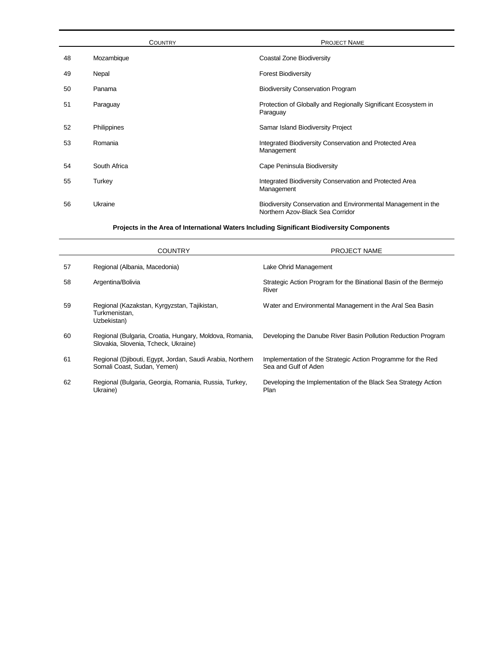|    | <b>COUNTRY</b> | <b>PROJECT NAME</b>                                                                               |
|----|----------------|---------------------------------------------------------------------------------------------------|
| 48 | Mozambique     | Coastal Zone Biodiversity                                                                         |
| 49 | Nepal          | <b>Forest Biodiversity</b>                                                                        |
| 50 | Panama         | <b>Biodiversity Conservation Program</b>                                                          |
| 51 | Paraguay       | Protection of Globally and Regionally Significant Ecosystem in<br>Paraguay                        |
| 52 | Philippines    | Samar Island Biodiversity Project                                                                 |
| 53 | Romania        | Integrated Biodiversity Conservation and Protected Area<br>Management                             |
| 54 | South Africa   | Cape Peninsula Biodiversity                                                                       |
| 55 | Turkey         | Integrated Biodiversity Conservation and Protected Area<br>Management                             |
| 56 | Ukraine        | Biodiversity Conservation and Environmental Management in the<br>Northern Azov-Black Sea Corridor |

#### **Projects in the Area of International Waters Including Significant Biodiversity Components**

|    | COUNTRY                                                                                         | <b>PROJECT NAME</b>                                                                  |
|----|-------------------------------------------------------------------------------------------------|--------------------------------------------------------------------------------------|
| 57 | Regional (Albania, Macedonia)                                                                   | Lake Ohrid Management                                                                |
| 58 | Argentina/Bolivia                                                                               | Strategic Action Program for the Binational Basin of the Bermejo<br>River            |
| 59 | Regional (Kazakstan, Kyrgyzstan, Tajikistan,<br>Turkmenistan.<br>Uzbekistan)                    | Water and Environmental Management in the Aral Sea Basin                             |
| 60 | Regional (Bulgaria, Croatia, Hungary, Moldova, Romania,<br>Slovakia, Slovenia, Tcheck, Ukraine) | Developing the Danube River Basin Pollution Reduction Program                        |
| 61 | Regional (Djibouti, Egypt, Jordan, Saudi Arabia, Northern<br>Somali Coast, Sudan, Yemen)        | Implementation of the Strategic Action Programme for the Red<br>Sea and Gulf of Aden |
| 62 | Regional (Bulgaria, Georgia, Romania, Russia, Turkey,<br>Ukraine)                               | Developing the Implementation of the Black Sea Strategy Action<br>Plan               |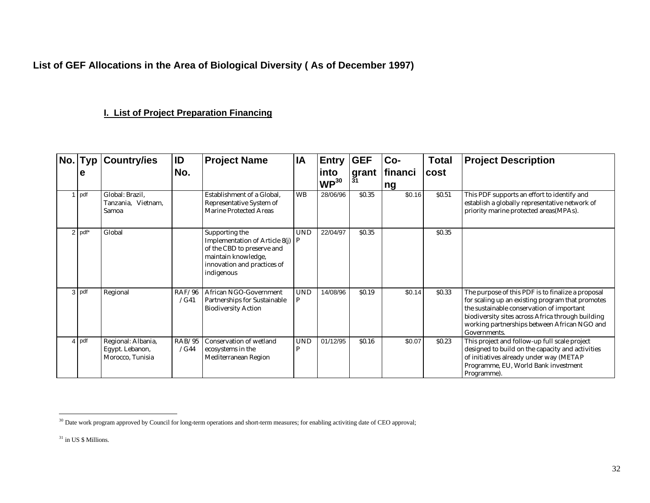**List of GEF Allocations in the Area of Biological Diversity ( As of December 1997)**

## **I. List of Project Preparation Financing**

| No. Typ  | <b>Country/ies</b>                                        | ID             | <b>Project Name</b>                                                                                                                                      | IA              | Entry                    | <b>GEF</b>         | Co-          | <b>Total</b> | <b>Project Description</b>                                                                                                                                                                                                                                              |
|----------|-----------------------------------------------------------|----------------|----------------------------------------------------------------------------------------------------------------------------------------------------------|-----------------|--------------------------|--------------------|--------------|--------------|-------------------------------------------------------------------------------------------------------------------------------------------------------------------------------------------------------------------------------------------------------------------------|
| е        |                                                           | No.            |                                                                                                                                                          |                 | into<br>WP <sup>30</sup> | <b>grant</b><br>31 | financi      | cost         |                                                                                                                                                                                                                                                                         |
| 1 pdf    | Global: Brazil.<br>Tanzania. Vietnam.<br>Samoa            |                | Establishment of a Global.<br>Representative System of<br><b>Marine Protected Areas</b>                                                                  | <b>WB</b>       | 28/06/96                 | \$0.35             | ng<br>\$0.16 | \$0.51       | This PDF supports an effort to identify and<br>establish a globally representative network of<br>priority marine protected areas(MPAs).                                                                                                                                 |
| $2$ pdf* | Global                                                    |                | Supporting the<br>Implementation of Article 8(j) $ P $<br>of the CBD to preserve and<br>maintain knowledge,<br>innovation and practices of<br>indigenous | <b>UND</b>      | 22/04/97                 | \$0.35             |              | \$0.35       |                                                                                                                                                                                                                                                                         |
| 3 pdf    | Regional                                                  | RAF/96<br>/G41 | African NGO-Government<br>Partnerships for Sustainable<br><b>Biodiversity Action</b>                                                                     | <b>UND</b><br>P | 14/08/96                 | \$0.19             | \$0.14       | \$0.33       | The purpose of this PDF is to finalize a proposal<br>for scaling up an existing program that promotes<br>the sustainable conservation of important<br>biodiversity sites across Africa through building<br>working partnerships between African NGO and<br>Governments. |
| 4 pdf    | Regional: Albania,<br>Egypt. Lebanon,<br>Morocco, Tunisia | RAB/95<br>/G44 | Conservation of wetland<br>ecosystems in the<br>Mediterranean Region                                                                                     | <b>UND</b><br>P | 01/12/95                 | \$0.16             | \$0.07       | \$0.23       | This project and follow-up full scale project<br>designed to build on the capacity and activities<br>of initiatives already under way (METAP<br>Programme, EU, World Bank investment<br>Programme).                                                                     |

 $\overline{a}$  $30$  Date work program approved by Council for long-term operations and short-term measures; for enabling activiting date of CEO approval;

<sup>&</sup>lt;sup>31</sup> in US \$ Millions.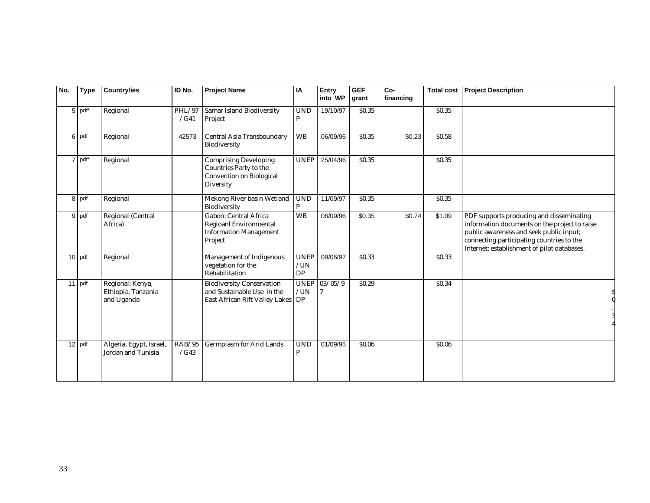| No. | <b>Type</b> | <b>Country/ies</b>                                   | ID No.         | <b>Project Name</b>                                                                                   | IA                              | Entry<br>into WP | <b>GEF</b><br>grant | Co-<br>financing | <b>Total cost</b> | <b>Project Description</b>                                                                                                                                                                                                       |
|-----|-------------|------------------------------------------------------|----------------|-------------------------------------------------------------------------------------------------------|---------------------------------|------------------|---------------------|------------------|-------------------|----------------------------------------------------------------------------------------------------------------------------------------------------------------------------------------------------------------------------------|
| 5   | pdf*        | Regional                                             | PHL/97<br>/G41 | Samar Island Biodiversity<br>Project                                                                  | <b>UND</b><br>P                 | 19/10/97         | \$0.35              |                  | \$0.35            |                                                                                                                                                                                                                                  |
|     | 6 pdf       | Regional                                             | 42573          | Central Asia Transboundary<br>Biodiversity                                                            | <b>WB</b>                       | 06/09/96         | <b>SO.35</b>        | \$0.23           | \$0.58            |                                                                                                                                                                                                                                  |
|     | 7 pdf*      | Regional                                             |                | Comprising Developing<br>Countries Party to the<br>Convention on Biological<br>Diversity              | <b>UNEP</b>                     | 25/04/96         | \$0.35              |                  | \$0.35            |                                                                                                                                                                                                                                  |
|     | 8 pdf       | Regional                                             |                | Mekong River basin Wetland<br>Biodiversity                                                            | <b>UND</b><br>$\mathbf{P}$      | 11/09/97         | <b>SO.35</b>        |                  | \$0.35            |                                                                                                                                                                                                                                  |
|     | 9 pdf       | Regional (Central<br>Africa)                         |                | Gabon: Central Africa<br>Regioanl Environmental<br><b>Information Management</b><br>Project           | <b>WB</b>                       | 06/09/96         | \$0.35              | \$0.74           | \$1.09            | PDF supports producing and disseminating<br>information documents on the project to raise<br>public awareness and seek public input;<br>connecting participating countries to the<br>Internet; establishment of pilot databases. |
|     | $10$ pdf    | Regional                                             |                | Management of Indigenous<br>vegetation for the<br>Rehabilitation                                      | <b>UNEP</b><br>/UN<br><b>DP</b> | 09/06/97         | \$0.33              |                  | \$0.33            |                                                                                                                                                                                                                                  |
|     | $11$ pdf    | Regional: Kenya,<br>Ethiopia, Tanzania<br>and Uganda |                | <b>Biodiversity Conservation</b><br>and Sustainable Use in the<br>East African Rift Valley Lakes   DP | <b>UNEP</b><br>/UN              | 03/05/9          | \$0.29              |                  | \$0.34            |                                                                                                                                                                                                                                  |
|     | 12 pdf      | Algeria, Egypt, Israel,<br>Jordan and Tunisia        | RAB/95<br>/G43 | Germplasm for Arid Lands                                                                              | <b>UND</b><br>P                 | 01/09/95         | \$0.06              |                  | \$0.06            |                                                                                                                                                                                                                                  |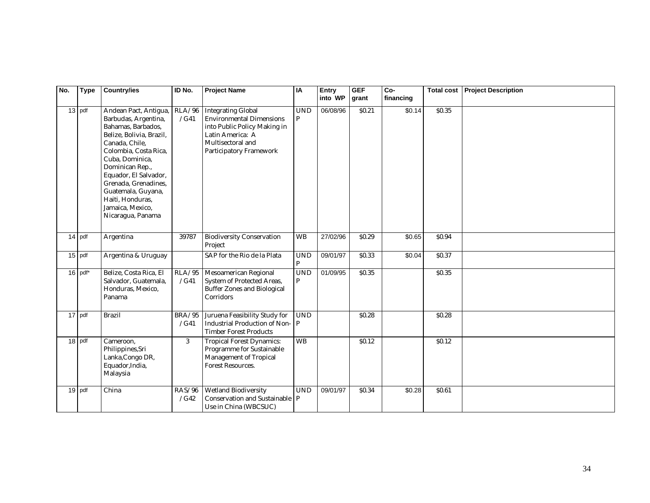| No. | <b>Type</b> | <b>Country/ies</b>                                                                                                                                                                                                                                                                                                   | ID No.                | <b>Project Name</b>                                                                                                                                              | IA                               | Entry<br>into WP | <b>GEF</b><br>grant | Co-<br>financing | <b>Total cost</b> | <b>Project Description</b> |
|-----|-------------|----------------------------------------------------------------------------------------------------------------------------------------------------------------------------------------------------------------------------------------------------------------------------------------------------------------------|-----------------------|------------------------------------------------------------------------------------------------------------------------------------------------------------------|----------------------------------|------------------|---------------------|------------------|-------------------|----------------------------|
|     | $13$ pdf    | Andean Pact, Antigua,<br>Barbudas, Argentina,<br>Bahamas, Barbados,<br>Belize, Bolivia, Brazil,<br>Canada, Chile,<br>Colombia, Costa Rica,<br>Cuba, Dominica,<br>Dominican Rep.,<br>Equador, El Salvador,<br>Grenada, Grenadines,<br>Guatemala, Guyana,<br>Haiti, Honduras,<br>Jamaica, Mexico,<br>Nicaragua, Panama | RLA/96<br>/G41        | <b>Integrating Global</b><br><b>Environmental Dimensions</b><br>into Public Policy Making in<br>Latin America: A<br>Multisectoral and<br>Participatory Framework | $\ensuremath{\mathrm{UND}}$<br>P | 06/08/96         | \$0.21              | \$0.14           | \$0.35            |                            |
|     | 14 pdf      | Argentina                                                                                                                                                                                                                                                                                                            | 39787                 | <b>Biodiversity Conservation</b><br>Project                                                                                                                      | <b>WB</b>                        | 27/02/96         | \$0.29              | \$0.65           | \$0.94            |                            |
|     | $15$ pdf    | Argentina & Uruguay                                                                                                                                                                                                                                                                                                  |                       | SAP for the Rio de la Plata                                                                                                                                      | <b>UND</b><br>P                  | 09/01/97         | \$0.33              | \$0.04           | S <sub>0.37</sub> |                            |
|     | $16$ pdf*   | Belize, Costa Rica, El<br>Salvador, Guatemala,<br>Honduras, Mexico,<br>Panama                                                                                                                                                                                                                                        | RLA/95<br>/G41        | Mesoamerican Regional<br>System of Protected Areas,<br><b>Buffer Zones and Biological</b><br>Corridors                                                           | $\ensuremath{\mathrm{UND}}$<br>P | 01/09/95         | \$0.35              |                  | \$0.35            |                            |
|     | 17 pdf      | <b>Brazil</b>                                                                                                                                                                                                                                                                                                        | <b>BRA/95</b><br>/G41 | Juruena Feasibility Study for<br><b>Industrial Production of Non-</b><br><b>Timber Forest Products</b>                                                           | $\ensuremath{\mathrm{UND}}$<br>P |                  | \$0.28              |                  | \$0.28            |                            |
|     | 18 pdf      | Cameroon,<br>Philippines, Sri<br>Lanka, Congo DR,<br>Equador, India,<br>Malaysia                                                                                                                                                                                                                                     | 3                     | <b>Tropical Forest Dynamics:</b><br>Programme for Sustainable<br>Management of Tropical<br>Forest Resources.                                                     | <b>WB</b>                        |                  | <b>SO.12</b>        |                  | \$0.12\$          |                            |
|     | 19 pdf      | China                                                                                                                                                                                                                                                                                                                | RAS/96<br>/G42        | Wetland Biodiversity<br>Conservation and Sustainable<br>Use in China (WBCSUC)                                                                                    | <b>UND</b><br>P                  | 09/01/97         | \$0.34              | \$0.28           | \$0.61            |                            |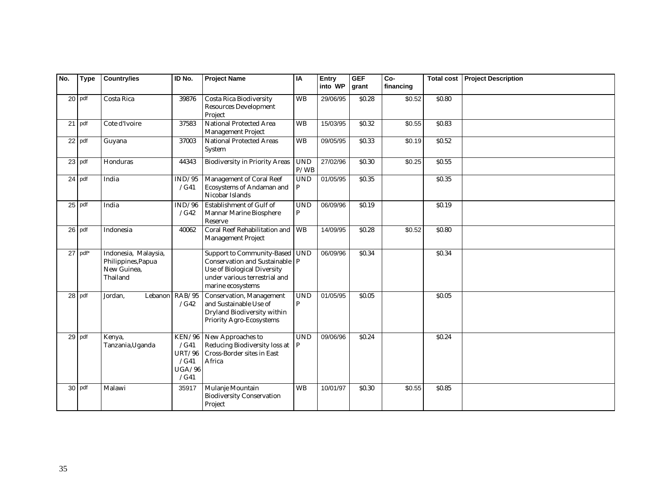| No. | <b>Type</b> | <b>Country/ies</b>                                                    | ID No.                                                    | <b>Project Name</b>                                                                                                                                            | IA                               | Entry<br>into WP | <b>GEF</b><br>grant | Co-<br>financing | <b>Total cost</b> | <b>Project Description</b> |
|-----|-------------|-----------------------------------------------------------------------|-----------------------------------------------------------|----------------------------------------------------------------------------------------------------------------------------------------------------------------|----------------------------------|------------------|---------------------|------------------|-------------------|----------------------------|
|     | $20$ pdf    | Costa Rica                                                            | 39876                                                     | <b>Costa Rica Biodiversity</b><br><b>Resources Development</b><br>Project                                                                                      | WB                               | 29/06/95         | \$0.28              | \$0.52           | \$0.80            |                            |
|     | $21$ pdf    | Cote d'Ivoire                                                         | 37583                                                     | National Protected Area<br>Management Project                                                                                                                  | <b>WB</b>                        | 15/03/95         | \$0.32              | \$0.55           | \$0.83            |                            |
|     | 22 pdf      | Guyana                                                                | 37003                                                     | <b>National Protected Areas</b><br>System                                                                                                                      | <b>WB</b>                        | 09/05/95         | \$0.33              | \$0.19           | \$0.52            |                            |
|     | 23 pdf      | Honduras                                                              | 44343                                                     | <b>Biodiversity in Priority Areas</b>                                                                                                                          | <b>UND</b><br>P/WB               | 27/02/96         | \$0.30              | \$0.25           | \$0.55            |                            |
|     | 24 pdf      | India                                                                 | IND/95<br>/G41                                            | Management of Coral Reef<br>Ecosystems of Andaman and<br>Nicobar Islands                                                                                       | $\ensuremath{\mathrm{UND}}$<br>P | 01/05/95         | \$0.35              |                  | \$0.35            |                            |
|     | $25$ pdf    | India                                                                 | IND/96<br>/G42                                            | Establishment of Gulf of<br>Mannar Marine Biosphere<br>Reserve                                                                                                 | <b>UND</b><br>P                  | 06/09/96         | \$0.19              |                  | \$0.19            |                            |
|     | 26 pdf      | Indonesia                                                             | 40062                                                     | Coral Reef Rehabilitation and WB<br><b>Management Project</b>                                                                                                  |                                  | 14/09/95         | \$0.28              | \$0.52           | \$0.80            |                            |
|     | $27$ pdf*   | Indonesia, Malaysia,<br>Philippines, Papua<br>New Guinea,<br>Thailand |                                                           | Support to Community-Based UND<br>Conservation and Sustainable   P<br><b>Use of Biological Diversity</b><br>under various terrestrial and<br>marine ecosystems |                                  | 06/09/96         | \$0.34              |                  | \$0.34            |                            |
|     | 28 pdf      | Jordan,<br>Lebanon                                                    | RAB/95<br>/G42                                            | Conservation, Management<br>and Sustainable Use of<br>Dryland Biodiversity within<br>Priority Agro-Ecosystems                                                  | <b>UND</b><br>P                  | 01/05/95         | \$0.05              |                  | \$0.05            |                            |
|     | 29 pdf      | Kenya,<br>Tanzania, Uganda                                            | KEN/96<br>/G41<br><b>URT/96</b><br>/G41<br>UGA/96<br>/G41 | New Approaches to<br>Reducing Biodiversity loss at<br>Cross-Border sites in East<br>Africa                                                                     | $\ensuremath{\mathrm{UND}}$      | 09/06/96         | \$0.24              |                  | \$0.24            |                            |
|     | 30 pdf      | Malawi                                                                | 35917                                                     | Mulanje Mountain<br><b>Biodiversity Conservation</b><br>Project                                                                                                | <b>WB</b>                        | 10/01/97         | \$0.30              | \$0.55           | \$0.85            |                            |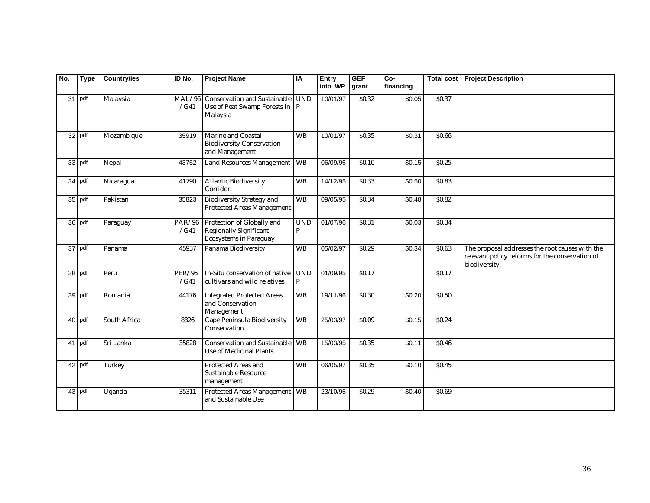| No. | <b>Type</b> | <b>Country/ies</b> | ID No.         | <b>Project Name</b>                                                                          | IA              | <b>Entry</b><br>into WP | <b>GEF</b><br>grant | Co-<br>financing | <b>Total cost</b> | <b>Project Description</b>                                                                                          |
|-----|-------------|--------------------|----------------|----------------------------------------------------------------------------------------------|-----------------|-------------------------|---------------------|------------------|-------------------|---------------------------------------------------------------------------------------------------------------------|
|     | 31 pdf      | Malaysia           | MAL/96<br>/G41 | <b>Conservation and Sustainable</b><br>Use of Peat Swamp Forests in $ P $<br>Malaysia        | <b>UND</b>      | 10/01/97                | \$0.32              | \$0.05           | \$0.37            |                                                                                                                     |
|     | 32 pdf      | Mozambique         | 35919          | Marine and Coastal<br><b>Biodiversity Conservation</b><br>and Management                     | <b>WB</b>       | 10/01/97                | \$0.35              | \$0.31           | \$0.66            |                                                                                                                     |
|     | 33 pdf      | Nepal              | 43752          | Land Resources Management   WB                                                               |                 | 06/09/96                | <b>SO.10</b>        | \$0.15           | \$0.25            |                                                                                                                     |
|     | 34 pdf      | Nicaragua          | 41790          | <b>Atlantic Biodiversity</b><br>Corridor                                                     | <b>WB</b>       | 14/12/95                | \$0.33              | \$0.50           | \$0.83            |                                                                                                                     |
|     | 35 pdf      | Pakistan           | 35823          | <b>Biodiversity Strategy and</b><br>Protected Areas Management                               | <b>WB</b>       | 09/05/95                | \$0.34              | \$0.48           | \$0.82            |                                                                                                                     |
|     | 36 pdf      | Paraguay           | PAR/96<br>/G41 | Protection of Globally and<br><b>Regionally Significant</b><br><b>Ecosystems in Paraguay</b> | <b>UND</b><br>P | 01/07/96                | \$0.31              | $\sqrt{$0.03}$   | \$0.34            |                                                                                                                     |
|     | $37$ pdf    | Panama             | 45937          | Panama Biodiversity                                                                          | <b>WB</b>       | 05/02/97                | \$0.29              | $\sqrt{$0.34}$   | \$0.63            | The proposal addresses the root causes with the<br>relevant policy reforms for the conservation of<br>biodiversity. |
|     | 38 pdf      | Peru               | PER/95<br>/G41 | In-Situ conservation of native<br>cultivars and wild relatives                               | <b>UND</b><br>P | 01/09/95                | <b>S0.17</b>        |                  | S <sub>0.17</sub> |                                                                                                                     |
|     | 39 pdf      | Romania            | 44176          | <b>Integrated Protected Areas</b><br>and Conservation<br>Management                          | <b>WB</b>       | 19/11/96                | \$0.30              | \$0.20           | \$0.50            |                                                                                                                     |
|     | 40 pdf      | South Africa       | 8326           | Cape Peninsula Biodiversity<br>Conservation                                                  | <b>WB</b>       | 25/03/97                | \$0.09              | \$0.15           | S <sub>0.24</sub> |                                                                                                                     |
|     | 41 pdf      | Sri Lanka          | 35828          | Conservation and Sustainable<br>Use of Medicinal Plants                                      | <b>WB</b>       | 15/03/95                | \$0.35              | \$0.11           | \$0.46            |                                                                                                                     |
|     | 42 pdf      | Turkey             |                | <b>Protected Areas and</b><br>Sustainable Resource<br>management                             | <b>WB</b>       | 06/05/97                | \$0.35              | \$0.10           | \$0.45            |                                                                                                                     |
|     | 43 pdf      | Uganda             | 35311          | Protected Areas Management WB<br>and Sustainable Use                                         |                 | 23/10/95                | \$0.29              | \$0.40           | \$0.69            |                                                                                                                     |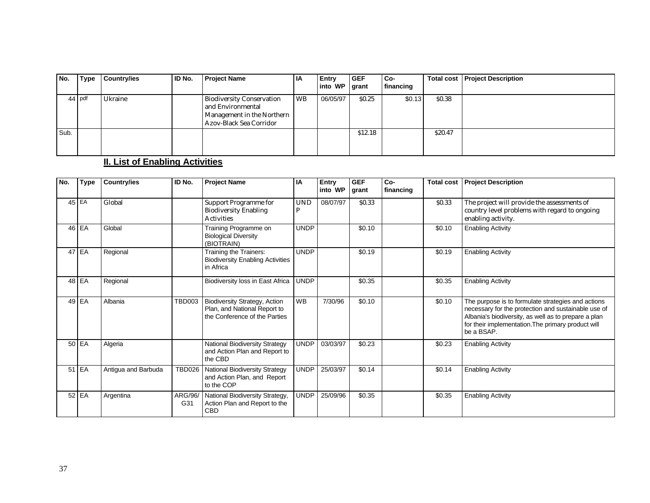| No.  | Type   | <b>Country/ies</b> | <b>ID No.</b> | <b>Project Name</b>                                                                                            | ΙA        | Entry<br>into WP grant | <b>GEF</b>        | Co-<br>financing |         | <b>Total cost   Project Description</b> |
|------|--------|--------------------|---------------|----------------------------------------------------------------------------------------------------------------|-----------|------------------------|-------------------|------------------|---------|-----------------------------------------|
|      | 44 pdf | Ukraine            |               | <b>Biodiversity Conservation</b><br>and Environmental<br>Management in the Northern<br>Azov-Black Sea Corridor | <b>WB</b> | 06/05/97               | S <sub>0.25</sub> | \$0.13           | \$0.38  |                                         |
| Sub. |        |                    |               |                                                                                                                |           |                        | \$12.18           |                  | \$20.47 |                                         |

# **II. List of Enabling Activities**

| No. | <b>Type</b> | Country/ies         | ID No.         | <b>Project Name</b>                                                                                   | ΙA              | <b>Entry</b><br>into WP | <b>GEF</b><br>grant | Co-<br>financing | <b>Total cost</b> | <b>Project Description</b>                                                                                                                                                                                                            |
|-----|-------------|---------------------|----------------|-------------------------------------------------------------------------------------------------------|-----------------|-------------------------|---------------------|------------------|-------------------|---------------------------------------------------------------------------------------------------------------------------------------------------------------------------------------------------------------------------------------|
|     | 45 EA       | Global              |                | <b>Support Programme for</b><br><b>Biodiversity Enabling</b><br><b>Activities</b>                     | <b>UND</b><br>P | 08/07/97                | \$0.33              |                  | \$0.33            | The project will provide the assessments of<br>country level problems with regard to ongoing<br>enabling activity.                                                                                                                    |
|     | 46 EA       | Global              |                | Training Programme on<br><b>Biological Diversity</b><br>(BIOTRAIN)                                    | <b>UNDP</b>     |                         | \$0.10              |                  | \$0.10            | <b>Enabling Activity</b>                                                                                                                                                                                                              |
|     | 47 EA       | Regional            |                | Training the Trainers:<br><b>Biodiversity Enabling Activities</b><br>in Africa                        | <b>UNDP</b>     |                         | \$0.19              |                  | \$0.19            | <b>Enabling Activity</b>                                                                                                                                                                                                              |
|     | 48 EA       | Regional            |                | Biodiversity loss in East Africa                                                                      | UNDP            |                         | \$0.35              |                  | \$0.35            | <b>Enabling Activity</b>                                                                                                                                                                                                              |
|     | 49 EA       | Albania             | <b>TBD003</b>  | <b>Biodiversity Strategy, Action</b><br>Plan, and National Report to<br>the Conference of the Parties | <b>WB</b>       | 7/30/96                 | \$0.10              |                  | \$0.10            | The purpose is to formulate strategies and actions<br>necessary for the protection and sustainable use of<br>Albania's biodiversity, as well as to prepare a plan<br>for their implementation. The primary product will<br>be a BSAP. |
|     | 50 EA       | Algeria             |                | <b>National Biodiversity Strategy</b><br>and Action Plan and Report to<br>the CBD                     | <b>UNDP</b>     | 03/03/97                | \$0.23              |                  | \$0.23            | <b>Enabling Activity</b>                                                                                                                                                                                                              |
|     | $51$ EA     | Antigua and Barbuda | <b>TBD026</b>  | <b>National Biodiversity Strategy</b><br>and Action Plan, and Report<br>to the COP                    | <b>UNDP</b>     | 25/03/97                | \$0.14              |                  | \$0.14            | <b>Enabling Activity</b>                                                                                                                                                                                                              |
|     | 52 EA       | Argentina           | ARG/96/<br>G31 | National Biodiversity Strategy,<br>Action Plan and Report to the<br>CBD                               | <b>UNDP</b>     | 25/09/96                | \$0.35              |                  | \$0.35            | <b>Enabling Activity</b>                                                                                                                                                                                                              |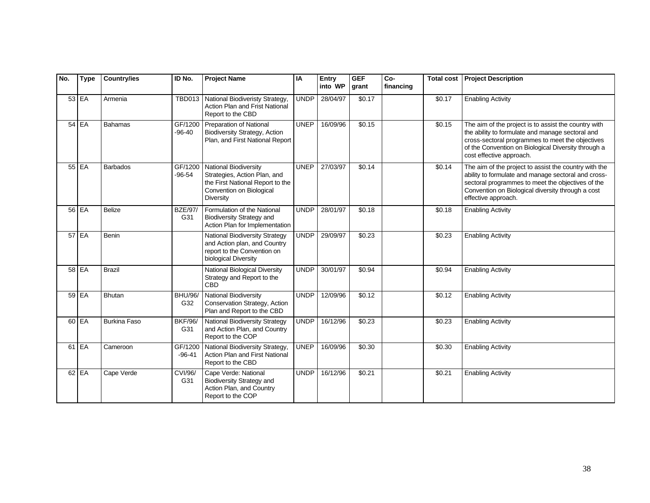| No. | <b>Type</b> | <b>Country/ies</b>  | ID No.                | <b>Project Name</b>                                                                                                                       | IA          | Entry<br>into WP | <b>GEF</b><br>grant | Co-<br>financing | <b>Total cost</b>  | <b>Project Description</b>                                                                                                                                                                                                                      |
|-----|-------------|---------------------|-----------------------|-------------------------------------------------------------------------------------------------------------------------------------------|-------------|------------------|---------------------|------------------|--------------------|-------------------------------------------------------------------------------------------------------------------------------------------------------------------------------------------------------------------------------------------------|
|     | 53 EA       | Armenia             | <b>TBD013</b>         | National Biodiveristy Strategy,<br>Action Plan and Frist National<br>Report to the CBD                                                    | <b>UNDP</b> | 28/04/97         | \$0.17              |                  | \$0.17             | <b>Enabling Activity</b>                                                                                                                                                                                                                        |
|     | $54$ EA     | <b>Bahamas</b>      | GF/1200<br>$-96-40$   | Preparation of National<br><b>Biodiversity Strategy, Action</b><br>Plan, and First National Report                                        | <b>UNEP</b> | 16/09/96         | \$0.15              |                  | \$0.15             | The aim of the project is to assist the country with<br>the ability to formulate and manage sectoral and<br>cross-sectoral programmes to meet the objectives<br>of the Convention on Biological Diversity through a<br>cost effective approach. |
|     | 55 EA       | <b>Barbados</b>     | GF/1200<br>$-96-54$   | <b>National Biodiversity</b><br>Strategies, Action Plan, and<br>the First National Report to the<br>Convention on Biological<br>Diversity | <b>UNEP</b> | 27/03/97         | \$0.14              |                  | \$0.14             | The aim of the project to assist the country with the<br>ability to formulate and manage sectoral and cross-<br>sectoral programmes to meet the objectives of the<br>Convention on Biological diversity through a cost<br>effective approach.   |
|     | 56 EA       | <b>Belize</b>       | <b>BZE/97/</b><br>G31 | Formulation of the National<br><b>Biodiversity Strategy and</b><br>Action Plan for Implementation                                         | <b>UNDP</b> | 28/01/97         | \$0.18              |                  | \$0.18             | <b>Enabling Activity</b>                                                                                                                                                                                                                        |
|     | $57$ EA     | Benin               |                       | <b>National Biodiversity Strategy</b><br>and Action plan, and Country<br>report to the Convention on<br>biological Diversity              | <b>UNDP</b> | 29/09/97         | \$0.23              |                  | $\overline{$}0.23$ | <b>Enabling Activity</b>                                                                                                                                                                                                                        |
|     | 58 EA       | <b>Brazil</b>       |                       | National Biological Diversity<br>Strategy and Report to the<br><b>CBD</b>                                                                 | <b>UNDP</b> | 30/01/97         | \$0.94              |                  | \$0.94             | <b>Enabling Activity</b>                                                                                                                                                                                                                        |
|     | 59 EA       | Bhutan              | <b>BHU/96/</b><br>G32 | National Biodiversity<br>Conservation Strategy, Action<br>Plan and Report to the CBD                                                      | <b>UNDP</b> | 12/09/96         | \$0.12              |                  | $\sqrt{$}0.12$     | <b>Enabling Activity</b>                                                                                                                                                                                                                        |
|     | 60 EA       | <b>Burkina Faso</b> | <b>BKF/96/</b><br>G31 | <b>National Biodiversity Strategy</b><br>and Action Plan, and Country<br>Report to the COP                                                | <b>UNDP</b> | 16/12/96         | \$0.23              |                  | \$0.23             | <b>Enabling Activity</b>                                                                                                                                                                                                                        |
|     | $61$ EA     | Cameroon            | GF/1200<br>$-96-41$   | National Biodiversity Strategy,<br>Action Plan and First National<br>Report to the CBD                                                    | <b>UNEP</b> | 16/09/96         | \$0.30              |                  | \$0.30             | <b>Enabling Activity</b>                                                                                                                                                                                                                        |
|     | 62 EA       | Cape Verde          | CVI/96/<br>G31        | Cape Verde: National<br><b>Biodiversity Strategy and</b><br>Action Plan, and Country<br>Report to the COP                                 | <b>UNDP</b> | 16/12/96         | \$0.21              |                  | \$0.21             | <b>Enabling Activity</b>                                                                                                                                                                                                                        |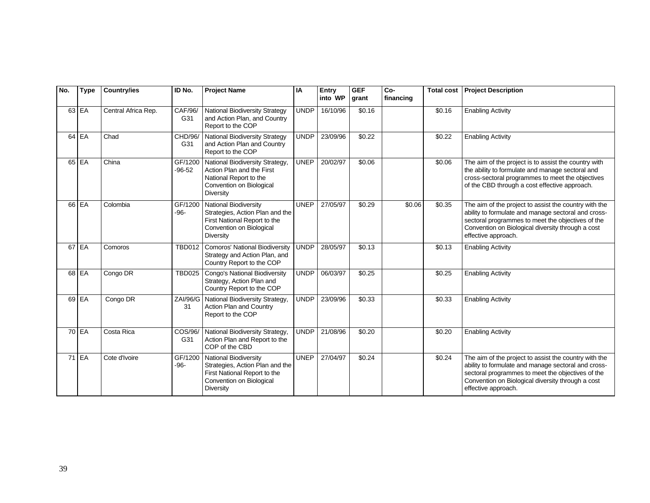| No. | <b>Type</b> | Country/ies         | ID No.                | <b>Project Name</b>                                                                                                                             | IA          | Entry<br>into WP | <b>GEF</b><br>grant | $Co-$<br>financing | <b>Total cost</b> | <b>Project Description</b>                                                                                                                                                                                                                    |
|-----|-------------|---------------------|-----------------------|-------------------------------------------------------------------------------------------------------------------------------------------------|-------------|------------------|---------------------|--------------------|-------------------|-----------------------------------------------------------------------------------------------------------------------------------------------------------------------------------------------------------------------------------------------|
|     | 63 EA       | Central Africa Rep. | CAF/96/<br>G31        | <b>National Biodiversity Strategy</b><br>and Action Plan, and Country<br>Report to the COP                                                      | <b>UNDP</b> | 16/10/96         | \$0.16              |                    | \$0.16            | <b>Enabling Activity</b>                                                                                                                                                                                                                      |
|     | $64$ EA     | Chad                | CHD/96/<br>G31        | <b>National Biodiversity Strategy</b><br>and Action Plan and Country<br>Report to the COP                                                       | <b>UNDP</b> | 23/09/96         | \$0.22              |                    | \$0.22            | <b>Enabling Activity</b>                                                                                                                                                                                                                      |
|     | 65 EA       | China               | GF/1200<br>$-96-52$   | National Biodiversity Strategy,<br>Action Plan and the First<br>National Report to the<br>Convention on Biological<br>Diversity                 | <b>UNEP</b> | 20/02/97         | \$0.06              |                    | \$0.06            | The aim of the project is to assist the country with<br>the ability to formulate and manage sectoral and<br>cross-sectoral programmes to meet the objectives<br>of the CBD through a cost effective approach.                                 |
|     | 66 EA       | Colombia            | GF/1200<br>$-96-$     | National Biodiversity<br>Strategies, Action Plan and the<br>First National Report to the<br>Convention on Biological<br>Diversity               | <b>UNEP</b> | 27/05/97         | \$0.29              | \$0.06             | \$0.35            | The aim of the project to assist the country with the<br>ability to formulate and manage sectoral and cross-<br>sectoral programmes to meet the objectives of the<br>Convention on Biological diversity through a cost<br>effective approach. |
|     | 67 EA       | Comoros             | <b>TBD012</b>         | <b>Comoros' National Biodiversity</b><br>Strategy and Action Plan, and<br>Country Report to the COP                                             | <b>UNDP</b> | 28/05/97         | \$0.13              |                    | \$0.13            | <b>Enabling Activity</b>                                                                                                                                                                                                                      |
|     | 68 EA       | Congo DR            | <b>TBD025</b>         | Congo's National Biodiversity<br>Strategy, Action Plan and<br>Country Report to the COP                                                         | <b>UNDP</b> | 06/03/97         | \$0.25              |                    | \$0.25            | <b>Enabling Activity</b>                                                                                                                                                                                                                      |
|     | 69 EA       | Congo DR            | <b>ZAI/96/G</b><br>31 | National Biodiversity Strategy,<br>Action Plan and Country<br>Report to the COP                                                                 | <b>UNDP</b> | 23/09/96         | \$0.33              |                    | \$0.33            | <b>Enabling Activity</b>                                                                                                                                                                                                                      |
|     | 70 EA       | Costa Rica          | COS/96/<br>G31        | National Biodiversity Strategy,<br>Action Plan and Report to the<br>COP of the CBD                                                              | <b>UNDP</b> | 21/08/96         | \$0.20              |                    | \$0.20            | <b>Enabling Activity</b>                                                                                                                                                                                                                      |
|     | 71 EA       | Cote d'Ivoire       | GF/1200<br>$-96-$     | <b>National Biodiversity</b><br>Strategies, Action Plan and the<br>First National Report to the<br>Convention on Biological<br><b>Diversity</b> | <b>UNEP</b> | 27/04/97         | \$0.24              |                    | \$0.24            | The aim of the project to assist the country with the<br>ability to formulate and manage sectoral and cross-<br>sectoral programmes to meet the objectives of the<br>Convention on Biological diversity through a cost<br>effective approach. |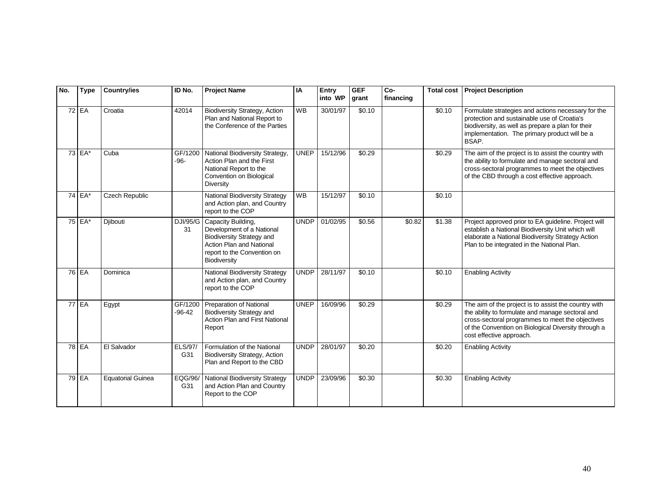| No. | <b>Type</b>  | <b>Country/ies</b>       | ID No.                | <b>Project Name</b>                                                                                                                                            | IA          | Entry<br>into WP | <b>GEF</b><br>grant | $Co-$<br>financing | <b>Total cost</b> | <b>Project Description</b>                                                                                                                                                                                                                      |
|-----|--------------|--------------------------|-----------------------|----------------------------------------------------------------------------------------------------------------------------------------------------------------|-------------|------------------|---------------------|--------------------|-------------------|-------------------------------------------------------------------------------------------------------------------------------------------------------------------------------------------------------------------------------------------------|
|     | 72 EA        | Croatia                  | 42014                 | <b>Biodiversity Strategy, Action</b><br>Plan and National Report to<br>the Conference of the Parties                                                           | <b>WB</b>   | 30/01/97         | \$0.10              |                    | \$0.10            | Formulate strategies and actions necessary for the<br>protection and sustainable use of Croatia's<br>biodiversity, as well as prepare a plan for their<br>implementation. The primary product will be a<br>BSAP.                                |
|     | $73$ EA*     | Cuba                     | GF/1200<br>$-96-$     | National Biodiversity Strategy,<br>Action Plan and the First<br>National Report to the<br>Convention on Biological<br>Diversity                                | <b>UNEP</b> | 15/12/96         | \$0.29              |                    | \$0.29            | The aim of the project is to assist the country with<br>the ability to formulate and manage sectoral and<br>cross-sectoral programmes to meet the objectives<br>of the CBD through a cost effective approach.                                   |
|     | 74 EA*       | Czech Republic           |                       | National Biodiversity Strategy<br>and Action plan, and Country<br>report to the COP                                                                            | <b>WB</b>   | 15/12/97         | \$0.10              |                    | \$0.10            |                                                                                                                                                                                                                                                 |
|     | 75 EA*       | Diibouti                 | DJI/95/G<br>31        | Capacity Building,<br>Development of a National<br><b>Biodiversity Strategy and</b><br>Action Plan and National<br>report to the Convention on<br>Biodiversity | <b>UNDP</b> | 01/02/95         | \$0.56              | \$0.82             | \$1.38            | Project approved prior to EA guideline. Project will<br>establish a National Biodiversity Unit which will<br>elaborate a National Biodiversity Strategy Action<br>Plan to be integrated in the National Plan.                                   |
|     | 76 EA        | Dominica                 |                       | <b>National Biodiversity Strategy</b><br>and Action plan, and Country<br>report to the COP                                                                     | <b>UNDP</b> | 28/11/97         | \$0.10              |                    | \$0.10            | <b>Enabling Activity</b>                                                                                                                                                                                                                        |
|     | <b>77 EA</b> | Egypt                    | GF/1200<br>$-96-42$   | <b>Preparation of National</b><br><b>Biodiversity Strategy and</b><br>Action Plan and First National<br>Report                                                 | <b>UNEP</b> | 16/09/96         | \$0.29              |                    | \$0.29            | The aim of the project is to assist the country with<br>the ability to formulate and manage sectoral and<br>cross-sectoral programmes to meet the objectives<br>of the Convention on Biological Diversity through a<br>cost effective approach. |
|     | 78 EA        | El Salvador              | <b>ELS/97/</b><br>G31 | Formulation of the National<br><b>Biodiversity Strategy, Action</b><br>Plan and Report to the CBD                                                              | <b>UNDP</b> | 28/01/97         | \$0.20              |                    | \$0.20            | <b>Enabling Activity</b>                                                                                                                                                                                                                        |
|     | 79 EA        | <b>Equatorial Guinea</b> | EQG/96/<br>G31        | <b>National Biodiversity Strategy</b><br>and Action Plan and Country<br>Report to the COP                                                                      | <b>UNDP</b> | 23/09/96         | \$0.30              |                    | \$0.30            | <b>Enabling Activity</b>                                                                                                                                                                                                                        |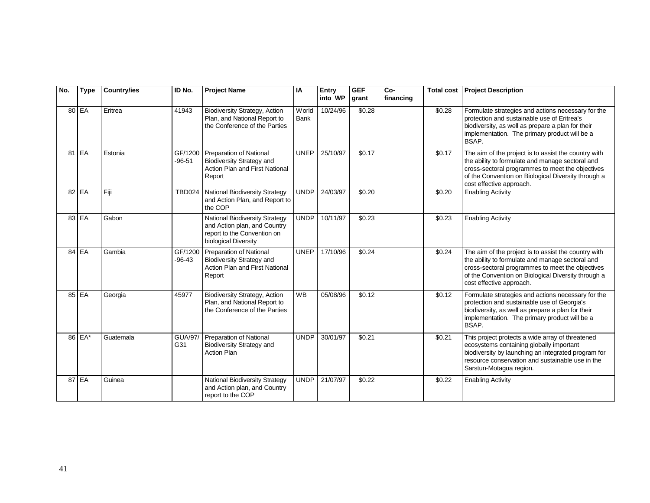| No. | <b>Type</b> | <b>Country/ies</b> | ID No.                | <b>Project Name</b>                                                                                                          | IA                           | Entry<br>into WP | <b>GEF</b><br>grant | Co-<br>financing | <b>Total cost</b> | <b>Project Description</b>                                                                                                                                                                                                                      |
|-----|-------------|--------------------|-----------------------|------------------------------------------------------------------------------------------------------------------------------|------------------------------|------------------|---------------------|------------------|-------------------|-------------------------------------------------------------------------------------------------------------------------------------------------------------------------------------------------------------------------------------------------|
|     | 80 EA       | Eritrea            | 41943                 | Biodiversity Strategy, Action<br>Plan, and National Report to<br>the Conference of the Parties                               | <b>W</b> orld<br><b>Bank</b> | 10/24/96         | \$0.28              |                  | \$0.28            | Formulate strategies and actions necessary for the<br>protection and sustainable use of Eritrea's<br>biodiversity, as well as prepare a plan for their<br>implementation. The primary product will be a<br>BSAP.                                |
|     | 81 EA       | Estonia            | GF/1200<br>$-96-51$   | Preparation of National<br><b>Biodiversity Strategy and</b><br>Action Plan and First National<br>Report                      | <b>UNEP</b>                  | 25/10/97         | \$0.17              |                  | \$0.17            | The aim of the project is to assist the country with<br>the ability to formulate and manage sectoral and<br>cross-sectoral programmes to meet the objectives<br>of the Convention on Biological Diversity through a<br>cost effective approach. |
|     | $82$ EA     | Fiji               | <b>TBD024</b>         | <b>National Biodiversity Strategy</b><br>and Action Plan, and Report to<br>the COP                                           | <b>UNDP</b>                  | 24/03/97         | \$0.20              |                  | \$0.20            | <b>Enabling Activity</b>                                                                                                                                                                                                                        |
|     | 83 EA       | Gabon              |                       | <b>National Biodiversity Strategy</b><br>and Action plan, and Country<br>report to the Convention on<br>biological Diversity | <b>UNDP</b>                  | 10/11/97         | \$0.23              |                  | \$0.23            | <b>Enabling Activity</b>                                                                                                                                                                                                                        |
|     | 84 EA       | Gambia             | GF/1200<br>$-96-43$   | Preparation of National<br><b>Biodiversity Strategy and</b><br><b>Action Plan and First National</b><br>Report               | <b>UNEP</b>                  | 17/10/96         | \$0.24              |                  | \$0.24            | The aim of the project is to assist the country with<br>the ability to formulate and manage sectoral and<br>cross-sectoral programmes to meet the objectives<br>of the Convention on Biological Diversity through a<br>cost effective approach. |
|     | 85 EA       | Georgia            | 45977                 | <b>Biodiversity Strategy, Action</b><br>Plan, and National Report to<br>the Conference of the Parties                        | <b>WB</b>                    | 05/08/96         | \$0.12              |                  | \$0.12            | Formulate strategies and actions necessary for the<br>protection and sustainable use of Georgia's<br>biodiversity, as well as prepare a plan for their<br>implementation. The primary product will be a<br>BSAP.                                |
|     | 86 EA*      | Guatemala          | <b>GUA/97/</b><br>G31 | Preparation of National<br><b>Biodiversity Strategy and</b><br><b>Action Plan</b>                                            | <b>UNDP</b>                  | 30/01/97         | \$0.21              |                  | \$0.21            | This project protects a wide array of threatened<br>ecosystems containing globally important<br>biodiversity by launching an integrated program for<br>resource conservation and sustainable use in the<br>Sarstun-Motagua region.              |
|     | 87 EA       | Guinea             |                       | <b>National Biodiversity Strategy</b><br>and Action plan, and Country<br>report to the COP                                   | <b>UNDP</b>                  | 21/07/97         | \$0.22              |                  | \$0.22            | <b>Enabling Activity</b>                                                                                                                                                                                                                        |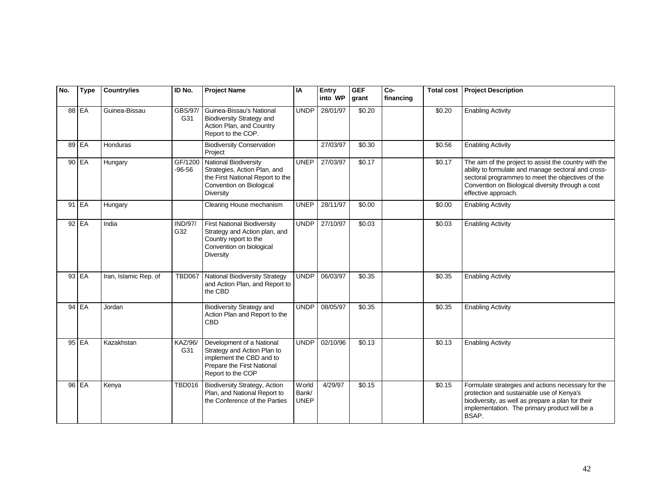| No. | <b>Type</b> | <b>Country/ies</b>    | ID No.                | <b>Project Name</b>                                                                                                                       | IA                            | Entry<br>into WP | <b>GEF</b><br>grant | Co-<br>financing | <b>Total cost</b>  | <b>Project Description</b>                                                                                                                                                                                                                    |
|-----|-------------|-----------------------|-----------------------|-------------------------------------------------------------------------------------------------------------------------------------------|-------------------------------|------------------|---------------------|------------------|--------------------|-----------------------------------------------------------------------------------------------------------------------------------------------------------------------------------------------------------------------------------------------|
|     | 88 EA       | Guinea-Bissau         | GBS/97/<br>G31        | Guinea-Bissau's National<br><b>Biodiversity Strategy and</b><br>Action Plan, and Country<br>Report to the COP.                            | <b>UNDP</b>                   | 28/01/97         | \$0.20              |                  | \$0.20             | <b>Enabling Activity</b>                                                                                                                                                                                                                      |
|     | 89 EA       | Honduras              |                       | <b>Biodiversity Conservation</b><br>Project                                                                                               |                               | 27/03/97         | \$0.30              |                  | \$0.56             | <b>Enabling Activity</b>                                                                                                                                                                                                                      |
|     | 90 EA       | Hungary               | GF/1200<br>$-96-56$   | <b>National Biodiversity</b><br>Strategies, Action Plan, and<br>the First National Report to the<br>Convention on Biological<br>Diversity | <b>UNEP</b>                   | 27/03/97         | \$0.17              |                  | \$0.17             | The aim of the project to assist the country with the<br>ability to formulate and manage sectoral and cross-<br>sectoral programmes to meet the objectives of the<br>Convention on Biological diversity through a cost<br>effective approach. |
|     | $91$ EA     | Hungary               |                       | Clearing House mechanism                                                                                                                  | <b>UNEP</b>                   | 28/11/97         | \$0.00              |                  | \$0.00             | <b>Enabling Activity</b>                                                                                                                                                                                                                      |
|     | 92 EA       | India                 | <b>IND/97/</b><br>G32 | <b>First National Biodiversity</b><br>Strategy and Action plan, and<br>Country report to the<br>Convention on biological<br>Diversity     | <b>UNDP</b>                   | 27/10/97         | $\frac{1}{0.03}$    |                  | \$0.03             | <b>Enabling Activity</b>                                                                                                                                                                                                                      |
|     | 93 EA       | Iran, Islamic Rep. of | <b>TBD067</b>         | <b>National Biodiversity Strategy</b><br>and Action Plan, and Report to<br>the CBD                                                        | <b>UNDP</b>                   | 06/03/97         | \$0.35              |                  | \$0.35             | <b>Enabling Activity</b>                                                                                                                                                                                                                      |
|     | 94 EA       | Jordan                |                       | <b>Biodiversity Strategy and</b><br>Action Plan and Report to the<br><b>CBD</b>                                                           | <b>UNDP</b>                   | 08/05/97         | \$0.35              |                  | \$0.35             | <b>Enabling Activity</b>                                                                                                                                                                                                                      |
|     | 95 EA       | Kazakhstan            | KAZ/96/<br>G31        | Development of a National<br>Strategy and Action Plan to<br>implement the CBD and to<br>Prepare the First National<br>Report to the COP   | <b>UNDP</b>                   | 02/10/96         | \$0.13              |                  | $\overline{$}0.13$ | <b>Enabling Activity</b>                                                                                                                                                                                                                      |
|     | 96 EA       | Kenya                 | <b>TBD016</b>         | <b>Biodiversity Strategy, Action</b><br>Plan, and National Report to<br>the Conference of the Parties                                     | World<br>Bank/<br><b>UNEP</b> | 4/29/97          | \$0.15              |                  | \$0.15             | Formulate strategies and actions necessary for the<br>protection and sustainable use of Kenya's<br>biodiversity, as well as prepare a plan for their<br>implementation. The primary product will be a<br>BSAP.                                |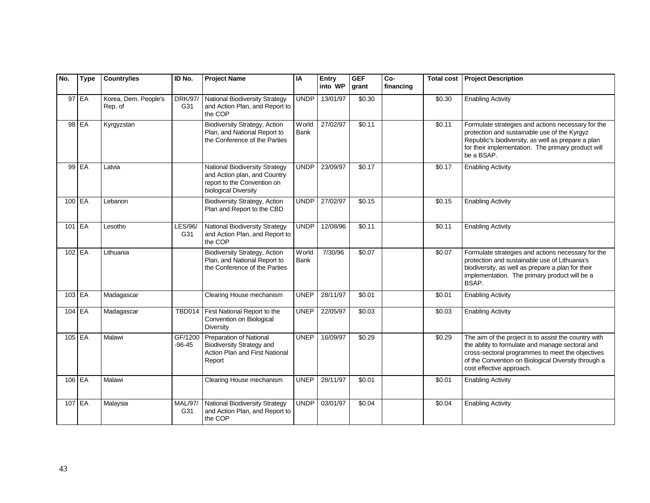| No.      | <b>Type</b> | <b>Country/ies</b>              | ID No.                | <b>Project Name</b>                                                                                                          | IA                   | Entry<br>into WP | <b>GEF</b><br>grant | Co-<br>financing | <b>Total cost</b> | <b>Project Description</b>                                                                                                                                                                                                                      |
|----------|-------------|---------------------------------|-----------------------|------------------------------------------------------------------------------------------------------------------------------|----------------------|------------------|---------------------|------------------|-------------------|-------------------------------------------------------------------------------------------------------------------------------------------------------------------------------------------------------------------------------------------------|
|          | 97 EA       | Korea, Dem. People's<br>Rep. of | DRK/97/<br>G31        | <b>National Biodiversity Strategy</b><br>and Action Plan, and Report to<br>the COP                                           | <b>UNDP</b>          | 13/01/97         | \$0.30              |                  | \$0.30            | <b>Enabling Activity</b>                                                                                                                                                                                                                        |
|          | 98 EA       | Kyrgyzstan                      |                       | <b>Biodiversity Strategy, Action</b><br>Plan, and National Report to<br>the Conference of the Parties                        | World<br><b>Bank</b> | 27/02/97         | \$0.11              |                  | \$0.11            | Formulate strategies and actions necessary for the<br>protection and sustainable use of the Kyrgyz<br>Republic's biodiversity, as well as prepare a plan<br>for their implementation. The primary product will<br>be a BSAP.                    |
|          | 99 EA       | Latvia                          |                       | <b>National Biodiversity Strategy</b><br>and Action plan, and Country<br>report to the Convention on<br>biological Diversity | <b>UNDP</b>          | 23/09/97         | \$0.17              |                  | \$0.17            | <b>Enabling Activity</b>                                                                                                                                                                                                                        |
| 100 EA   |             | Lebanon                         |                       | <b>Biodiversity Strategy, Action</b><br>Plan and Report to the CBD                                                           | <b>UNDP</b>          | 27/02/97         | \$0.15              |                  | \$0.15            | <b>Enabling Activity</b>                                                                                                                                                                                                                        |
| 101 EA   |             | Lesotho                         | LES/96/<br>G31        | <b>National Biodiversity Strategy</b><br>and Action Plan, and Report to<br>the COP                                           | <b>UNDP</b>          | 12/08/96         | \$0.11              |                  | \$0.11            | <b>Enabling Activity</b>                                                                                                                                                                                                                        |
| $102$ EA |             | Lithuania                       |                       | <b>Biodiversity Strategy, Action</b><br>Plan, and National Report to<br>the Conference of the Parties                        | World<br><b>Bank</b> | 7/30/96          | \$0.07              |                  | \$0.07            | Formulate strategies and actions necessary for the<br>protection and sustainable use of Lithuania's<br>biodiversity, as well as prepare a plan for their<br>implementation. The primary product will be a<br>BSAP.                              |
|          | 103 EA      | Madagascar                      |                       | Clearing House mechanism                                                                                                     | <b>UNEP</b>          | 28/11/97         | \$0.01              |                  | \$0.01            | <b>Enabling Activity</b>                                                                                                                                                                                                                        |
|          | 104 EA      | Madagascar                      | <b>TBD014</b>         | First National Report to the<br>Convention on Biological<br>Diversity                                                        | <b>UNEP</b>          | 22/05/97         | \$0.03              |                  | \$0.03            | <b>Enabling Activity</b>                                                                                                                                                                                                                        |
| $105$ EA |             | Malawi                          | GF/1200<br>$-96-45$   | Preparation of National<br><b>Biodiversity Strategy and</b><br>Action Plan and First National<br>Report                      | <b>UNEP</b>          | 16/09/97         | \$0.29              |                  | \$0.29            | The aim of the project is to assist the country with<br>the ability to formulate and manage sectoral and<br>cross-sectoral programmes to meet the objectives<br>of the Convention on Biological Diversity through a<br>cost effective approach. |
| $106$ EA |             | Malawi                          |                       | Clearing House mechanism                                                                                                     | <b>UNEP</b>          | 28/11/97         | \$0.01              |                  | \$0.01            | <b>Enabling Activity</b>                                                                                                                                                                                                                        |
| 107 EA   |             | Malaysia                        | <b>MAL/97/</b><br>G31 | <b>National Biodiversity Strategy</b><br>and Action Plan, and Report to<br>the COP                                           | <b>UNDP</b>          | 03/01/97         | \$0.04              |                  | \$0.04            | <b>Enabling Activity</b>                                                                                                                                                                                                                        |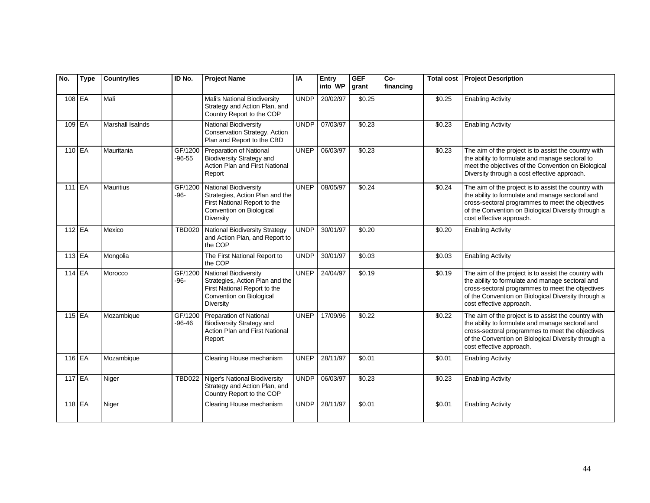| No.      | <b>Type</b> | <b>Country/ies</b> | ID No.              | <b>Project Name</b>                                                                                                                      | IA          | Entry<br>into WP | <b>GEF</b><br>grant | Co-<br>financing | <b>Total cost</b>  | <b>Project Description</b>                                                                                                                                                                                                                      |
|----------|-------------|--------------------|---------------------|------------------------------------------------------------------------------------------------------------------------------------------|-------------|------------------|---------------------|------------------|--------------------|-------------------------------------------------------------------------------------------------------------------------------------------------------------------------------------------------------------------------------------------------|
| $108$ EA |             | Mali               |                     | Mali's National Biodiversity<br>Strategy and Action Plan, and<br>Country Report to the COP                                               | <b>UNDP</b> | 20/02/97         | \$0.25              |                  | \$0.25             | <b>Enabling Activity</b>                                                                                                                                                                                                                        |
|          | 109 EA      | Marshall Isalnds   |                     | National Biodiversity<br>Conservation Strategy, Action<br>Plan and Report to the CBD                                                     | <b>UNDP</b> | 07/03/97         | \$0.23              |                  | \$0.23             | <b>Enabling Activity</b>                                                                                                                                                                                                                        |
| 110 EA   |             | Mauritania         | GF/1200<br>$-96-55$ | <b>Preparation of National</b><br><b>Biodiversity Strategy and</b><br>Action Plan and First National<br>Report                           | <b>UNEP</b> | 06/03/97         | \$0.23              |                  | \$0.23             | The aim of the project is to assist the country with<br>the ability to formulate and manage sectoral to<br>meet the objectives of the Convention on Biological<br>Diversity through a cost effective approach.                                  |
| $111$ EA |             | Mauritius          | GF/1200<br>$-96-$   | National Biodiversity<br>Strategies, Action Plan and the<br>First National Report to the<br>Convention on Biological<br><b>Diversity</b> | <b>UNEP</b> | 08/05/97         | \$0.24              |                  | \$0.24             | The aim of the project is to assist the country with<br>the ability to formulate and manage sectoral and<br>cross-sectoral programmes to meet the objectives<br>of the Convention on Biological Diversity through a<br>cost effective approach. |
| $112$ EA |             | Mexico             | <b>TBD020</b>       | <b>National Biodiversity Strategy</b><br>and Action Plan, and Report to<br>the COP                                                       | <b>UNDP</b> | 30/01/97         | \$0.20              |                  | \$0.20             | <b>Enabling Activity</b>                                                                                                                                                                                                                        |
| 113 EA   |             | Mongolia           |                     | The First National Report to<br>the COP                                                                                                  | <b>UNDP</b> | 30/01/97         | \$0.03              |                  | \$0.03             | <b>Enabling Activity</b>                                                                                                                                                                                                                        |
| 114 EA   |             | Morocco            | GF/1200<br>$-96-$   | <b>National Biodiversity</b><br>Strategies, Action Plan and the<br>First National Report to the<br>Convention on Biological<br>Diversity | <b>UNEP</b> | 24/04/97         | \$0.19              |                  | \$0.19             | The aim of the project is to assist the country with<br>the ability to formulate and manage sectoral and<br>cross-sectoral programmes to meet the objectives<br>of the Convention on Biological Diversity through a<br>cost effective approach. |
| $115$ EA |             | Mozambique         | GF/1200<br>-96-46   | Preparation of National<br><b>Biodiversity Strategy and</b><br>Action Plan and First National<br>Report                                  | <b>UNEP</b> | 17/09/96         | \$0.22              |                  | \$0.22             | The aim of the project is to assist the country with<br>the ability to formulate and manage sectoral and<br>cross-sectoral programmes to meet the objectives<br>of the Convention on Biological Diversity through a<br>cost effective approach. |
| 116 EA   |             | Mozambique         |                     | Clearing House mechanism                                                                                                                 | <b>UNEP</b> | 28/11/97         | \$0.01              |                  | \$0.01             | <b>Enabling Activity</b>                                                                                                                                                                                                                        |
| 117 EA   |             | Niger              | <b>TBD022</b>       | Niger's National Biodiversity<br>Strategy and Action Plan, and<br>Country Report to the COP                                              | <b>UNDP</b> | 06/03/97         | \$0.23              |                  | \$0.23             | <b>Enabling Activity</b>                                                                                                                                                                                                                        |
| $118$ EA |             | Niger              |                     | Clearing House mechanism                                                                                                                 | <b>UNDP</b> | 28/11/97         | \$0.01              |                  | $\overline{$}0.01$ | <b>Enabling Activity</b>                                                                                                                                                                                                                        |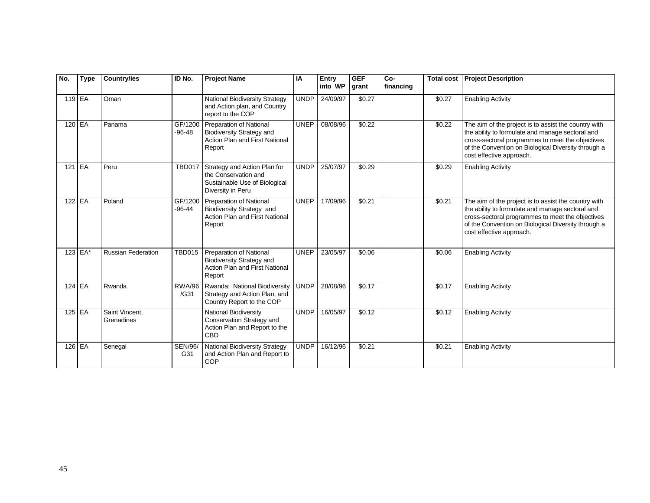| No.      | <b>Type</b> | <b>Country/ies</b>           | ID No.                | <b>Project Name</b>                                                                                            | IA          | Entry<br>into WP | <b>GEF</b><br>grant | Co-<br>financing | <b>Total cost</b>  | <b>Project Description</b>                                                                                                                                                                                                                      |
|----------|-------------|------------------------------|-----------------------|----------------------------------------------------------------------------------------------------------------|-------------|------------------|---------------------|------------------|--------------------|-------------------------------------------------------------------------------------------------------------------------------------------------------------------------------------------------------------------------------------------------|
| $119$ EA |             | Oman                         |                       | <b>National Biodiversity Strategy</b><br>and Action plan, and Country<br>report to the COP                     | <b>UNDP</b> | 24/09/97         | \$0.27              |                  | \$0.27             | <b>Enabling Activity</b>                                                                                                                                                                                                                        |
| 120 EA   |             | Panama                       | GF/1200<br>$-96-48$   | Preparation of National<br><b>Biodiversity Strategy and</b><br>Action Plan and First National<br>Report        | <b>UNEP</b> | 08/08/96         | \$0.22              |                  | $\overline{$}0.22$ | The aim of the project is to assist the country with<br>the ability to formulate and manage sectoral and<br>cross-sectoral programmes to meet the objectives<br>of the Convention on Biological Diversity through a<br>cost effective approach. |
| $121$ EA |             | Peru                         | <b>TBD017</b>         | Strategy and Action Plan for<br>the Conservation and<br>Sustainable Use of Biological<br>Diversity in Peru     | <b>UNDP</b> | 25/07/97         | \$0.29              |                  | \$0.29             | <b>Enabling Activity</b>                                                                                                                                                                                                                        |
|          | 122 EA      | Poland                       | GF/1200<br>$-96 - 44$ | Preparation of National<br>Biodiversity Strategy and<br>Action Plan and First National<br>Report               | <b>UNEP</b> | 17/09/96         | \$0.21              |                  | \$0.21             | The aim of the project is to assist the country with<br>the ability to formulate and manage sectoral and<br>cross-sectoral programmes to meet the objectives<br>of the Convention on Biological Diversity through a<br>cost effective approach. |
|          | $123$ EA*   | <b>Russian Federation</b>    | <b>TBD015</b>         | <b>Preparation of National</b><br><b>Biodiversity Strategy and</b><br>Action Plan and First National<br>Report | <b>UNEP</b> | 23/05/97         | \$0.06              |                  | \$0.06             | <b>Enabling Activity</b>                                                                                                                                                                                                                        |
| 124 EA   |             | Rwanda                       | <b>RWA/96</b><br>/G31 | Rwanda: National Biodiversity<br>Strategy and Action Plan, and<br>Country Report to the COP                    | UNDP        | 28/08/96         | \$0.17              |                  | \$0.17             | <b>Enabling Activity</b>                                                                                                                                                                                                                        |
|          | 125 EA      | Saint Vincent.<br>Grenadines |                       | National Biodiversity<br>Conservation Strategy and<br>Action Plan and Report to the<br>CBD                     | <b>UNDP</b> | 16/05/97         | \$0.12              |                  | \$0.12             | <b>Enabling Activity</b>                                                                                                                                                                                                                        |
| $126$ EA |             | Senegal                      | <b>SEN/96/</b><br>G31 | National Biodiversity Strategy<br>and Action Plan and Report to<br>COP                                         | <b>UNDP</b> | 16/12/96         | \$0.21              |                  | \$0.21             | <b>Enabling Activity</b>                                                                                                                                                                                                                        |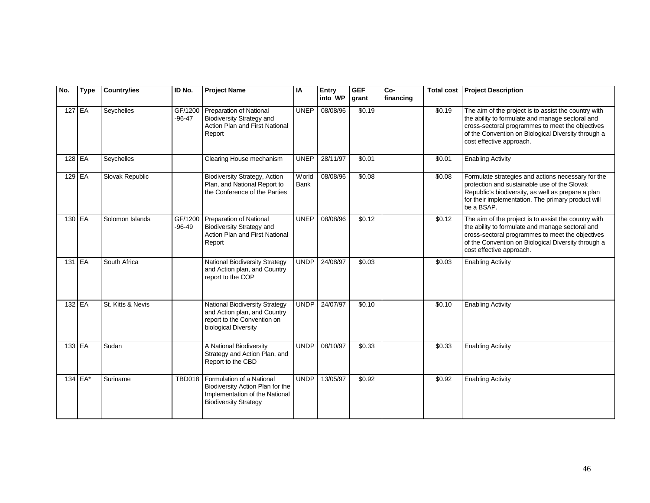| No.      | <b>Type</b> | <b>Country/ies</b> | ID No.              | <b>Project Name</b>                                                                                                             | IA            | Entry<br>into WP | <b>GEF</b><br>grant | $Co-$<br>financing | <b>Total cost</b> | <b>Project Description</b>                                                                                                                                                                                                                      |
|----------|-------------|--------------------|---------------------|---------------------------------------------------------------------------------------------------------------------------------|---------------|------------------|---------------------|--------------------|-------------------|-------------------------------------------------------------------------------------------------------------------------------------------------------------------------------------------------------------------------------------------------|
| 127 EA   |             | Seychelles         | GF/1200<br>$-96-47$ | Preparation of National<br><b>Biodiversity Strategy and</b><br>Action Plan and First National<br>Report                         | <b>UNEP</b>   | 08/08/96         | \$0.19              |                    | \$0.19            | The aim of the project is to assist the country with<br>the ability to formulate and manage sectoral and<br>cross-sectoral programmes to meet the objectives<br>of the Convention on Biological Diversity through a<br>cost effective approach. |
| $128$ EA |             | Seychelles         |                     | Clearing House mechanism                                                                                                        | <b>UNEP</b>   | 28/11/97         | \$0.01              |                    | \$0.01            | <b>Enabling Activity</b>                                                                                                                                                                                                                        |
| 129 EA   |             | Slovak Republic    |                     | <b>Biodiversity Strategy, Action</b><br>Plan, and National Report to<br>the Conference of the Parties                           | World<br>Bank | 08/08/96         | \$0.08              |                    | \$0.08            | Formulate strategies and actions necessary for the<br>protection and sustainable use of the Slovak<br>Republic's biodiversity, as well as prepare a plan<br>for their implementation. The primary product will<br>be a BSAP.                    |
| $130$ EA |             | Solomon Islands    | GF/1200<br>$-96-49$ | <b>Preparation of National</b><br><b>Biodiversity Strategy and</b><br>Action Plan and First National<br>Report                  | <b>UNEP</b>   | 08/08/96         | \$0.12              |                    | \$0.12            | The aim of the project is to assist the country with<br>the ability to formulate and manage sectoral and<br>cross-sectoral programmes to meet the objectives<br>of the Convention on Biological Diversity through a<br>cost effective approach. |
| $131$ EA |             | South Africa       |                     | <b>National Biodiversity Strategy</b><br>and Action plan, and Country<br>report to the COP                                      | <b>UNDP</b>   | 24/08/97         | \$0.03              |                    | \$0.03            | <b>Enabling Activity</b>                                                                                                                                                                                                                        |
| $132$ EA |             | St. Kitts & Nevis  |                     | <b>National Biodiversity Strategy</b><br>and Action plan, and Country<br>report to the Convention on<br>biological Diversity    | <b>UNDP</b>   | 24/07/97         | \$0.10              |                    | \$0.10            | <b>Enabling Activity</b>                                                                                                                                                                                                                        |
| 133 EA   |             | Sudan              |                     | A National Biodiversity<br>Strategy and Action Plan, and<br>Report to the CBD                                                   | <b>UNDP</b>   | 08/10/97         | \$0.33              |                    | \$0.33            | <b>Enabling Activity</b>                                                                                                                                                                                                                        |
|          | $134$ EA*   | Suriname           | <b>TBD018</b>       | Formulation of a National<br>Biodiversity Action Plan for the<br>Implementation of the National<br><b>Biodiversity Strategy</b> | <b>UNDP</b>   | 13/05/97         | \$0.92              |                    | \$0.92            | <b>Enabling Activity</b>                                                                                                                                                                                                                        |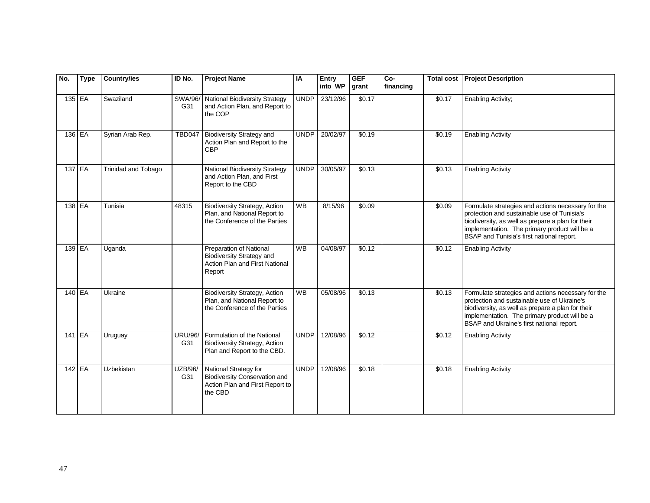| No.      | <b>Type</b> | <b>Country/ies</b>  | ID No.                | <b>Project Name</b>                                                                                         | IA          | Entry<br>into WP | <b>GEF</b><br>grant | Co-<br>financing | <b>Total cost</b> | <b>Project Description</b>                                                                                                                                                                                                                           |
|----------|-------------|---------------------|-----------------------|-------------------------------------------------------------------------------------------------------------|-------------|------------------|---------------------|------------------|-------------------|------------------------------------------------------------------------------------------------------------------------------------------------------------------------------------------------------------------------------------------------------|
| 135 EA   |             | Swaziland           | SWA/96/<br>G31        | National Biodiversity Strategy<br>and Action Plan, and Report to<br>the COP                                 | <b>UNDP</b> | 23/12/96         | \$0.17              |                  | $\sqrt{$0.17}$    | Enabling Activity;                                                                                                                                                                                                                                   |
| 136 EA   |             | Syrian Arab Rep.    | <b>TBD047</b>         | <b>Biodiversity Strategy and</b><br>Action Plan and Report to the<br><b>CBP</b>                             | <b>UNDP</b> | 20/02/97         | \$0.19              |                  | \$0.19            | <b>Enabling Activity</b>                                                                                                                                                                                                                             |
|          | 137 EA      | Trinidad and Tobago |                       | <b>National Biodiversity Strategy</b><br>and Action Plan, and First<br>Report to the CBD                    | <b>UNDP</b> | 30/05/97         | \$0.13              |                  | \$0.13            | <b>Enabling Activity</b>                                                                                                                                                                                                                             |
| 138 EA   |             | Tunisia             | 48315                 | <b>Biodiversity Strategy, Action</b><br>Plan, and National Report to<br>the Conference of the Parties       | <b>WB</b>   | 8/15/96          | \$0.09              |                  | \$0.09            | Formulate strategies and actions necessary for the<br>protection and sustainable use of Tunisia's<br>biodiversity, as well as prepare a plan for their<br>implementation. The primary product will be a<br>BSAP and Tunisia's first national report. |
| $139$ EA |             | Uganda              |                       | Preparation of National<br><b>Biodiversity Strategy and</b><br>Action Plan and First National<br>Report     | <b>WB</b>   | 04/08/97         | \$0.12              |                  | \$0.12            | <b>Enabling Activity</b>                                                                                                                                                                                                                             |
| 140 EA   |             | Ukraine             |                       | <b>Biodiversity Strategy, Action</b><br>Plan, and National Report to<br>the Conference of the Parties       | <b>WB</b>   | 05/08/96         | \$0.13              |                  | \$0.13            | Formulate strategies and actions necessary for the<br>protection and sustainable use of Ukraine's<br>biodiversity, as well as prepare a plan for their<br>implementation. The primary product will be a<br>BSAP and Ukraine's first national report. |
| $141$ EA |             | Uruguay             | <b>URU/96/</b><br>G31 | Formulation of the National<br><b>Biodiversity Strategy, Action</b><br>Plan and Report to the CBD.          | <b>UNDP</b> | 12/08/96         | \$0.12              |                  | \$0.12            | <b>Enabling Activity</b>                                                                                                                                                                                                                             |
| 142 EA   |             | Uzbekistan          | UZB/96/<br>G31        | National Strategy for<br><b>Biodiversity Conservation and</b><br>Action Plan and First Report to<br>the CBD | <b>UNDP</b> | 12/08/96         | \$0.18              |                  | \$0.18            | <b>Enabling Activity</b>                                                                                                                                                                                                                             |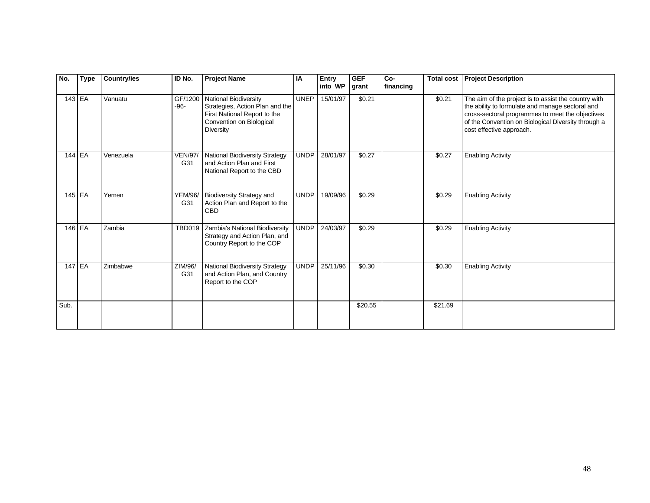| No.      | <b>Type</b> | <b>Country/ies</b> | ID No.                | <b>Project Name</b>                                                                                                                             | IA          | Entry<br>into WP | <b>GEF</b><br>grant | Co-<br>financing | <b>Total cost</b> | <b>Project Description</b>                                                                                                                                                                                                                      |
|----------|-------------|--------------------|-----------------------|-------------------------------------------------------------------------------------------------------------------------------------------------|-------------|------------------|---------------------|------------------|-------------------|-------------------------------------------------------------------------------------------------------------------------------------------------------------------------------------------------------------------------------------------------|
| 143 EA   |             | Vanuatu            | GF/1200<br>$-96-$     | <b>National Biodiversity</b><br>Strategies, Action Plan and the<br>First National Report to the<br>Convention on Biological<br><b>Diversity</b> | <b>UNEP</b> | 15/01/97         | \$0.21              |                  | \$0.21            | The aim of the project is to assist the country with<br>the ability to formulate and manage sectoral and<br>cross-sectoral programmes to meet the objectives<br>of the Convention on Biological Diversity through a<br>cost effective approach. |
| 144 EA   |             | Venezuela          | <b>VEN/97/</b><br>G31 | <b>National Biodiversity Strategy</b><br>and Action Plan and First<br>National Report to the CBD                                                | <b>UNDP</b> | 28/01/97         | \$0.27              |                  | \$0.27            | <b>Enabling Activity</b>                                                                                                                                                                                                                        |
| 145 EA   |             | Yemen              | <b>YEM/96/</b><br>G31 | <b>Biodiversity Strategy and</b><br>Action Plan and Report to the<br><b>CBD</b>                                                                 | <b>UNDP</b> | 19/09/96         | \$0.29              |                  | \$0.29            | <b>Enabling Activity</b>                                                                                                                                                                                                                        |
| $146$ EA |             | Zambia             | <b>TBD019</b>         | Zambia's National Biodiversity<br>Strategy and Action Plan, and<br>Country Report to the COP                                                    | UNDP I      | 24/03/97         | \$0.29              |                  | \$0.29            | <b>Enabling Activity</b>                                                                                                                                                                                                                        |
| 147 EA   |             | Zimbabwe           | ZIM/96/<br>G31        | National Biodiversity Strategy<br>and Action Plan, and Country<br>Report to the COP                                                             | UNDP        | 25/11/96         | \$0.30              |                  | \$0.30            | <b>Enabling Activity</b>                                                                                                                                                                                                                        |
| Sub.     |             |                    |                       |                                                                                                                                                 |             |                  | \$20.55             |                  | \$21.69           |                                                                                                                                                                                                                                                 |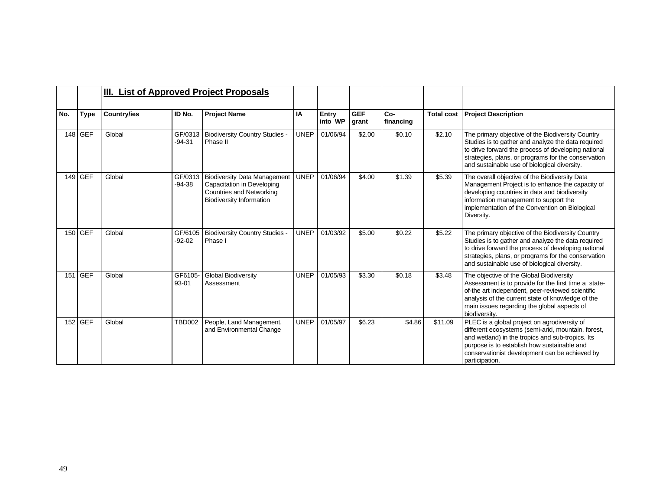|     |           |                    |                     | III. List of Approved Project Proposals                                                                                          |             |                  |                     |                    |                   |                                                                                                                                                                                                                                                                           |
|-----|-----------|--------------------|---------------------|----------------------------------------------------------------------------------------------------------------------------------|-------------|------------------|---------------------|--------------------|-------------------|---------------------------------------------------------------------------------------------------------------------------------------------------------------------------------------------------------------------------------------------------------------------------|
| No. | Type      | <b>Country/ies</b> | ID No.              | <b>Project Name</b>                                                                                                              | IA          | Entry<br>into WP | <b>GEF</b><br>grant | $Co-$<br>financing | <b>Total cost</b> | <b>Project Description</b>                                                                                                                                                                                                                                                |
|     | 148 GEF   | Global             | GF/0313<br>$-94-31$ | <b>Biodiversity Country Studies -</b><br>Phase II                                                                                | <b>UNEP</b> | 01/06/94         | \$2.00              | \$0.10             | \$2.10            | The primary objective of the Biodiversity Country<br>Studies is to gather and analyze the data required<br>to drive forward the process of developing national<br>strategies, plans, or programs for the conservation<br>and sustainable use of biological diversity.     |
|     | $149$ GEF | Global             | GF/0313<br>$-94-38$ | <b>Biodiversity Data Management</b><br>Capacitation in Developing<br>Countries and Networking<br><b>Biodiversity Information</b> | <b>UNEP</b> | 01/06/94         | \$4.00              | \$1.39             | \$5.39            | The overall objective of the Biodiversity Data<br>Management Project is to enhance the capacity of<br>developing countries in data and biodiversity<br>information management to support the<br>implementation of the Convention on Biological<br>Diversity.              |
|     | 150 GEF   | Global             | GF/6105<br>$-92-02$ | <b>Biodiversity Country Studies -</b><br>Phase I                                                                                 | <b>UNEP</b> | 01/03/92         | \$5.00              | \$0.22             | \$5.22            | The primary objective of the Biodiversity Country<br>Studies is to gather and analyze the data required<br>to drive forward the process of developing national<br>strategies, plans, or programs for the conservation<br>and sustainable use of biological diversity.     |
|     | 151 GEF   | Global             | GF6105-<br>93-01    | <b>Global Biodiversity</b><br>Assessment                                                                                         | <b>UNEP</b> | 01/05/93         | \$3.30              | \$0.18             | \$3.48            | The objective of the Global Biodiversity<br>Assessment is to provide for the first time a state-<br>of-the art independent, peer-reviewed scientific<br>analysis of the current state of knowledge of the<br>main issues regarding the global aspects of<br>biodiversity. |
|     | $152$ GEF | Global             | <b>TBD002</b>       | People, Land Management,<br>and Environmental Change                                                                             | <b>UNEP</b> | 01/05/97         | \$6.23              | \$4.86             | \$11.09           | PLEC is a global project on agrodiversity of<br>different ecosystems (semi-arid, mountain, forest,<br>and wetland) in the tropics and sub-tropics. Its<br>purpose is to establish how sustainable and<br>conservationist development can be achieved by<br>participation. |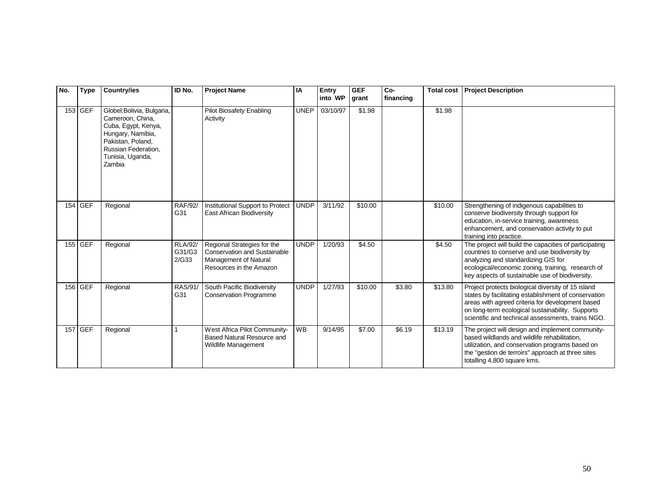| No. | <b>Type</b> | <b>Country/ies</b>                                                                                                                                                   | ID No.                            | <b>Project Name</b>                                                                                                    | IA          | Entry<br>into WP | <b>GEF</b><br>grant | Co-<br>financing | <b>Total cost</b> | <b>Project Description</b>                                                                                                                                                                                                                                              |
|-----|-------------|----------------------------------------------------------------------------------------------------------------------------------------------------------------------|-----------------------------------|------------------------------------------------------------------------------------------------------------------------|-------------|------------------|---------------------|------------------|-------------------|-------------------------------------------------------------------------------------------------------------------------------------------------------------------------------------------------------------------------------------------------------------------------|
|     | 153 GEF     | Globel: Bolivia, Bulgaria,<br>Cameroon, China,<br>Cuba, Egypt, Kenya,<br>Hungary, Namibia,<br>Pakistan, Poland,<br>Russian Federation,<br>Tunisia, Uganda,<br>Zambia |                                   | <b>Pilot Biosafety Enabling</b><br>Activity                                                                            | <b>UNEP</b> | 03/10/97         | \$1.98              |                  | \$1.98            |                                                                                                                                                                                                                                                                         |
|     | 154 GEF     | Regional                                                                                                                                                             | <b>RAF/92/</b><br>G31             | Institutional Support to Protect<br>East African Biodiversity                                                          | <b>UNDP</b> | 3/11/92          | \$10.00             |                  | \$10.00           | Strengthening of indigenous capabilities to<br>conserve biodiversity through support for<br>education, in-service training, awareness<br>enhancement, and conservation activity to put<br>training into practice.                                                       |
|     | 155 GEF     | Regional                                                                                                                                                             | <b>RLA/92/</b><br>G31/G3<br>2/G33 | Regional Strategies for the<br><b>Conservation and Sustainable</b><br>Management of Natural<br>Resources in the Amazon | <b>UNDP</b> | 1/20/93          | \$4.50              |                  | \$4.50            | The project will build the capacities of participating<br>countries to conserve and use biodiversity by<br>analyzing and standardizing GIS for<br>ecological/economic zoning, training, research of<br>key aspects of sustainable use of biodiversity.                  |
|     | 156 GEF     | Regional                                                                                                                                                             | RAS/91/<br>G31                    | South Pacific Biodiversity<br><b>Conservation Programme</b>                                                            | <b>UNDP</b> | 1/27/93          | \$10.00             | \$3.80           | \$13.80           | Project protects biological diversity of 15 island<br>states by facilitating establishment of conservation<br>areas with agreed criteria for development based<br>on long-term ecological sustainability. Supports<br>scientific and technical assessments, trains NGO. |
|     | 157 GEF     | Regional                                                                                                                                                             |                                   | West Africa Pilot Community-<br>Based Natural Resource and<br>Wildlife Management                                      | <b>WB</b>   | 9/14/95          | \$7.00              | \$6.19           | \$13.19           | The project will design and implement community-<br>based wildlands and wildlife rehabilitation,<br>utilization, and conservation programs based on<br>the "gestion de terroirs" approach at three sites<br>totalling 4,800 square kms.                                 |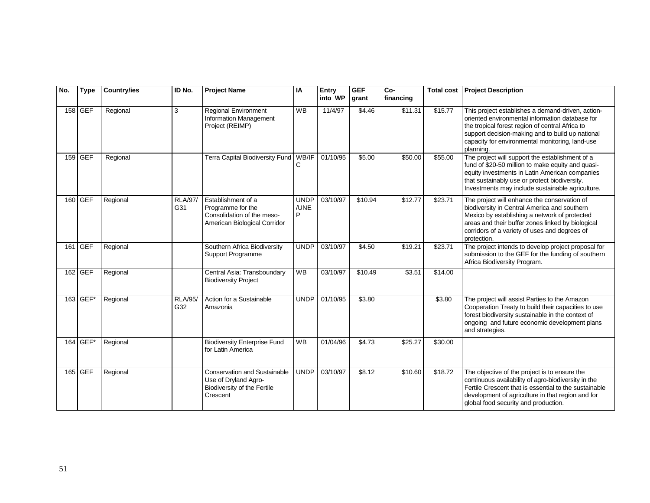| No. | <b>Type</b> | <b>Country/ies</b> | ID No.                | <b>Project Name</b>                                                                                    | IA                       | Entry<br>into WP | <b>GEF</b><br>grant | Co-<br>financing | <b>Total cost</b> | <b>Project Description</b>                                                                                                                                                                                                                                                  |
|-----|-------------|--------------------|-----------------------|--------------------------------------------------------------------------------------------------------|--------------------------|------------------|---------------------|------------------|-------------------|-----------------------------------------------------------------------------------------------------------------------------------------------------------------------------------------------------------------------------------------------------------------------------|
|     | 158 GEF     | Regional           | 3                     | Regional Environment<br>Information Management<br>Project (REIMP)                                      | <b>WB</b>                | 11/4/97          | \$4.46              | \$11.31          | \$15.77           | This project establishes a demand-driven, action-<br>oriented environmental information database for<br>the tropical forest region of central Africa to<br>support decision-making and to build up national<br>capacity for environmental monitoring, land-use<br>planning. |
|     | 159 GEF     | Regional           |                       | Terra Capital Biodiversity Fund   WB/IF                                                                |                          | 01/10/95         | \$5.00              | \$50.00          | \$55.00           | The project will support the establishment of a<br>fund of \$20-50 million to make equity and quasi-<br>equity investments in Latin American companies<br>that sustainably use or protect biodiversity.<br>Investments may include sustainable agriculture.                 |
|     | 160 GEF     | Regional           | <b>RLA/97/</b><br>G31 | Establishment of a<br>Programme for the<br>Consolidation of the meso-<br>American Biological Corridor  | <b>UNDP</b><br>/UNE<br>P | 03/10/97         | \$10.94             | \$12.77          | \$23.71           | The project will enhance the conservation of<br>biodiversity in Central America and southern<br>Mexico by establishing a network of protected<br>areas and their buffer zones linked by biological<br>corridors of a variety of uses and degrees of<br>protection.          |
|     | 161 GEF     | Regional           |                       | Southern Africa Biodiversity<br>Support Programme                                                      | <b>UNDP</b>              | 03/10/97         | \$4.50              | \$19.21          | \$23.71           | The project intends to develop project proposal for<br>submission to the GEF for the funding of southern<br>Africa Biodiversity Program.                                                                                                                                    |
|     | 162 GEF     | Regional           |                       | Central Asia: Transboundary<br><b>Biodiversity Project</b>                                             | <b>WB</b>                | 03/10/97         | \$10.49             | \$3.51           | \$14.00           |                                                                                                                                                                                                                                                                             |
|     | $163$ GEF*  | Regional           | <b>RLA/95/</b><br>G32 | Action for a Sustainable<br>Amazonia                                                                   | <b>UNDP</b>              | 01/10/95         | \$3.80              |                  | \$3.80            | The project will assist Parties to the Amazon<br>Cooperation Treaty to build their capacities to use<br>forest biodiversity sustainable in the context of<br>ongoing and future economic development plans<br>and strategies.                                               |
|     | 164 GEF*    | Regional           |                       | <b>Biodiversity Enterprise Fund</b><br>for Latin America                                               | <b>WB</b>                | 01/04/96         | \$4.73              | \$25.27          | \$30.00           |                                                                                                                                                                                                                                                                             |
|     | 165 GEF     | Regional           |                       | <b>Conservation and Sustainable</b><br>Use of Dryland Agro-<br>Biodiversity of the Fertile<br>Crescent | <b>UNDP</b>              | 03/10/97         | \$8.12              | \$10.60          | \$18.72           | The objective of the project is to ensure the<br>continuous availability of agro-biodiversity in the<br>Fertile Crescent that is essential to the sustainable<br>development of agriculture in that region and for<br>global food security and production.                  |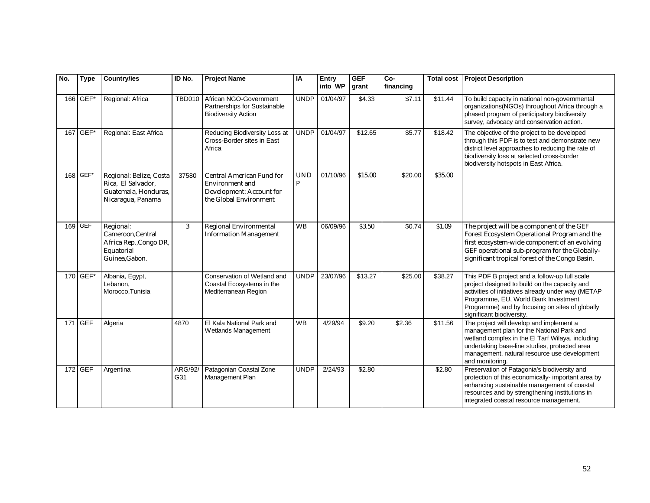| No. | <b>Type</b> | <b>Country/ies</b>                                                                         | ID No.         | <b>Project Name</b>                                                                                              | IA              | Entry<br>into WP | <b>GEF</b><br>grant | Co-<br>financing | <b>Total cost</b> | <b>Project Description</b>                                                                                                                                                                                                                                                   |
|-----|-------------|--------------------------------------------------------------------------------------------|----------------|------------------------------------------------------------------------------------------------------------------|-----------------|------------------|---------------------|------------------|-------------------|------------------------------------------------------------------------------------------------------------------------------------------------------------------------------------------------------------------------------------------------------------------------------|
|     | 166 GEF*    | Regional: Africa                                                                           | <b>TBD010</b>  | African NGO-Government<br>Partnerships for Sustainable<br><b>Biodiversity Action</b>                             | <b>UNDP</b>     | 01/04/97         | \$4.33              | \$7.11           | \$11.44           | To build capacity in national non-governmental<br>organizations(NGOs) throughout Africa through a<br>phased program of participatory biodiversity<br>survey, advocacy and conservation action.                                                                               |
|     | 167 GEF*    | Regional: East Africa                                                                      |                | Reducing Biodiversity Loss at<br>Cross-Border sites in East<br>Africa                                            | <b>UNDP</b>     | 01/04/97         | \$12.65             | \$5.77           | \$18.42           | The objective of the project to be developed<br>through this PDF is to test and demonstrate new<br>district level approaches to reducing the rate of<br>biodiversity loss at selected cross-border<br>biodiversity hotspots in East Africa.                                  |
|     | 168 GEF*    | Regional: Belize, Costa<br>Rica, El Salvador,<br>Guatemala, Honduras.<br>Nicaragua, Panama | 37580          | <b>Central American Fund for</b><br><b>Environment</b> and<br>Development: Account for<br>the Global Environment | <b>UND</b><br>P | 01/10/96         | \$15.00             | \$20.00          | \$35.00           |                                                                                                                                                                                                                                                                              |
|     | 169 GEF     | Regional:<br>Cameroon.Central<br>Africa Rep., Congo DR,<br>Equatorial<br>Guinea, Gabon.    | 3              | Regional Environmental<br><b>Information Management</b>                                                          | <b>WB</b>       | 06/09/96         | \$3.50              | \$0.74           | \$1.09            | The project will be a component of the GEF<br>Forest Ecosystem Operational Program and the<br>first ecosystem-wide component of an evolving<br>GEF operational sub-program for the Globally-<br>significant tropical forest of the Congo Basin.                              |
|     | 170 GEF*    | Albania, Egypt,<br>Lebanon,<br>Morocco, Tunisia                                            |                | Conservation of Wetland and<br>Coastal Ecosystems in the<br>Mediterranean Region                                 | <b>UNDP</b>     | 23/07/96         | $\overline{$13.27}$ | \$25.00          | \$38.27           | This PDF B project and a follow-up full scale<br>project designed to build on the capacity and<br>activities of initiatives already under way (METAP<br>Programme, EU, World Bank Investment<br>Programme) and by focusing on sites of globally<br>significant biodiversity. |
|     | 171 GEF     | Algeria                                                                                    | 4870           | El Kala National Park and<br>Wetlands Management                                                                 | <b>WB</b>       | 4/29/94          | \$9.20              | \$2.36           | \$11.56           | The project will develop and implement a<br>management plan for the National Park and<br>wetland complex in the El Tarf Wilaya, including<br>undertaking base-line studies, protected area<br>management, natural resource use development<br>and monitoring.                |
|     | 172 GEF     | Argentina                                                                                  | ARG/92/<br>G31 | Patagonian Coastal Zone<br>Management Plan                                                                       | <b>UNDP</b>     | 2/24/93          | \$2.80              |                  | \$2.80            | Preservation of Patagonia's biodiversity and<br>protection of this economically- important area by<br>enhancing sustainable management of coastal<br>resources and by strengthening institutions in<br>integrated coastal resource management.                               |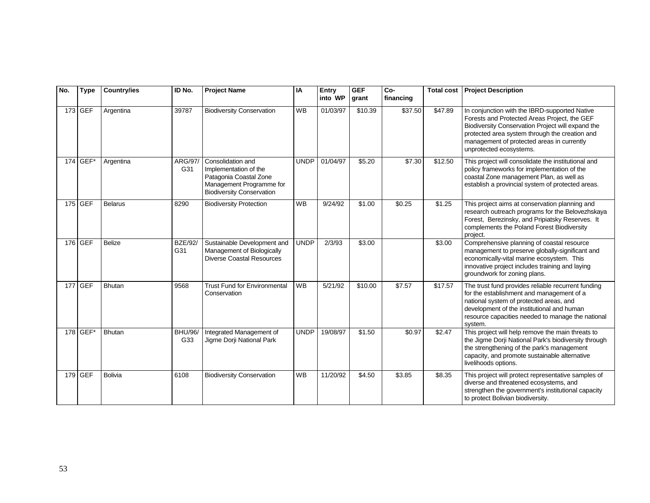| No. | <b>Type</b> | <b>Country/ies</b> | ID No.                | <b>Project Name</b>                                                                                                                  | IA          | Entry<br>into WP | <b>GEF</b><br>grant | Co-<br>financing | <b>Total cost</b> | <b>Project Description</b>                                                                                                                                                                                                                                                    |
|-----|-------------|--------------------|-----------------------|--------------------------------------------------------------------------------------------------------------------------------------|-------------|------------------|---------------------|------------------|-------------------|-------------------------------------------------------------------------------------------------------------------------------------------------------------------------------------------------------------------------------------------------------------------------------|
|     | 173 GEF     | Argentina          | 39787                 | <b>Biodiversity Conservation</b>                                                                                                     | <b>WB</b>   | 01/03/97         | \$10.39             | \$37.50          | \$47.89           | In conjunction with the IBRD-supported Native<br>Forests and Protected Areas Project, the GEF<br>Biodiversity Conservation Project will expand the<br>protected area system through the creation and<br>management of protected areas in currently<br>unprotected ecosystems. |
|     | 174 GEF*    | Argentina          | ARG/97/<br>G31        | Consolidation and<br>Implementation of the<br>Patagonia Coastal Zone<br>Management Programme for<br><b>Biodiversity Conservation</b> | <b>UNDP</b> | 01/04/97         | \$5.20              | \$7.30           | \$12.50           | This project will consolidate the institutional and<br>policy frameworks for implementation of the<br>coastal Zone management Plan, as well as<br>establish a provincial system of protected areas.                                                                           |
|     | 175 GEF     | <b>Belarus</b>     | 8290                  | <b>Biodiversity Protection</b>                                                                                                       | <b>WB</b>   | 9/24/92          | \$1.00              | \$0.25           | \$1.25            | This project aims at conservation planning and<br>research outreach programs for the Belovezhskaya<br>Forest, Berezinsky, and Pripiatsky Reserves. It<br>complements the Poland Forest Biodiversity<br>project.                                                               |
|     | 176 GEF     | <b>Belize</b>      | <b>BZE/92/</b><br>G31 | Sustainable Development and<br>Management of Biologically<br><b>Diverse Coastal Resources</b>                                        | <b>UNDP</b> | 2/3/93           | \$3.00              |                  | \$3.00            | Comprehensive planning of coastal resource<br>management to preserve globally-significant and<br>economically-vital marine ecosystem. This<br>innovative project includes training and laying<br>groundwork for zoning plans.                                                 |
|     | 177 GEF     | <b>Bhutan</b>      | 9568                  | <b>Trust Fund for Environmental</b><br>Conservation                                                                                  | <b>WB</b>   | 5/21/92          | \$10.00             | \$7.57           | \$17.57           | The trust fund provides reliable recurrent funding<br>for the establishment and management of a<br>national system of protected areas, and<br>development of the institutional and human<br>resource capacities needed to manage the national<br>system.                      |
|     | 178 GEF*    | <b>Bhutan</b>      | <b>BHU/96/</b><br>G33 | Integrated Management of<br>Jigme Dorji National Park                                                                                | <b>UNDP</b> | 19/08/97         | \$1.50              | \$0.97           | \$2.47            | This project will help remove the main threats to<br>the Jigme Dorji National Park's biodiversity through<br>the strengthening of the park's management<br>capacity, and promote sustainable alternative<br>livelihoods options.                                              |
|     | 179 GEF     | <b>Bolivia</b>     | 6108                  | <b>Biodiversity Conservation</b>                                                                                                     | <b>WB</b>   | 11/20/92         | \$4.50              | \$3.85           | \$8.35            | This project will protect representative samples of<br>diverse and threatened ecosystems, and<br>strengthen the government's institutional capacity<br>to protect Bolivian biodiversity.                                                                                      |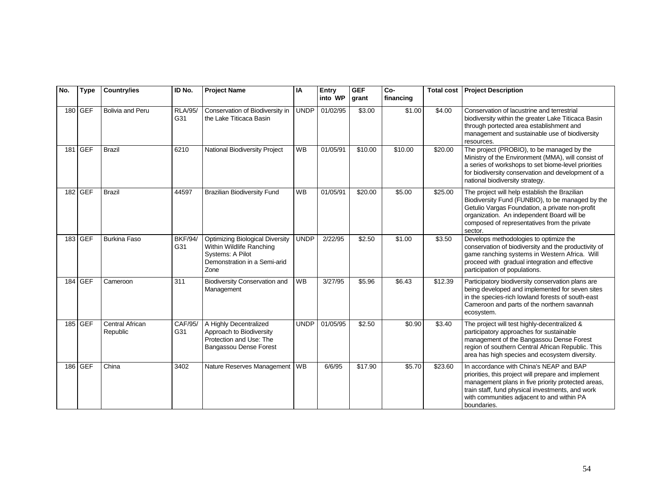| No. | <b>Type</b> | <b>Country/ies</b>          | ID No.                | <b>Project Name</b>                                                                                                            | IA          | Entry<br>into WP | <b>GEF</b><br>grant | Co-<br>financing | <b>Total cost</b> | <b>Project Description</b>                                                                                                                                                                                                                                            |
|-----|-------------|-----------------------------|-----------------------|--------------------------------------------------------------------------------------------------------------------------------|-------------|------------------|---------------------|------------------|-------------------|-----------------------------------------------------------------------------------------------------------------------------------------------------------------------------------------------------------------------------------------------------------------------|
|     | 180 GEF     | <b>Bolivia and Peru</b>     | <b>RLA/95/</b><br>G31 | Conservation of Biodiversity in<br>the Lake Titicaca Basin                                                                     | UNDP        | 01/02/95         | \$3.00              | \$1.00           | \$4.00            | Conservation of lacustrine and terrestrial<br>biodiversity within the greater Lake Titicaca Basin<br>through portected area establishment and<br>management and sustainable use of biodiversity<br>resources.                                                         |
|     | 181 GEF     | <b>Brazil</b>               | 6210                  | National Biodiversity Project                                                                                                  | <b>WB</b>   | 01/05/91         | \$10.00             | \$10.00          | \$20.00           | The project (PROBIO), to be managed by the<br>Ministry of the Environment (MMA), will consist of<br>a series of workshops to set biome-level priorities<br>for biodiversity conservation and development of a<br>national biodiversity strategy.                      |
|     | 182 GEF     | <b>Brazil</b>               | 44597                 | <b>Brazilian Biodiversity Fund</b>                                                                                             | <b>WB</b>   | 01/05/91         | \$20.00             | \$5.00           | \$25.00           | The project will help establish the Brazilian<br>Biodiversity Fund (FUNBIO), to be managed by the<br>Getulio Vargas Foundation, a private non-profit<br>organization. An independent Board will be<br>composed of representatives from the private<br>sector.         |
|     | 183 GEF     | <b>Burkina Faso</b>         | <b>BKF/94/</b><br>G31 | <b>Optimizing Biological Diversity</b><br>Within Wildlife Ranching<br>Systems: A Pilot<br>Demonstration in a Semi-arid<br>Zone | <b>UNDP</b> | 2/22/95          | \$2.50              | \$1.00           | \$3.50            | Develops methodologies to optimize the<br>conservation of biodiversity and the productivity of<br>game ranching systems in Western Africa. Will<br>proceed with gradual integration and effective<br>participation of populations.                                    |
|     | 184 GEF     | Cameroon                    | 311                   | <b>Biodiversity Conservation and</b><br>Management                                                                             | <b>WB</b>   | 3/27/95          | \$5.96              | \$6.43           | \$12.39           | Participatory biodiversity conservation plans are<br>being developed and implemented for seven sites<br>in the species-rich lowland forests of south-east<br>Cameroon and parts of the northern savannah<br>ecosystem.                                                |
|     | 185 GEF     | Central African<br>Republic | CAF/95/<br>G31        | A Highly Decentralized<br>Approach to Biodiversity<br>Protection and Use: The<br>Bangassou Dense Forest                        | <b>UNDP</b> | 01/05/95         | \$2.50              | \$0.90           | \$3.40            | The project will test highly-decentralized &<br>participatory approaches for sustainable<br>management of the Bangassou Dense Forest<br>region of southern Central African Republic. This<br>area has high species and ecosystem diversity.                           |
|     | 186 GEF     | China                       | 3402                  | Nature Reserves Management   WB                                                                                                |             | 6/6/95           | \$17.90             | \$5.70           | \$23.60           | In accordance with China's NEAP and BAP<br>priorities, this project will prepare and implement<br>management plans in five priority protected areas,<br>train staff, fund physical investments, and work<br>with communities adjacent to and within PA<br>boundaries. |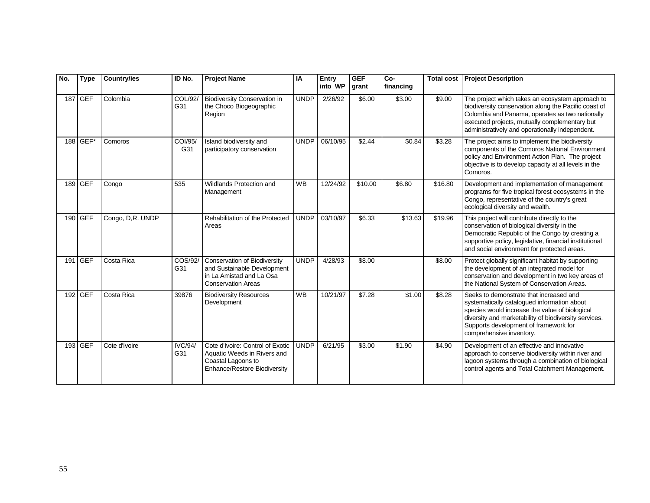| No. | <b>Type</b> | <b>Country/ies</b> | ID No.                | <b>Project Name</b>                                                                                                         | <b>IA</b>   | Entry<br>into WP | <b>GEF</b><br>grant | Co-<br>financing | <b>Total cost</b> | <b>Project Description</b>                                                                                                                                                                                                                                             |
|-----|-------------|--------------------|-----------------------|-----------------------------------------------------------------------------------------------------------------------------|-------------|------------------|---------------------|------------------|-------------------|------------------------------------------------------------------------------------------------------------------------------------------------------------------------------------------------------------------------------------------------------------------------|
|     | 187 GEF     | Colombia           | COL/92/<br>G31        | <b>Biodiversity Conservation in</b><br>the Choco Biogeographic<br>Region                                                    | <b>UNDP</b> | 2/26/92          | \$6.00              | \$3.00           | \$9.00            | The project which takes an ecosystem approach to<br>biodiversity conservation along the Pacific coast of<br>Colombia and Panama, operates as two nationally<br>executed projects, mutually complementary but<br>administratively and operationally independent.        |
|     | 188 GEF*    | Comoros            | COI/95/<br>G31        | Island biodiversity and<br>participatory conservation                                                                       | <b>UNDP</b> | 06/10/95         | \$2.44              | \$0.84           | \$3.28            | The project aims to implement the biodiversity<br>components of the Comoros National Environment<br>policy and Environment Action Plan. The project<br>objective is to develop capacity at all levels in the<br>Comoros.                                               |
| 189 | <b>GEF</b>  | Congo              | 535                   | Wildlands Protection and<br>Management                                                                                      | <b>WB</b>   | 12/24/92         | \$10.00             | \$6.80           | \$16.80           | Development and implementation of management<br>programs for five tropical forest ecosystems in the<br>Congo, representative of the country's great<br>ecological diversity and wealth.                                                                                |
|     | 190 GEF     | Congo, D,R. UNDP   |                       | Rehabilitation of the Protected<br>Areas                                                                                    | <b>UNDP</b> | 03/10/97         | \$6.33              | \$13.63          | \$19.96           | This project will contribute directly to the<br>conservation of biological diversity in the<br>Democratic Republic of the Congo by creating a<br>supportive policy, legislative, financial institutional<br>and social environment for protected areas.                |
|     | 191 GEF     | Costa Rica         | COS/92/<br>G31        | <b>Conservation of Biodiversity</b><br>and Sustainable Development<br>in La Amistad and La Osa<br><b>Conservation Areas</b> | <b>UNDP</b> | 4/28/93          | \$8.00              |                  | \$8.00            | Protect globally significant habitat by supporting<br>the development of an integrated model for<br>conservation and development in two key areas of<br>the National System of Conservation Areas.                                                                     |
|     | 192 GEF     | Costa Rica         | 39876                 | <b>Biodiversity Resources</b><br>Development                                                                                | <b>WB</b>   | 10/21/97         | \$7.28              | \$1.00           | \$8.28            | Seeks to demonstrate that increased and<br>systematically catalogued information about<br>species would increase the value of biological<br>diversity and marketability of biodiversity services.<br>Supports development of framework for<br>comprehensive inventory. |
|     | 193 GEF     | Cote d'Ivoire      | <b>IVC/94/</b><br>G31 | Cote d'Ivoire: Control of Exotic<br>Aquatic Weeds in Rivers and<br>Coastal Lagoons to<br>Enhance/Restore Biodiversity       | <b>UNDP</b> | 6/21/95          | \$3.00              | \$1.90           | \$4.90            | Development of an effective and innovative<br>approach to conserve biodiversity within river and<br>lagoon systems through a combination of biological<br>control agents and Total Catchment Management.                                                               |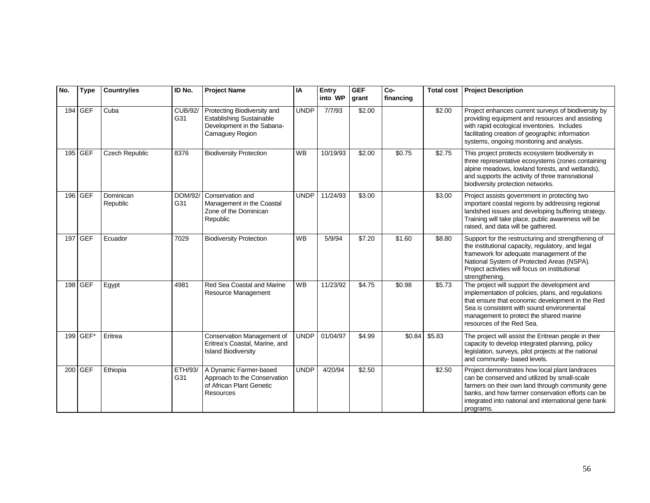| No. | <b>Type</b> | <b>Country/ies</b>    | ID No.                | <b>Project Name</b>                                                                                             | IA          | Entry<br>into WP | <b>GEF</b><br>grant | Co-<br>financing | <b>Total cost</b>  | <b>Project Description</b>                                                                                                                                                                                                                                                   |
|-----|-------------|-----------------------|-----------------------|-----------------------------------------------------------------------------------------------------------------|-------------|------------------|---------------------|------------------|--------------------|------------------------------------------------------------------------------------------------------------------------------------------------------------------------------------------------------------------------------------------------------------------------------|
|     | 194 GEF     | Cuba                  | <b>CUB/92/</b><br>G31 | Protecting Biodiversity and<br><b>Establishing Sustainable</b><br>Development in the Sabana-<br>Camaguey Region | <b>UNDP</b> | 7/7/93           | \$2.00              |                  | \$2.00             | Project enhances current surveys of biodiversity by<br>providing equipment and resources and assisting<br>with rapid ecological inventories. Includes<br>facilitating creation of geographic information<br>systems, ongoing monitoring and analysis.                        |
|     | 195 GEF     | <b>Czech Republic</b> | 8376                  | <b>Biodiversity Protection</b>                                                                                  | <b>WB</b>   | 10/19/93         | \$2.00              | \$0.75           | \$2.75             | This project protects ecosystem biodiversity in<br>three representative ecosystems (zones containing<br>alpine meadows, lowland forests, and wetlands),<br>and supports the activity of three transnational<br>biodiversity protection networks.                             |
|     | 196 GEF     | Dominican<br>Republic | DOM/92/<br>G31        | Conservation and<br>Management in the Coastal<br>Zone of the Dominican<br>Republic                              | <b>UNDP</b> | 11/24/93         | \$3.00              |                  | \$3.00             | Project assists government in protecting two<br>important coastal regions by addressing regional<br>landshed issues and developing buffering strategy.<br>Training will take place, public awareness will be<br>raised, and data will be gathered.                           |
|     | 197 GEF     | Ecuador               | 7029                  | <b>Biodiversity Protection</b>                                                                                  | <b>WB</b>   | 5/9/94           | \$7.20              | \$1.60           | $\overline{$8.80}$ | Support for the restructuring and strengthening of<br>the institutional capacity, regulatory, and legal<br>framework for adequate management of the<br>National System of Protected Areas (NSPA).<br>Project activities will focus on institutional<br>strengthening.        |
|     | 198 GEF     | Egypt                 | 4981                  | Red Sea Coastal and Marine<br>Resource Management                                                               | <b>WB</b>   | 11/23/92         | \$4.75              | \$0.98           | \$5.73             | The project will support the development and<br>implementation of policies, plans, and regulations<br>that ensure that economic development in the Red<br>Sea is consistent with sound environmental<br>management to protect the shared marine<br>resources of the Red Sea. |
|     | 199 GEF*    | Eritrea               |                       | Conservation Management of<br>Eritrea's Coastal, Marine, and<br><b>Island Biodiversity</b>                      | <b>UNDP</b> | 01/04/97         | \$4.99              | \$0.84           | \$5.83             | The project will assist the Eritrean people in their<br>capacity to develop integrated planning, policy<br>legislation, surveys, pilot projects at the national<br>and community- based levels.                                                                              |
|     | 200 GEF     | Ethiopia              | ETH/93/<br>G31        | A Dynamic Farmer-based<br>Approach to the Conservation<br>of African Plant Genetic<br><b>Resources</b>          | <b>UNDP</b> | 4/20/94          | \$2.50              |                  | \$2.50             | Project demonstrates how local plant landraces<br>can be conserved and utilized by small-scale<br>farmers on their own land through community gene<br>banks, and how farmer conservation efforts can be<br>integrated into national and international gene bank<br>programs. |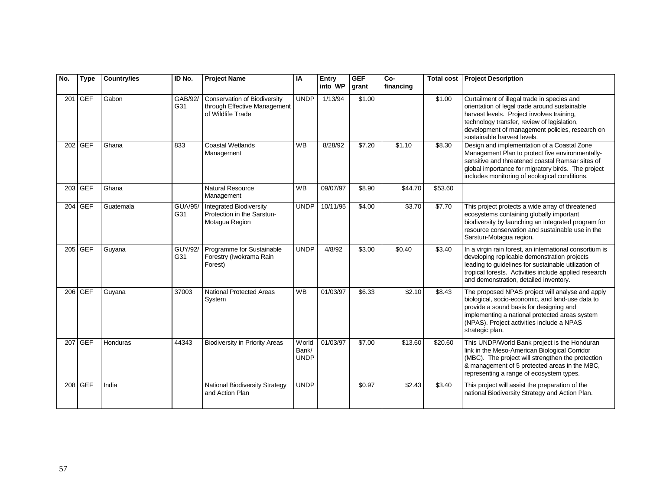| No. | <b>Type</b> | <b>Country/ies</b> | ID No.                | <b>Project Name</b>                                                               | IA                                    | Entry<br>into WP | <b>GEF</b><br>grant | Co-<br>financing | <b>Total cost</b> | <b>Project Description</b>                                                                                                                                                                                                                                                  |
|-----|-------------|--------------------|-----------------------|-----------------------------------------------------------------------------------|---------------------------------------|------------------|---------------------|------------------|-------------------|-----------------------------------------------------------------------------------------------------------------------------------------------------------------------------------------------------------------------------------------------------------------------------|
|     | 201 GEF     | Gabon              | GAB/92/<br>G31        | Conservation of Biodiversity<br>through Effective Management<br>of Wildlife Trade | <b>UNDP</b>                           | 1/13/94          | \$1.00              |                  | \$1.00            | Curtailment of illegal trade in species and<br>orientation of legal trade around sustainable<br>harvest levels. Project involves training,<br>technology transfer, review of legislation,<br>development of management policies, research on<br>sustainable harvest levels. |
|     | 202 GEF     | Ghana              | 833                   | Coastal Wetlands<br>Management                                                    | <b>WB</b>                             | 8/28/92          | \$7.20              | \$1.10           | \$8.30            | Design and implementation of a Coastal Zone<br>Management Plan to protect five environmentally-<br>sensitive and threatened coastal Ramsar sites of<br>global importance for migratory birds. The project<br>includes monitoring of ecological conditions.                  |
|     | 203 GEF     | Ghana              |                       | <b>Natural Resource</b><br>Management                                             | <b>WB</b>                             | 09/07/97         | \$8.90              | \$44.70          | \$53.60           |                                                                                                                                                                                                                                                                             |
|     | 204 GEF     | Guatemala          | <b>GUA/95/</b><br>G31 | <b>Integrated Biodiversity</b><br>Protection in the Sarstun-<br>Motagua Region    | <b>UNDP</b>                           | 10/11/95         | \$4.00              | \$3.70           | \$7.70            | This project protects a wide array of threatened<br>ecosystems containing globally important<br>biodiversity by launching an integrated program for<br>resource conservation and sustainable use in the<br>Sarstun-Motagua region.                                          |
|     | 205 GEF     | Guyana             | <b>GUY/92/</b><br>G31 | Programme for Sustainable<br>Forestry (Iwokrama Rain<br>Forest)                   | <b>UNDP</b>                           | 4/8/92           | \$3.00              | \$0.40           | \$3.40            | In a virgin rain forest, an international consortium is<br>developing replicable demonstration projects<br>leading to guidelines for sustainable utilization of<br>tropical forests. Activities include applied research<br>and demonstration, detailed inventory.          |
|     | 206 GEF     | Guyana             | 37003                 | <b>National Protected Areas</b><br>System                                         | <b>WB</b>                             | 01/03/97         | \$6.33              | \$2.10           | \$8.43            | The proposed NPAS project will analyse and apply<br>biological, socio-economic, and land-use data to<br>provide a sound basis for designing and<br>implementing a national protected areas system<br>(NPAS). Project activities include a NPAS<br>strategic plan.           |
|     | 207 GEF     | Honduras           | 44343                 | <b>Biodiversity in Priority Areas</b>                                             | <b>W</b> orld<br>Bank/<br><b>UNDP</b> | 01/03/97         | \$7.00              | \$13.60          | \$20.60           | This UNDP/World Bank project is the Honduran<br>link in the Meso-American Biological Corridor<br>(MBC). The project will strengthen the protection<br>& management of 5 protected areas in the MBC,<br>representing a range of ecosystem types.                             |
|     | 208 GEF     | India              |                       | National Biodiversity Strategy<br>and Action Plan                                 | <b>UNDP</b>                           |                  | \$0.97              | \$2.43           | \$3.40            | This project will assist the preparation of the<br>national Biodiversity Strategy and Action Plan.                                                                                                                                                                          |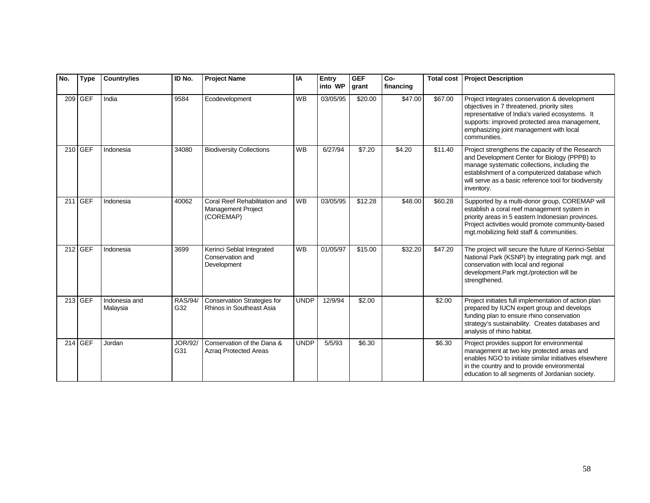| No. | <b>Type</b> | <b>Country/ies</b>        | ID No.                | <b>Project Name</b>                                                     | IA          | Entry<br>into WP | <b>GEF</b><br>grant | $Co-$<br>financing | <b>Total cost</b> | <b>Project Description</b>                                                                                                                                                                                                                                                |
|-----|-------------|---------------------------|-----------------------|-------------------------------------------------------------------------|-------------|------------------|---------------------|--------------------|-------------------|---------------------------------------------------------------------------------------------------------------------------------------------------------------------------------------------------------------------------------------------------------------------------|
|     | 209 GEF     | India                     | 9584                  | Ecodevelopment                                                          | <b>WB</b>   | 03/05/95         | \$20.00             | \$47.00            | \$67.00           | Project integrates conservation & development<br>objectives in 7 threatened, priority sites<br>representative of India's varied ecosystems. It<br>supports: improved protected area management,<br>emphasizing joint management with local<br>communities.                |
|     | 210 GEF     | Indonesia                 | 34080                 | <b>Biodiversity Collections</b>                                         | <b>WB</b>   | 6/27/94          | \$7.20              | \$4.20             | \$11.40           | Project strengthens the capacity of the Research<br>and Development Center for Biology (PPPB) to<br>manage systematic collections, including the<br>establishment of a computerized database which<br>will serve as a basic reference tool for biodiversity<br>inventory. |
|     | 211 GEF     | Indonesia                 | 40062                 | Coral Reef Rehabilitation and<br><b>Management Project</b><br>(COREMAP) | <b>WB</b>   | 03/05/95         | \$12.28             | \$48.00            | \$60.28           | Supported by a multi-donor group, COREMAP will<br>establish a coral reef management system in<br>priority areas in 5 eastern Indonesian provinces.<br>Project activities would promote community-based<br>mgt.mobilizing field staff & communities.                       |
|     | $212$ GEF   | Indonesia                 | 3699                  | Kerinci Seblat Integrated<br>Conservation and<br>Development            | <b>WB</b>   | 01/05/97         | \$15.00             | \$32.20            | \$47.20           | The project will secure the future of Kerinci-Seblat<br>National Park (KSNP) by integrating park mgt. and<br>conservation with local and regional<br>development.Park mgt./protection will be<br>strengthened.                                                            |
|     | 213 GEF     | Indonesia and<br>Malaysia | <b>RAS/94/</b><br>G32 | <b>Conservation Strategies for</b><br>Rhinos in Southeast Asia          | <b>UNDP</b> | 12/9/94          | \$2.00              |                    | \$2.00            | Project initiates full implementation of action plan<br>prepared by IUCN expert group and develops<br>funding plan to ensure rhino conservation<br>strategy's sustainability. Creates databases and<br>analysis of rhino habitat.                                         |
|     | 214 GEF     | Jordan                    | <b>JOR/92/</b><br>G31 | Conservation of the Dana &<br>Azrag Protected Areas                     | <b>UNDP</b> | 5/5/93           | \$6.30              |                    | \$6.30            | Project provides support for environmental<br>management at two key protected areas and<br>enables NGO to initiate similar initiatives elsewhere<br>in the country and to provide environmental<br>education to all segments of Jordanian society.                        |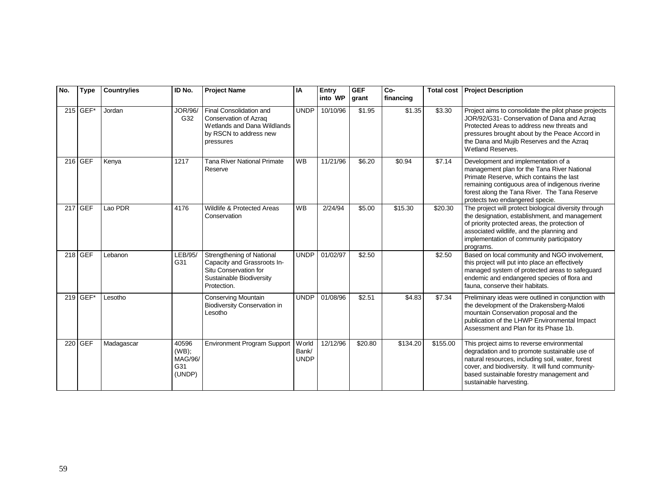| No. | <b>Type</b> | <b>Country/ies</b> | ID No.                                     | <b>Project Name</b>                                                                                                          | IA                            | Entry<br>into WP | <b>GEF</b><br>grant | Co-<br>financing | <b>Total cost</b> | <b>Project Description</b>                                                                                                                                                                                                                                                  |
|-----|-------------|--------------------|--------------------------------------------|------------------------------------------------------------------------------------------------------------------------------|-------------------------------|------------------|---------------------|------------------|-------------------|-----------------------------------------------------------------------------------------------------------------------------------------------------------------------------------------------------------------------------------------------------------------------------|
|     | $215$ GEF*  | Jordan             | JOR/96/<br>G32                             | Final Consolidation and<br>Conservation of Azraq<br>Wetlands and Dana Wildlands<br>by RSCN to address new<br>pressures       | <b>UNDP</b>                   | 10/10/96         | \$1.95              | \$1.35           | \$3.30            | Project aims to consolidate the pilot phase projects<br>JOR/92/G31- Conservation of Dana and Azraq<br>Protected Areas to address new threats and<br>pressures brought about by the Peace Accord in<br>the Dana and Mujib Reserves and the Azraq<br>Wetland Reserves.        |
|     | 216 GEF     | Kenya              | 1217                                       | <b>Tana River National Primate</b><br>Reserve                                                                                | <b>WB</b>                     | 11/21/96         | \$6.20              | \$0.94           | \$7.14            | Development and implementation of a<br>management plan for the Tana River National<br>Primate Reserve, which contains the last<br>remaining contiguous area of indigenous riverine<br>forest along the Tana River. The Tana Reserve<br>protects two endangered specie.      |
|     | 217 GEF     | Lao PDR            | 4176                                       | Wildlife & Protected Areas<br>Conservation                                                                                   | <b>WB</b>                     | 2/24/94          | \$5.00              | \$15.30          | \$20.30           | The project will protect biological diversity through<br>the designation, establishment, and management<br>of priority protected areas, the protection of<br>associated wildlife, and the planning and<br>implementation of community participatory<br>programs.            |
|     | $218$ GEF   | Lebanon            | LEB/95/<br>G31                             | Strengthening of National<br>Capacity and Grassroots In-<br>Situ Conservation for<br>Sustainable Biodiversity<br>Protection. | <b>UNDP</b>                   | 01/02/97         | \$2.50              |                  | \$2.50            | Based on local community and NGO involvement,<br>this project will put into place an effectively<br>managed system of protected areas to safeguard<br>endemic and endangered species of flora and<br>fauna, conserve their habitats.                                        |
|     | 219 GEF     | Lesotho            |                                            | <b>Conserving Mountain</b><br><b>Biodiversity Conservation in</b><br>Lesotho                                                 | <b>UNDP</b>                   | 01/08/96         | \$2.51              | \$4.83           | \$7.34            | Preliminary ideas were outlined in conjunction with<br>the development of the Drakensberg-Maloti<br>mountain Conservation proposal and the<br>publication of the LHWP Environmental Impact<br>Assessment and Plan for its Phase 1b.                                         |
|     | 220 GEF     | Madagascar         | 40596<br>(WB);<br>MAG/96/<br>G31<br>(UNDP) | <b>Environment Program Support</b>                                                                                           | World<br>Bank/<br><b>UNDP</b> | 12/12/96         | \$20.80             | \$134.20         | \$155.00          | This project aims to reverse environmental<br>degradation and to promote sustainable use of<br>natural resources, including soil, water, forest<br>cover, and biodiversity. It will fund community-<br>based sustainable forestry management and<br>sustainable harvesting. |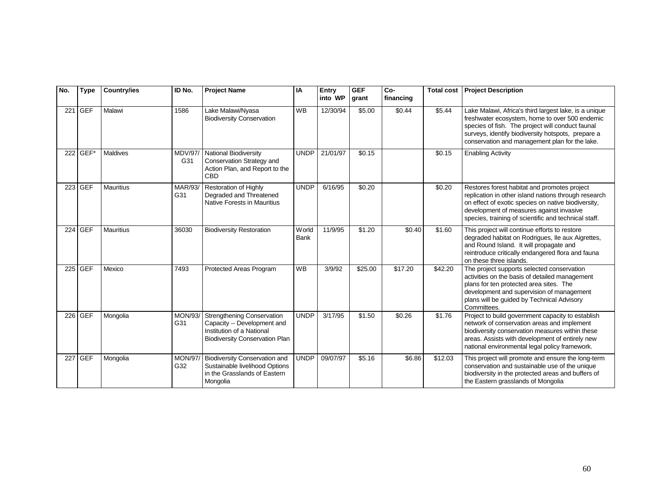| No. | <b>Type</b> | <b>Country/ies</b> | ID No.                | <b>Project Name</b>                                                                                                                    | IA                   | Entry<br>into WP | <b>GEF</b><br>grant | Co-<br>financing | <b>Total cost</b> | <b>Project Description</b>                                                                                                                                                                                                                                          |
|-----|-------------|--------------------|-----------------------|----------------------------------------------------------------------------------------------------------------------------------------|----------------------|------------------|---------------------|------------------|-------------------|---------------------------------------------------------------------------------------------------------------------------------------------------------------------------------------------------------------------------------------------------------------------|
|     | 221 GEF     | Malawi             | 1586                  | Lake Malawi/Nyasa<br><b>Biodiversity Conservation</b>                                                                                  | <b>WB</b>            | 12/30/94         | \$5.00              | \$0.44           | \$5.44            | Lake Malawi, Africa's third largest lake, is a unique<br>freshwater ecosystem, home to over 500 endemic<br>species of fish. The project will conduct faunal<br>surveys, identify biodiversity hotspots, prepare a<br>conservation and management plan for the lake. |
|     | 222 GEF*    | Maldives           | <b>MDV/97/</b><br>G31 | National Biodiversity<br>Conservation Strategy and<br>Action Plan, and Report to the<br><b>CBD</b>                                     | <b>UNDP</b>          | 21/01/97         | \$0.15              |                  | \$0.15            | <b>Enabling Activity</b>                                                                                                                                                                                                                                            |
|     | 223 GEF     | <b>Mauritius</b>   | MAR/93/<br>G31        | Restoration of Highly<br>Degraded and Threatened<br>Native Forests in Mauritius                                                        | <b>UNDP</b>          | 6/16/95          | \$0.20              |                  | \$0.20            | Restores forest habitat and promotes project<br>replication in other island nations through research<br>on effect of exotic species on native biodiversity,<br>development of measures against invasive<br>species, training of scientific and technical staff.     |
|     | 224 GEF     | <b>Mauritius</b>   | 36030                 | <b>Biodiversity Restoration</b>                                                                                                        | World<br><b>Bank</b> | 11/9/95          | \$1.20              | \$0.40           | \$1.60            | This project will continue efforts to restore<br>degraded habitat on Rodrigues, Ile aux Aigrettes,<br>and Round Island. It will propagate and<br>reintroduce critically endangered flora and fauna<br>on these three islands.                                       |
|     | 225 GEF     | Mexico             | 7493                  | Protected Areas Program                                                                                                                | <b>WB</b>            | 3/9/92           | \$25.00             | \$17.20          | \$42.20           | The project supports selected conservation<br>activities on the basis of detailed management<br>plans for ten protected area sites. The<br>development and supervision of management<br>plans will be guided by Technical Advisory<br>Committees.                   |
|     | 226 GEF     | Mongolia           | <b>MON/93/</b><br>G31 | <b>Strengthening Conservation</b><br>Capacity -- Development and<br>Institution of a National<br><b>Biodiversity Conservation Plan</b> | <b>UNDP</b>          | 3/17/95          | \$1.50              | \$0.26           | \$1.76            | Project to build government capacity to establish<br>network of conservation areas and implement<br>biodiversity conservation measures within these<br>areas. Assists with development of entirely new<br>national environmental legal policy framework.            |
| 227 | <b>GEF</b>  | Mongolia           | <b>MON/97/</b><br>G32 | <b>Biodiversity Conservation and</b><br>Sustainable livelihood Options<br>in the Grasslands of Eastern<br>Mongolia                     | <b>UNDP</b>          | 09/07/97         | \$5.16              | \$6.86           | \$12.03           | This project will promote and ensure the long-term<br>conservation and sustainable use of the unique<br>biodiversity in the protected areas and buffers of<br>the Eastern grasslands of Mongolia                                                                    |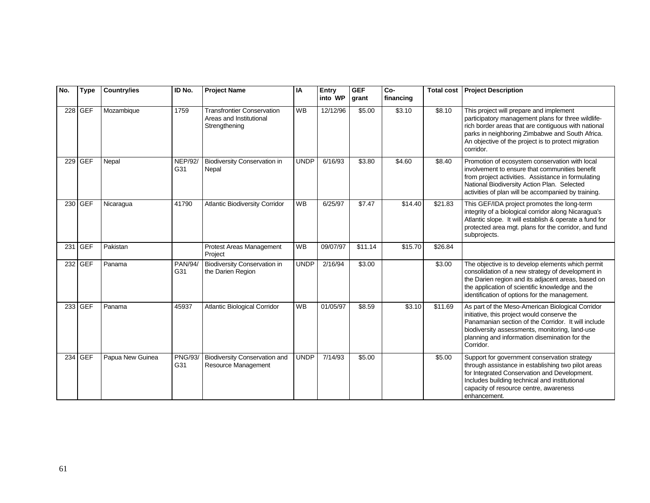| No. | <b>Type</b> | <b>Country/ies</b> | ID No.                | <b>Project Name</b>                                                           | IA          | Entry<br>into WP | <b>GEF</b><br>grant | Co-<br>financing | <b>Total cost</b> | <b>Project Description</b>                                                                                                                                                                                                                                                  |
|-----|-------------|--------------------|-----------------------|-------------------------------------------------------------------------------|-------------|------------------|---------------------|------------------|-------------------|-----------------------------------------------------------------------------------------------------------------------------------------------------------------------------------------------------------------------------------------------------------------------------|
|     | 228 GEF     | Mozambique         | 1759                  | <b>Transfrontier Conservation</b><br>Areas and Institutional<br>Strengthening | <b>WB</b>   | 12/12/96         | \$5.00              | \$3.10           | \$8.10            | This project will prepare and implement<br>participatory management plans for three wildlife-<br>rich border areas that are contiguous with national<br>parks in neighboring Zimbabwe and South Africa.<br>An objective of the project is to protect migration<br>corridor. |
|     | 229 GEF     | Nepal              | <b>NEP/92/</b><br>G31 | Biodiversity Conservation in<br>Nepal                                         | <b>UNDP</b> | 6/16/93          | \$3.80              | \$4.60           | \$8.40            | Promotion of ecosystem conservation with local<br>involvement to ensure that communities benefit<br>from project activities. Assistance in formulating<br>National Biodiversity Action Plan. Selected<br>activities of plan will be accompanied by training.                |
|     | 230 GEF     | Nicaragua          | 41790                 | <b>Atlantic Biodiversity Corridor</b>                                         | <b>WB</b>   | 6/25/97          | \$7.47              | \$14.40          | \$21.83           | This GEF/IDA project promotes the long-term<br>integrity of a biological corridor along Nicaragua's<br>Atlantic slope. It will establish & operate a fund for<br>protected area mgt. plans for the corridor, and fund<br>subprojects.                                       |
|     | 231 GEF     | Pakistan           |                       | Protest Areas Management<br>Project                                           | <b>WB</b>   | 09/07/97         | \$11.14             | \$15.70          | \$26.84           |                                                                                                                                                                                                                                                                             |
|     | 232 GEF     | Panama             | <b>PAN/94/</b><br>G31 | <b>Biodiversity Conservation in</b><br>the Darien Region                      | <b>UNDP</b> | 2/16/94          | \$3.00              |                  | \$3.00            | The objective is to develop elements which permit<br>consolidation of a new strategy of development in<br>the Darien region and its adjacent areas, based on<br>the application of scientific knowledge and the<br>identification of options for the management.            |
|     | 233 GEF     | Panama             | 45937                 | Atlantic Biological Corridor                                                  | <b>WB</b>   | 01/05/97         | \$8.59              | \$3.10           | \$11.69           | As part of the Meso-American Biological Corridor<br>initiative, this project would conserve the<br>Panamanian section of the Corridor. It will include<br>biodiversity assessments, monitoring, land-use<br>planning and information disemination for the<br>Corridor.      |
|     | 234 GEF     | Papua New Guinea   | <b>PNG/93/</b><br>G31 | <b>Biodiversity Conservation and</b><br>Resource Management                   | <b>UNDP</b> | 7/14/93          | \$5.00              |                  | \$5.00            | Support for government conservation strategy<br>through assistance in establishing two pilot areas<br>for Integrated Conservation and Development.<br>Includes building technical and institutional<br>capacity of resource centre, awareness<br>enhancement.               |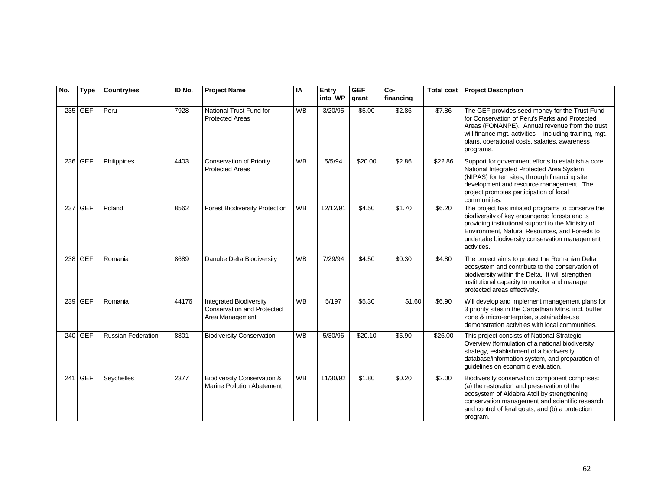| No. | <b>Type</b> | <b>Country/ies</b>        | ID No. | <b>Project Name</b>                                                                    | IA        | Entry<br>into WP | <b>GEF</b><br>grant | Co-<br>financing | <b>Total cost</b> | <b>Project Description</b>                                                                                                                                                                                                                                                   |
|-----|-------------|---------------------------|--------|----------------------------------------------------------------------------------------|-----------|------------------|---------------------|------------------|-------------------|------------------------------------------------------------------------------------------------------------------------------------------------------------------------------------------------------------------------------------------------------------------------------|
|     | 235 GEF     | Peru                      | 7928   | National Trust Fund for<br><b>Protected Areas</b>                                      | <b>WB</b> | 3/20/95          | \$5.00              | \$2.86           | \$7.86            | The GEF provides seed money for the Trust Fund<br>for Conservation of Peru's Parks and Protected<br>Areas (FONANPE). Annual revenue from the trust<br>will finance mgt. activities -- including training, mgt.<br>plans, operational costs, salaries, awareness<br>programs. |
|     | 236 GEF     | Philippines               | 4403   | <b>Conservation of Priority</b><br><b>Protected Areas</b>                              | <b>WB</b> | 5/5/94           | \$20.00             | \$2.86           | \$22.86           | Support for government efforts to establish a core<br>National Integrated Protected Area System<br>(NIPAS) for ten sites, through financing site<br>development and resource management. The<br>project promotes participation of local<br>communities.                      |
|     | 237 GEF     | Poland                    | 8562   | <b>Forest Biodiversity Protection</b>                                                  | <b>WB</b> | 12/12/91         | \$4.50              | \$1.70           | \$6.20            | The project has initiated programs to conserve the<br>biodiversity of key endangered forests and is<br>providing institutional support to the Ministry of<br>Environment, Natural Resources, and Forests to<br>undertake biodiversity conservation management<br>activities. |
|     | 238 GEF     | Romania                   | 8689   | Danube Delta Biodiversity                                                              | <b>WB</b> | 7/29/94          | \$4.50              | \$0.30           | \$4.80            | The project aims to protect the Romanian Delta<br>ecosystem and contribute to the conservation of<br>biodiversity within the Delta. It will strengthen<br>institutional capacity to monitor and manage<br>protected areas effectively.                                       |
|     | 239 GEF     | Romania                   | 44176  | <b>Integrated Biodiversity</b><br><b>Conservation and Protected</b><br>Area Management | <b>WB</b> | 5/197            | \$5.30              | \$1.60           | \$6.90            | Will develop and implement management plans for<br>3 priority sites in the Carpathian Mtns. incl. buffer<br>zone & micro-enterprise, sustainable-use<br>demonstration activities with local communities.                                                                     |
|     | 240 GEF     | <b>Russian Federation</b> | 8801   | <b>Biodiversity Conservation</b>                                                       | <b>WB</b> | 5/30/96          | \$20.10             | \$5.90           | \$26.00           | This project consists of National Strategic<br>Overview (formulation of a national biodiversity<br>strategy, establishment of a biodiversity<br>database/information system, and preparation of<br>guidelines on economic evaluation.                                        |
|     | 241 GEF     | Seychelles                | 2377   | <b>Biodiversity Conservation &amp;</b><br><b>Marine Pollution Abatement</b>            | <b>WB</b> | 11/30/92         | \$1.80              | \$0.20           | \$2.00            | Biodiversity conservation component comprises:<br>(a) the restoration and preservation of the<br>ecosystem of Aldabra Atoll by strengthening<br>conservation management and scientific research<br>and control of feral goats; and (b) a protection<br>program.              |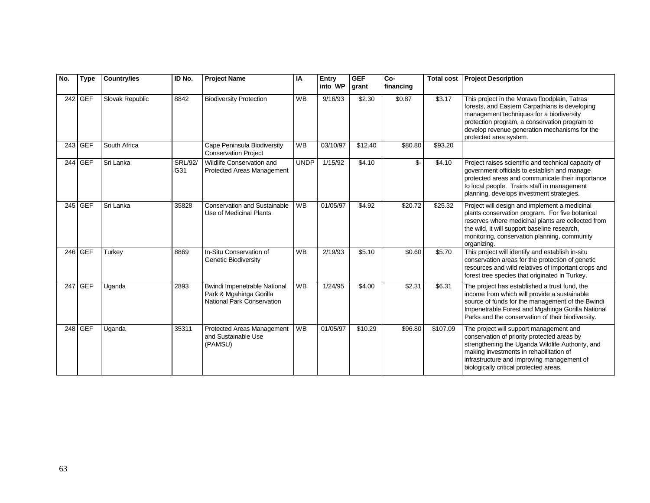| No. | <b>Type</b> | <b>Country/ies</b> | ID No.                | <b>Project Name</b>                                                                   | IA          | Entry<br>into WP | <b>GEF</b><br>grant | Co-<br>financing | <b>Total cost</b>  | <b>Project Description</b>                                                                                                                                                                                                                                                    |
|-----|-------------|--------------------|-----------------------|---------------------------------------------------------------------------------------|-------------|------------------|---------------------|------------------|--------------------|-------------------------------------------------------------------------------------------------------------------------------------------------------------------------------------------------------------------------------------------------------------------------------|
|     | 242 GEF     | Slovak Republic    | 8842                  | <b>Biodiversity Protection</b>                                                        | <b>WB</b>   | 9/16/93          | \$2.30              | \$0.87           | \$3.17             | This project in the Morava floodplain, Tatras<br>forests, and Eastern Carpathians is developing<br>management techniques for a biodiversity<br>protection program, a conservation program to<br>develop revenue generation mechanisms for the<br>protected area system.       |
|     | 243 GEF     | South Africa       |                       | Cape Peninsula Biodiversity<br><b>Conservation Project</b>                            | <b>WB</b>   | 03/10/97         | \$12.40             | \$80.80          | \$93.20            |                                                                                                                                                                                                                                                                               |
|     | 244 GEF     | Sri Lanka          | <b>SRL/92/</b><br>G31 | Wildlife Conservation and<br>Protected Areas Management                               | <b>UNDP</b> | 1/15/92          | \$4.10              | \$-              | \$4.10             | Project raises scientific and technical capacity of<br>government officials to establish and manage<br>protected areas and communicate their importance<br>to local people. Trains staff in management<br>planning, develops investment strategies.                           |
|     | 245 GEF     | Sri Lanka          | 35828                 | <b>Conservation and Sustainable</b><br>Use of Medicinal Plants                        | <b>WB</b>   | 01/05/97         | \$4.92              | \$20.72          | \$25.32            | Project will design and implement a medicinal<br>plants conservation program. For five botanical<br>reserves where medicinal plants are collected from<br>the wild, it will support baseline research,<br>monitoring, conservation planning, community<br>organizing.         |
|     | 246 GEF     | Turkey             | 8869                  | In-Situ Conservation of<br>Genetic Biodiversity                                       | <b>WB</b>   | 2/19/93          | \$5.10              | \$0.60           | \$5.70             | This project will identify and establish in-situ<br>conservation areas for the protection of genetic<br>resources and wild relatives of important crops and<br>forest tree species that originated in Turkey.                                                                 |
|     | 247 GEF     | Uganda             | 2893                  | Bwindi Impenetrable National<br>Park & Mgahinga Gorilla<br>National Park Conservation | <b>WB</b>   | 1/24/95          | \$4.00              | \$2.31           | $\overline{$}6.31$ | The project has established a trust fund, the<br>income from which will provide a sustainable<br>source of funds for the management of the Bwindi<br>Impenetrable Forest and Mgahinga Gorilla National<br>Parks and the conservation of their biodiversity.                   |
|     | 248 GEF     | Uganda             | 35311                 | Protected Areas Management<br>and Sustainable Use<br>(PAMSU)                          | <b>WB</b>   | 01/05/97         | \$10.29             | \$96.80          | \$107.09           | The project will support management and<br>conservation of priority protected areas by<br>strengthening the Uganda Wildlife Authority, and<br>making investments in rehabilitation of<br>infrastructure and improving management of<br>biologically critical protected areas. |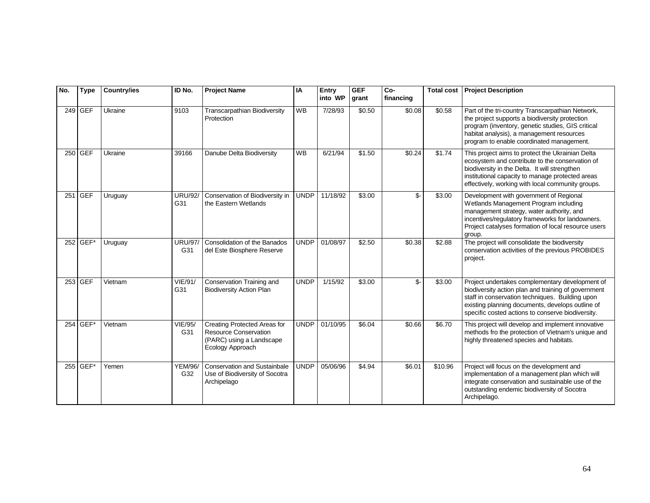| No. | <b>Type</b> | <b>Country/ies</b> | ID No.                | <b>Project Name</b>                                                                                          | IA          | Entry<br>into WP | <b>GEF</b><br>grant | Co-<br>financing | <b>Total cost</b> | <b>Project Description</b>                                                                                                                                                                                                                                         |
|-----|-------------|--------------------|-----------------------|--------------------------------------------------------------------------------------------------------------|-------------|------------------|---------------------|------------------|-------------------|--------------------------------------------------------------------------------------------------------------------------------------------------------------------------------------------------------------------------------------------------------------------|
|     | 249 GEF     | Ukraine            | 9103                  | <b>Transcarpathian Biodiversity</b><br>Protection                                                            | <b>WB</b>   | 7/28/93          | \$0.50              | \$0.08           | \$0.58            | Part of the tri-country Transcarpathian Network,<br>the project supports a biodiversity protection<br>program (inventory, genetic studies, GIS critical<br>habitat analysis), a management resources<br>program to enable coordinated management.                  |
|     | 250 GEF     | Ukraine            | 39166                 | Danube Delta Biodiversity                                                                                    | <b>WB</b>   | 6/21/94          | \$1.50              | \$0.24           | \$1.74            | This project aims to protect the Ukrainian Delta<br>ecosystem and contribute to the conservation of<br>biodiversity in the Delta. It will strengthen<br>institutional capacity to manage protected areas<br>effectively, working with local community groups.      |
|     | 251 GEF     | Uruguay            | <b>URU/92/</b><br>G31 | Conservation of Biodiversity in<br>the Eastern Wetlands                                                      | <b>UNDP</b> | 11/18/92         | \$3.00              | \$-              | \$3.00            | Development with government of Regional<br>Wetlands Management Program including<br>management strategy, water authority, and<br>incentives/regulatory frameworks for landowners.<br>Project catalyses formation of local resource users<br>group.                 |
|     | 252 GEF*    | Uruguay            | <b>URU/97/</b><br>G31 | Consolidation of the Banados<br>del Este Biosphere Reserve                                                   | <b>UNDP</b> | 01/08/97         | \$2.50              | \$0.38           | \$2.88            | The project will consolidate the biodiversity<br>conservation activities of the previous PROBIDES<br>project.                                                                                                                                                      |
|     | 253 GEF     | Vietnam            | <b>VIE/91/</b><br>G31 | Conservation Training and<br><b>Biodiversity Action Plan</b>                                                 | <b>UNDP</b> | 1/15/92          | \$3.00              | \$-              | \$3.00            | Project undertakes complementary development of<br>biodiversity action plan and training of government<br>staff in conservation techniques. Building upon<br>existing planning documents, develops outline of<br>specific costed actions to conserve biodiversity. |
|     | 254 GEF*    | Vietnam            | <b>VIE/95/</b><br>G31 | Creating Protected Areas for<br><b>Resource Conservation</b><br>(PARC) using a Landscape<br>Ecology Approach | <b>UNDP</b> | 01/10/95         | \$6.04              | \$0.66           | \$6.70            | This project will develop and implement innovative<br>methods fro the protection of Vietnam's unique and<br>highly threatened species and habitats.                                                                                                                |
|     | 255 GEF*    | Yemen              | <b>YEM/96/</b><br>G32 | <b>Conservation and Sustainbale</b><br>Use of Biodiversity of Socotra<br>Archipelago                         | <b>UNDP</b> | 05/06/96         | \$4.94              | \$6.01           | \$10.96           | Project will focus on the development and<br>implementation of a management plan which will<br>integrate conservation and sustainable use of the<br>outstanding endemic biodiversity of Socotra<br>Archipelago.                                                    |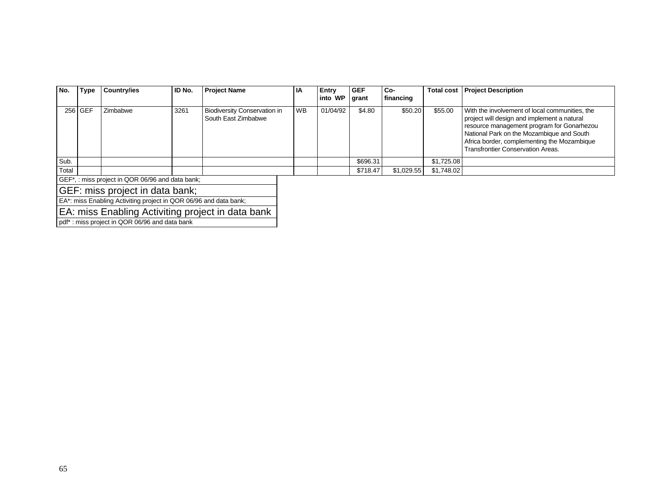| No.                                                               | Type    | Country/ies | ID No. | <b>Project Name</b>                                        | ΙA        | Entry<br>into WP | <b>GEF</b><br>grant | Co-<br>financing | <b>Total cost</b> | <b>Project Description</b>                                                                                                                                                                                                                                                          |
|-------------------------------------------------------------------|---------|-------------|--------|------------------------------------------------------------|-----------|------------------|---------------------|------------------|-------------------|-------------------------------------------------------------------------------------------------------------------------------------------------------------------------------------------------------------------------------------------------------------------------------------|
|                                                                   | 256 GEF | Zimbabwe    | 3261   | <b>Biodiversity Conservation in</b><br>South East Zimbabwe | <b>WB</b> | 01/04/92         | \$4.80              | \$50.20          | \$55.00           | With the involvement of local communities, the<br>project will design and implement a natural<br>resource management program for Gonarhezou<br>National Park on the Mozambique and South<br>Africa border, complementing the Mozambique<br><b>Transfrontier Conservation Areas.</b> |
| Sub.                                                              |         |             |        |                                                            |           |                  | \$696.31            |                  | \$1,725.08        |                                                                                                                                                                                                                                                                                     |
| Total                                                             |         |             |        |                                                            |           |                  | \$718.47            | \$1,029.55       | \$1,748.02        |                                                                                                                                                                                                                                                                                     |
| GEF <sup>*</sup> , : miss project in QOR 06/96 and data bank;     |         |             |        |                                                            |           |                  |                     |                  |                   |                                                                                                                                                                                                                                                                                     |
| GEF: miss project in data bank;                                   |         |             |        |                                                            |           |                  |                     |                  |                   |                                                                                                                                                                                                                                                                                     |
| EA*: miss Enabling Activiting project in QOR 06/96 and data bank; |         |             |        |                                                            |           |                  |                     |                  |                   |                                                                                                                                                                                                                                                                                     |

EA: miss Enabling Activiting project in data bank

pdf\* : miss project in QOR 06/96 and data bank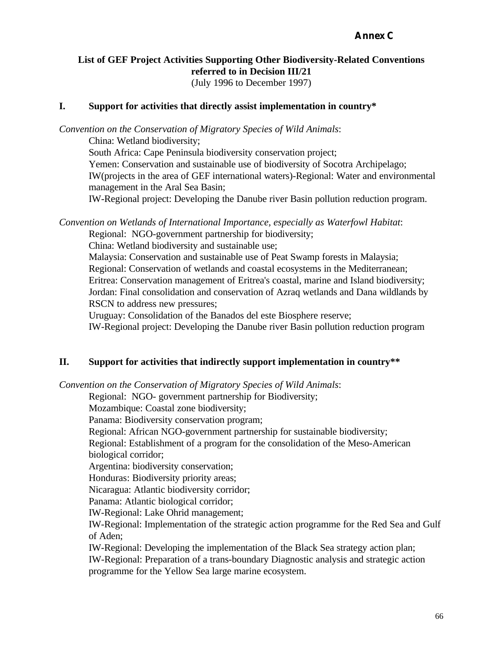# **List of GEF Project Activities Supporting Other Biodiversity-Related Conventions referred to in Decision III/21**

(July 1996 to December 1997)

#### **I. Support for activities that directly assist implementation in country\***

*Convention on the Conservation of Migratory Species of Wild Animals*:

China: Wetland biodiversity;

South Africa: Cape Peninsula biodiversity conservation project;

Yemen: Conservation and sustainable use of biodiversity of Socotra Archipelago; IW(projects in the area of GEF international waters)-Regional: Water and environmental management in the Aral Sea Basin;

IW-Regional project: Developing the Danube river Basin pollution reduction program.

*Convention on Wetlands of International Importance, especially as Waterfowl Habitat*:

Regional: NGO-government partnership for biodiversity;

China: Wetland biodiversity and sustainable use;

Malaysia: Conservation and sustainable use of Peat Swamp forests in Malaysia; Regional: Conservation of wetlands and coastal ecosystems in the Mediterranean; Eritrea: Conservation management of Eritrea's coastal, marine and Island biodiversity; Jordan: Final consolidation and conservation of Azraq wetlands and Dana wildlands by RSCN to address new pressures;

Uruguay: Consolidation of the Banados del este Biosphere reserve;

IW-Regional project: Developing the Danube river Basin pollution reduction program

#### **II. Support for activities that indirectly support implementation in country\*\***

*Convention on the Conservation of Migratory Species of Wild Animals*:

Regional: NGO- government partnership for Biodiversity;

Mozambique: Coastal zone biodiversity;

Panama: Biodiversity conservation program;

Regional: African NGO-government partnership for sustainable biodiversity;

Regional: Establishment of a program for the consolidation of the Meso-American biological corridor;

Argentina: biodiversity conservation;

Honduras: Biodiversity priority areas;

Nicaragua: Atlantic biodiversity corridor;

Panama: Atlantic biological corridor;

IW-Regional: Lake Ohrid management;

IW-Regional: Implementation of the strategic action programme for the Red Sea and Gulf of Aden;

IW-Regional: Developing the implementation of the Black Sea strategy action plan; IW-Regional: Preparation of a trans-boundary Diagnostic analysis and strategic action programme for the Yellow Sea large marine ecosystem.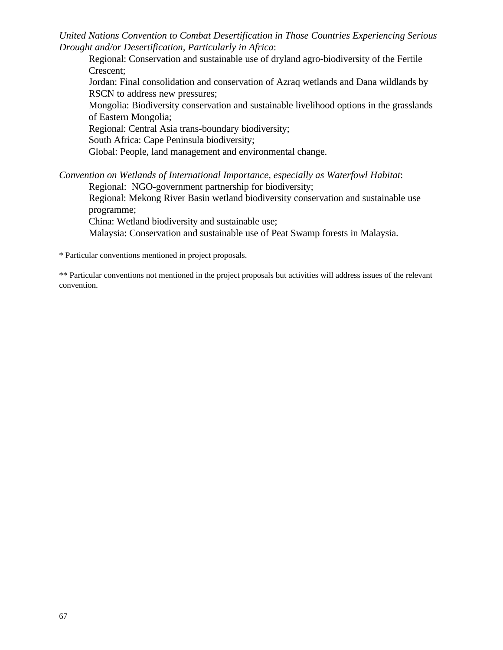*United Nations Convention to Combat Desertification in Those Countries Experiencing Serious Drought and/or Desertification, Particularly in Africa*:

Regional: Conservation and sustainable use of dryland agro-biodiversity of the Fertile Crescent;

Jordan: Final consolidation and conservation of Azraq wetlands and Dana wildlands by RSCN to address new pressures;

Mongolia: Biodiversity conservation and sustainable livelihood options in the grasslands of Eastern Mongolia;

Regional: Central Asia trans-boundary biodiversity;

South Africa: Cape Peninsula biodiversity;

Global: People, land management and environmental change.

*Convention on Wetlands of International Importance, especially as Waterfowl Habitat*: Regional: NGO-government partnership for biodiversity;

Regional: Mekong River Basin wetland biodiversity conservation and sustainable use programme;

China: Wetland biodiversity and sustainable use;

Malaysia: Conservation and sustainable use of Peat Swamp forests in Malaysia.

\* Particular conventions mentioned in project proposals.

\*\* Particular conventions not mentioned in the project proposals but activities will address issues of the relevant convention.